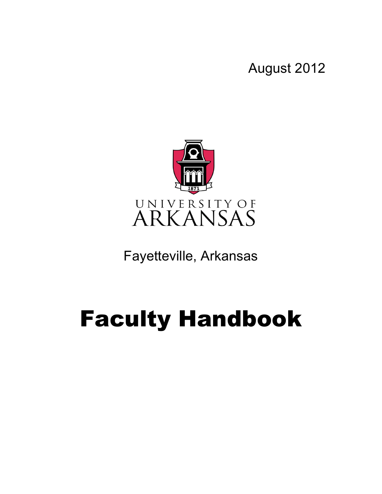August 2012



Fayetteville, Arkansas

# Faculty Handbook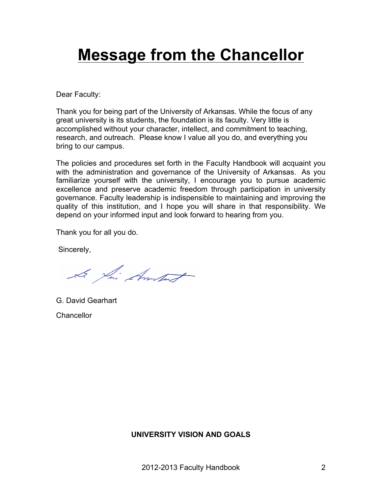## **Message from the Chancellor**

Dear Faculty:

Thank you for being part of the University of Arkansas. While the focus of any great university is its students, the foundation is its faculty. Very little is accomplished without your character, intellect, and commitment to teaching, research, and outreach. Please know I value all you do, and everything you bring to our campus.

The policies and procedures set forth in the Faculty Handbook will acquaint you with the administration and governance of the University of Arkansas. As you familiarize yourself with the university, I encourage you to pursue academic excellence and preserve academic freedom through participation in university governance. Faculty leadership is indispensible to maintaining and improving the quality of this institution, and I hope you will share in that responsibility. We depend on your informed input and look forward to hearing from you.

Thank you for all you do.

Sincerely,

Le fai Amstat

G. David Gearhart **Chancellor** 

## **UNIVERSITY VISION AND GOALS**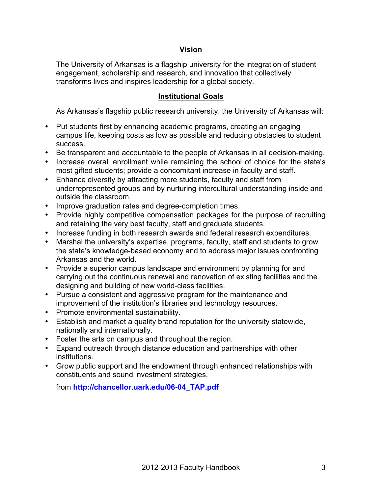## **Vision**

The University of Arkansas is a flagship university for the integration of student engagement, scholarship and research, and innovation that collectively transforms lives and inspires leadership for a global society.

## **Institutional Goals**

As Arkansas's flagship public research university, the University of Arkansas will:

- Put students first by enhancing academic programs, creating an engaging campus life, keeping costs as low as possible and reducing obstacles to student success.
- Be transparent and accountable to the people of Arkansas in all decision-making.
- Increase overall enrollment while remaining the school of choice for the state's most gifted students; provide a concomitant increase in faculty and staff.
- Enhance diversity by attracting more students, faculty and staff from underrepresented groups and by nurturing intercultural understanding inside and outside the classroom.
- Improve graduation rates and degree-completion times.
- Provide highly competitive compensation packages for the purpose of recruiting and retaining the very best faculty, staff and graduate students.
- Increase funding in both research awards and federal research expenditures.
- Marshal the university's expertise, programs, faculty, staff and students to grow the state's knowledge-based economy and to address major issues confronting Arkansas and the world.
- Provide a superior campus landscape and environment by planning for and carrying out the continuous renewal and renovation of existing facilities and the designing and building of new world-class facilities.
- Pursue a consistent and aggressive program for the maintenance and improvement of the institution's libraries and technology resources.
- Promote environmental sustainability.
- Establish and market a quality brand reputation for the university statewide, nationally and internationally.
- Foster the arts on campus and throughout the region.
- Expand outreach through distance education and partnerships with other institutions.
- Grow public support and the endowment through enhanced relationships with constituents and sound investment strategies.

## from **http://chancellor.uark.edu/06-04\_TAP.pdf**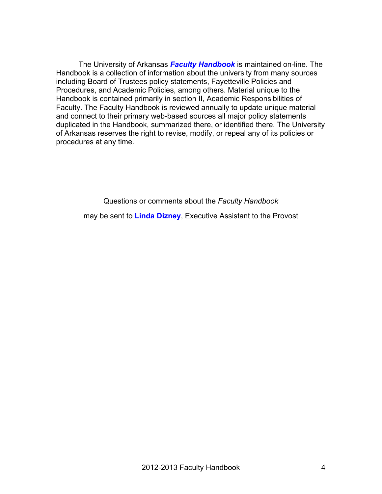The University of Arkansas *Faculty Handbook* is maintained on-line. The Handbook is a collection of information about the university from many sources including Board of Trustees policy statements, Fayetteville Policies and Procedures, and Academic Policies, among others. Material unique to the Handbook is contained primarily in section II, Academic Responsibilities of Faculty. The Faculty Handbook is reviewed annually to update unique material and connect to their primary web-based sources all major policy statements duplicated in the Handbook, summarized there, or identified there. The University of Arkansas reserves the right to revise, modify, or repeal any of its policies or procedures at any time.

Questions or comments about the *Faculty Handbook* may be sent to **Linda Dizney**, Executive Assistant to the Provost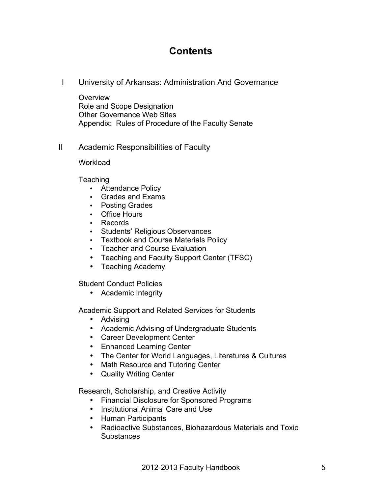## **Contents**

I University of Arkansas: Administration And Governance

**Overview** Role and Scope Designation Other Governance Web Sites Appendix: Rules of Procedure of the Faculty Senate

II Academic Responsibilities of Faculty

**Workload** 

**Teaching** 

- Attendance Policy
- Grades and Exams
- Posting Grades
- Office Hours
- Records
- Students' Religious Observances
- Textbook and Course Materials Policy
- Teacher and Course Evaluation
- Teaching and Faculty Support Center (TFSC)
- Teaching Academy

Student Conduct Policies

• Academic Integrity

Academic Support and Related Services for Students

- Advising
- Academic Advising of Undergraduate Students
- Career Development Center
- Enhanced Learning Center
- The Center for World Languages, Literatures & Cultures
- Math Resource and Tutoring Center
- Quality Writing Center

Research, Scholarship, and Creative Activity

- Financial Disclosure for Sponsored Programs
- Institutional Animal Care and Use
- Human Participants
- Radioactive Substances, Biohazardous Materials and Toxic **Substances**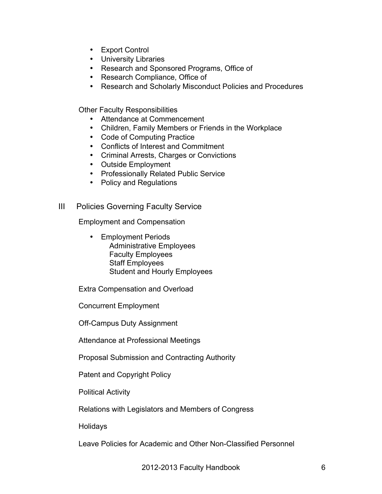- Export Control
- University Libraries
- Research and Sponsored Programs, Office of
- Research Compliance, Office of
- Research and Scholarly Misconduct Policies and Procedures

Other Faculty Responsibilities

- Attendance at Commencement
- Children, Family Members or Friends in the Workplace
- Code of Computing Practice
- Conflicts of Interest and Commitment
- Criminal Arrests, Charges or Convictions
- Outside Employment
- Professionally Related Public Service
- Policy and Regulations

## III Policies Governing Faculty Service

Employment and Compensation

• Employment Periods Administrative Employees Faculty Employees Staff Employees Student and Hourly Employees

Extra Compensation and Overload

Concurrent Employment

Off-Campus Duty Assignment

Attendance at Professional Meetings

Proposal Submission and Contracting Authority

Patent and Copyright Policy

Political Activity

Relations with Legislators and Members of Congress

**Holidays** 

Leave Policies for Academic and Other Non-Classified Personnel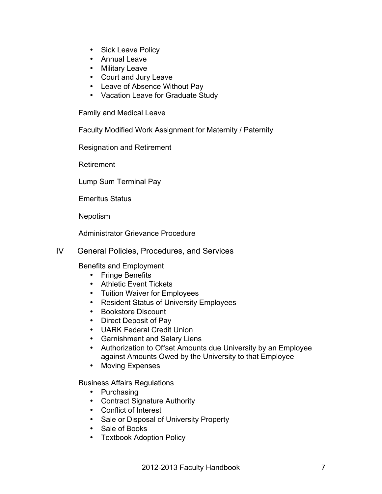- Sick Leave Policy
- Annual Leave
- Military Leave
- Court and Jury Leave
- Leave of Absence Without Pay
- Vacation Leave for Graduate Study

Family and Medical Leave

Faculty Modified Work Assignment for Maternity / Paternity

Resignation and Retirement

Retirement

Lump Sum Terminal Pay

Emeritus Status

Nepotism

Administrator Grievance Procedure

IV General Policies, Procedures, and Services

Benefits and Employment

- Fringe Benefits
- Athletic Event Tickets
- Tuition Waiver for Employees
- Resident Status of University Employees
- Bookstore Discount
- Direct Deposit of Pay
- UARK Federal Credit Union
- Garnishment and Salary Liens
- Authorization to Offset Amounts due University by an Employee against Amounts Owed by the University to that Employee
- Moving Expenses

Business Affairs Regulations

- Purchasing
- Contract Signature Authority
- Conflict of Interest
- Sale or Disposal of University Property
- Sale of Books
- Textbook Adoption Policy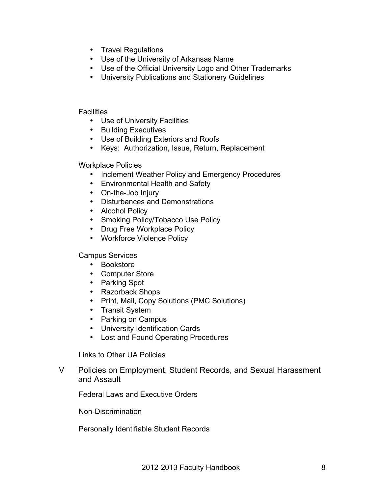- Travel Regulations
- Use of the University of Arkansas Name
- Use of the Official University Logo and Other Trademarks
- University Publications and Stationery Guidelines

#### **Facilities**

- Use of University Facilities
- Building Executives
- Use of Building Exteriors and Roofs
- Keys: Authorization, Issue, Return, Replacement

Workplace Policies

- Inclement Weather Policy and Emergency Procedures
- Environmental Health and Safety
- On-the-Job Injury
- Disturbances and Demonstrations
- Alcohol Policy
- Smoking Policy/Tobacco Use Policy
- Drug Free Workplace Policy
- Workforce Violence Policy

Campus Services

- Bookstore
- Computer Store
- Parking Spot
- Razorback Shops
- Print, Mail, Copy Solutions (PMC Solutions)
- Transit System
- Parking on Campus
- University Identification Cards
- Lost and Found Operating Procedures

Links to Other UA Policies

V Policies on Employment, Student Records, and Sexual Harassment and Assault

Federal Laws and Executive Orders

Non-Discrimination

Personally Identifiable Student Records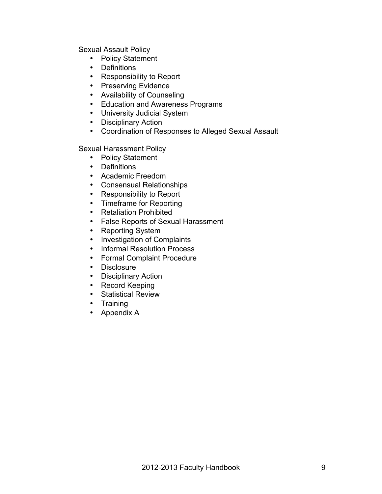Sexual Assault Policy

- Policy Statement
- Definitions
- Responsibility to Report
- Preserving Evidence
- Availability of Counseling
- Education and Awareness Programs
- University Judicial System
- Disciplinary Action
- Coordination of Responses to Alleged Sexual Assault

Sexual Harassment Policy

- Policy Statement
- Definitions
- Academic Freedom
- Consensual Relationships
- Responsibility to Report
- Timeframe for Reporting
- Retaliation Prohibited
- False Reports of Sexual Harassment
- Reporting System
- Investigation of Complaints
- Informal Resolution Process
- Formal Complaint Procedure
- Disclosure
- Disciplinary Action
- Record Keeping
- Statistical Review
- Training
- Appendix A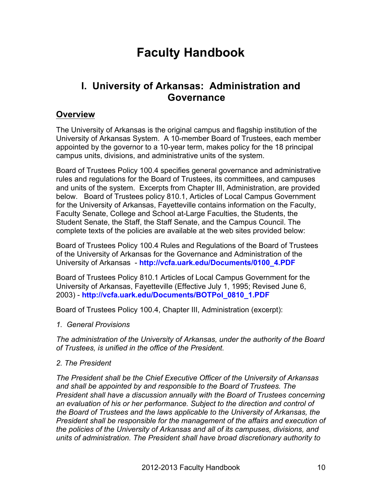## **Faculty Handbook**

## **I. University of Arkansas: Administration and Governance**

## **Overview**

The University of Arkansas is the original campus and flagship institution of the University of Arkansas System. A 10-member Board of Trustees, each member appointed by the governor to a 10-year term, makes policy for the 18 principal campus units, divisions, and administrative units of the system.

Board of Trustees Policy 100.4 specifies general governance and administrative rules and regulations for the Board of Trustees, its committees, and campuses and units of the system. Excerpts from Chapter III, Administration, are provided below. Board of Trustees policy 810.1, Articles of Local Campus Government for the University of Arkansas, Fayetteville contains information on the Faculty, Faculty Senate, College and School at-Large Faculties, the Students, the Student Senate, the Staff, the Staff Senate, and the Campus Council. The complete texts of the policies are available at the web sites provided below:

Board of Trustees Policy 100.4 Rules and Regulations of the Board of Trustees of the University of Arkansas for the Governance and Administration of the University of Arkansas - **http://vcfa.uark.edu/Documents/0100\_4.PDF**

Board of Trustees Policy 810.1 Articles of Local Campus Government for the University of Arkansas, Fayetteville (Effective July 1, 1995; Revised June 6, 2003) - **http://vcfa.uark.edu/Documents/BOTPol\_0810\_1.PDF**

Board of Trustees Policy 100.4, Chapter III, Administration (excerpt):

*1. General Provisions*

*The administration of the University of Arkansas, under the authority of the Board of Trustees, is unified in the office of the President.* 

## *2. The President*

*The President shall be the Chief Executive Officer of the University of Arkansas and shall be appointed by and responsible to the Board of Trustees. The President shall have a discussion annually with the Board of Trustees concerning an evaluation of his or her performance. Subject to the direction and control of the Board of Trustees and the laws applicable to the University of Arkansas, the President shall be responsible for the management of the affairs and execution of the policies of the University of Arkansas and all of its campuses, divisions, and units of administration. The President shall have broad discretionary authority to*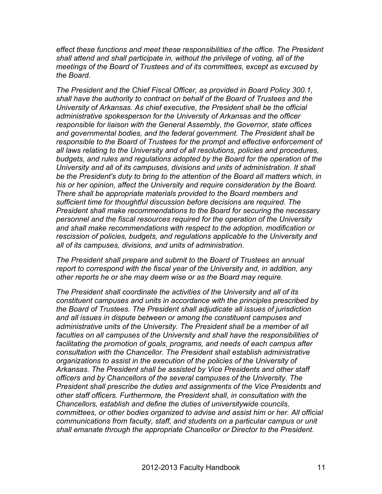*effect these functions and meet these responsibilities of the office. The President shall attend and shall participate in, without the privilege of voting, all of the meetings of the Board of Trustees and of its committees, except as excused by the Board.* 

*The President and the Chief Fiscal Officer, as provided in Board Policy 300.1, shall have the authority to contract on behalf of the Board of Trustees and the University of Arkansas. As chief executive, the President shall be the official administrative spokesperson for the University of Arkansas and the officer responsible for liaison with the General Assembly, the Governor, state offices and governmental bodies, and the federal government. The President shall be responsible to the Board of Trustees for the prompt and effective enforcement of all laws relating to the University and of all resolutions, policies and procedures, budgets, and rules and regulations adopted by the Board for the operation of the University and all of its campuses, divisions and units of administration. It shall be the President's duty to bring to the attention of the Board all matters which, in his or her opinion, affect the University and require consideration by the Board. There shall be appropriate materials provided to the Board members and sufficient time for thoughtful discussion before decisions are required. The President shall make recommendations to the Board for securing the necessary personnel and the fiscal resources required for the operation of the University and shall make recommendations with respect to the adoption, modification or rescission of policies, budgets, and regulations applicable to the University and all of its campuses, divisions, and units of administration.* 

*The President shall prepare and submit to the Board of Trustees an annual report to correspond with the fiscal year of the University and, in addition, any other reports he or she may deem wise or as the Board may require.* 

*The President shall coordinate the activities of the University and all of its constituent campuses and units in accordance with the principles prescribed by the Board of Trustees. The President shall adjudicate all issues of jurisdiction and all issues in dispute between or among the constituent campuses and administrative units of the University. The President shall be a member of all faculties on all campuses of the University and shall have the responsibilities of facilitating the promotion of goals, programs, and needs of each campus after consultation with the Chancellor. The President shall establish administrative organizations to assist in the execution of the policies of the University of Arkansas. The President shall be assisted by Vice Presidents and other staff officers and by Chancellors of the several campuses of the University. The President shall prescribe the duties and assignments of the Vice Presidents and other staff officers. Furthermore, the President shall, in consultation with the Chancellors, establish and define the duties of universitywide councils, committees, or other bodies organized to advise and assist him or her. All official communications from faculty, staff, and students on a particular campus or unit shall emanate through the appropriate Chancellor or Director to the President.*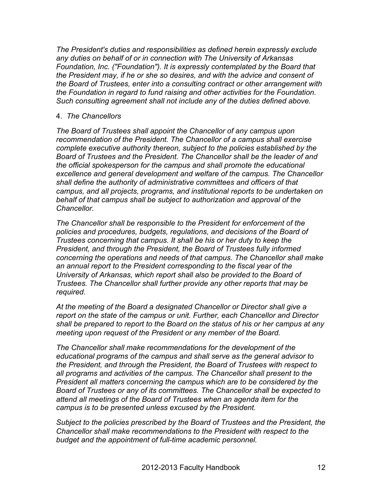*The President's duties and responsibilities as defined herein expressly exclude any duties on behalf of or in connection with The University of Arkansas Foundation, Inc. ("Foundation"). It is expressly contemplated by the Board that the President may, if he or she so desires, and with the advice and consent of the Board of Trustees, enter into a consulting contract or other arrangement with the Foundation in regard to fund raising and other activities for the Foundation. Such consulting agreement shall not include any of the duties defined above.* 

#### 4. *The Chancellors*

*The Board of Trustees shall appoint the Chancellor of any campus upon recommendation of the President. The Chancellor of a campus shall exercise complete executive authority thereon, subject to the policies established by the Board of Trustees and the President. The Chancellor shall be the leader of and the official spokesperson for the campus and shall promote the educational excellence and general development and welfare of the campus. The Chancellor shall define the authority of administrative committees and officers of that campus, and all projects, programs, and institutional reports to be undertaken on behalf of that campus shall be subject to authorization and approval of the Chancellor.*

*The Chancellor shall be responsible to the President for enforcement of the policies and procedures, budgets, regulations, and decisions of the Board of Trustees concerning that campus. It shall be his or her duty to keep the President, and through the President, the Board of Trustees fully informed concerning the operations and needs of that campus. The Chancellor shall make an annual report to the President corresponding to the fiscal year of the University of Arkansas, which report shall also be provided to the Board of Trustees. The Chancellor shall further provide any other reports that may be required.*

*At the meeting of the Board a designated Chancellor or Director shall give a report on the state of the campus or unit. Further, each Chancellor and Director shall be prepared to report to the Board on the status of his or her campus at any meeting upon request of the President or any member of the Board.*

*The Chancellor shall make recommendations for the development of the educational programs of the campus and shall serve as the general advisor to the President, and through the President, the Board of Trustees with respect to all programs and activities of the campus. The Chancellor shall present to the President all matters concerning the campus which are to be considered by the Board of Trustees or any of its committees. The Chancellor shall be expected to attend all meetings of the Board of Trustees when an agenda item for the campus is to be presented unless excused by the President.*

*Subject to the policies prescribed by the Board of Trustees and the President, the Chancellor shall make recommendations to the President with respect to the budget and the appointment of full-time academic personnel.*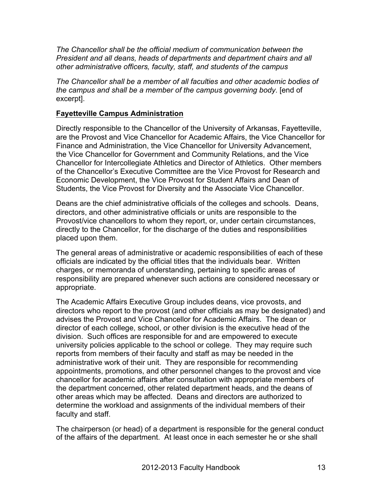*The Chancellor shall be the official medium of communication between the President and all deans, heads of departments and department chairs and all other administrative officers, faculty, staff, and students of the campus*

*The Chancellor shall be a member of all faculties and other academic bodies of the campus and shall be a member of the campus governing body*. [end of excerpt].

## **Fayetteville Campus Administration**

Directly responsible to the Chancellor of the University of Arkansas, Fayetteville, are the Provost and Vice Chancellor for Academic Affairs, the Vice Chancellor for Finance and Administration, the Vice Chancellor for University Advancement, the Vice Chancellor for Government and Community Relations, and the Vice Chancellor for Intercollegiate Athletics and Director of Athletics. Other members of the Chancellor's Executive Committee are the Vice Provost for Research and Economic Development, the Vice Provost for Student Affairs and Dean of Students, the Vice Provost for Diversity and the Associate Vice Chancellor.

Deans are the chief administrative officials of the colleges and schools. Deans, directors, and other administrative officials or units are responsible to the Provost/vice chancellors to whom they report, or, under certain circumstances, directly to the Chancellor, for the discharge of the duties and responsibilities placed upon them.

The general areas of administrative or academic responsibilities of each of these officials are indicated by the official titles that the individuals bear. Written charges, or memoranda of understanding, pertaining to specific areas of responsibility are prepared whenever such actions are considered necessary or appropriate.

The Academic Affairs Executive Group includes deans, vice provosts, and directors who report to the provost (and other officials as may be designated) and advises the Provost and Vice Chancellor for Academic Affairs. The dean or director of each college, school, or other division is the executive head of the division. Such offices are responsible for and are empowered to execute university policies applicable to the school or college. They may require such reports from members of their faculty and staff as may be needed in the administrative work of their unit. They are responsible for recommending appointments, promotions, and other personnel changes to the provost and vice chancellor for academic affairs after consultation with appropriate members of the department concerned, other related department heads, and the deans of other areas which may be affected. Deans and directors are authorized to determine the workload and assignments of the individual members of their faculty and staff.

The chairperson (or head) of a department is responsible for the general conduct of the affairs of the department. At least once in each semester he or she shall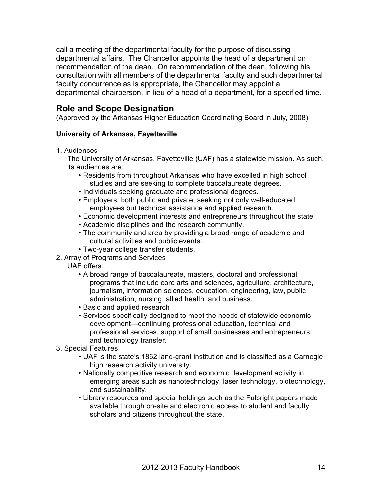call a meeting of the departmental faculty for the purpose of discussing departmental affairs. The Chancellor appoints the head of a department on recommendation of the dean. On recommendation of the dean, following his consultation with all members of the departmental faculty and such departmental faculty concurrence as is appropriate, the Chancellor may appoint a departmental chairperson, in lieu of a head of a department, for a specified time.

## **Role and Scope Designation**

(Approved by the Arkansas Higher Education Coordinating Board in July, 2008)

#### **University of Arkansas, Fayetteville**

1. Audiences

The University of Arkansas, Fayetteville (UAF) has a statewide mission. As such, its audiences are:

- Residents from throughout Arkansas who have excelled in high school studies and are seeking to complete baccalaureate degrees.
- Individuals seeking graduate and professional degrees.
- Employers, both public and private, seeking not only well-educated employees but technical assistance and applied research.
- Economic development interests and entrepreneurs throughout the state.
- Academic disciplines and the research community.
- The community and area by providing a broad range of academic and cultural activities and public events.
- Two-year college transfer students.
- 2. Array of Programs and Services
	- UAF offers:
		- A broad range of baccalaureate, masters, doctoral and professional programs that include core arts and sciences, agriculture, architecture, journalism, information sciences, education, engineering, law, public administration, nursing, allied health, and business.
		- Basic and applied research
		- Services specifically designed to meet the needs of statewide economic development—continuing professional education, technical and professional services, support of small businesses and entrepreneurs, and technology transfer.
- 3. Special Features
	- UAF is the state's 1862 land-grant institution and is classified as a Carnegie high research activity university.
	- Nationally competitive research and economic development activity in emerging areas such as nanotechnology, laser technology, biotechnology, and sustainability.
	- Library resources and special holdings such as the Fulbright papers made available through on-site and electronic access to student and faculty scholars and citizens throughout the state.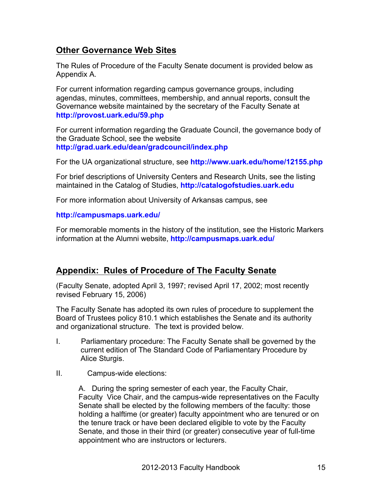## **Other Governance Web Sites**

The Rules of Procedure of the Faculty Senate document is provided below as Appendix A.

For current information regarding campus governance groups, including agendas, minutes, committees, membership, and annual reports, consult the Governance website maintained by the secretary of the Faculty Senate at **http://provost.uark.edu/59.php**

For current information regarding the Graduate Council, the governance body of the Graduate School, see the website **http://grad.uark.edu/dean/gradcouncil/index.php**

For the UA organizational structure, see **http://www.uark.edu/home/12155.php**

For brief descriptions of University Centers and Research Units, see the listing maintained in the Catalog of Studies, **http://catalogofstudies.uark.edu**

For more information about University of Arkansas campus, see

#### **http://campusmaps.uark.edu/**

For memorable moments in the history of the institution, see the Historic Markers information at the Alumni website, **http://campusmaps.uark.edu/**

## **Appendix: Rules of Procedure of The Faculty Senate**

(Faculty Senate, adopted April 3, 1997; revised April 17, 2002; most recently revised February 15, 2006)

The Faculty Senate has adopted its own rules of procedure to supplement the Board of Trustees policy 810.1 which establishes the Senate and its authority and organizational structure. The text is provided below.

- I. Parliamentary procedure: The Faculty Senate shall be governed by the current edition of The Standard Code of Parliamentary Procedure by Alice Sturgis.
- II. Campus-wide elections:

A. During the spring semester of each year, the Faculty Chair, Faculty Vice Chair, and the campus-wide representatives on the Faculty Senate shall be elected by the following members of the faculty: those holding a halftime (or greater) faculty appointment who are tenured or on the tenure track or have been declared eligible to vote by the Faculty Senate, and those in their third (or greater) consecutive year of full-time appointment who are instructors or lecturers.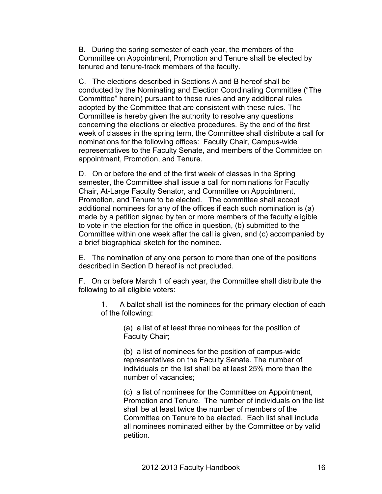B. During the spring semester of each year, the members of the Committee on Appointment, Promotion and Tenure shall be elected by tenured and tenure-track members of the faculty.

C. The elections described in Sections A and B hereof shall be conducted by the Nominating and Election Coordinating Committee ("The Committee" herein) pursuant to these rules and any additional rules adopted by the Committee that are consistent with these rules. The Committee is hereby given the authority to resolve any questions concerning the elections or elective procedures. By the end of the first week of classes in the spring term, the Committee shall distribute a call for nominations for the following offices: Faculty Chair, Campus-wide representatives to the Faculty Senate, and members of the Committee on appointment, Promotion, and Tenure.

D. On or before the end of the first week of classes in the Spring semester, the Committee shall issue a call for nominations for Faculty Chair, At-Large Faculty Senator, and Committee on Appointment, Promotion, and Tenure to be elected. The committee shall accept additional nominees for any of the offices if each such nomination is (a) made by a petition signed by ten or more members of the faculty eligible to vote in the election for the office in question, (b) submitted to the Committee within one week after the call is given, and (c) accompanied by a brief biographical sketch for the nominee.

E. The nomination of any one person to more than one of the positions described in Section D hereof is not precluded.

F. On or before March 1 of each year, the Committee shall distribute the following to all eligible voters:

1. A ballot shall list the nominees for the primary election of each of the following:

> (a) a list of at least three nominees for the position of Faculty Chair;

(b) a list of nominees for the position of campus-wide representatives on the Faculty Senate. The number of individuals on the list shall be at least 25% more than the number of vacancies;

(c) a list of nominees for the Committee on Appointment, Promotion and Tenure. The number of individuals on the list shall be at least twice the number of members of the Committee on Tenure to be elected. Each list shall include all nominees nominated either by the Committee or by valid petition.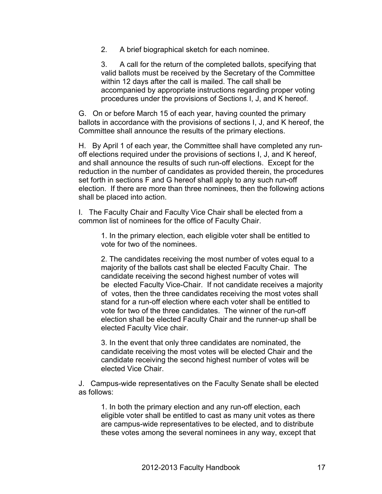2. A brief biographical sketch for each nominee.

3. A call for the return of the completed ballots, specifying that valid ballots must be received by the Secretary of the Committee within 12 days after the call is mailed. The call shall be accompanied by appropriate instructions regarding proper voting procedures under the provisions of Sections I, J, and K hereof.

G. On or before March 15 of each year, having counted the primary ballots in accordance with the provisions of sections I, J, and K hereof, the Committee shall announce the results of the primary elections.

H. By April 1 of each year, the Committee shall have completed any runoff elections required under the provisions of sections I, J, and K hereof, and shall announce the results of such run-off elections. Except for the reduction in the number of candidates as provided therein, the procedures set forth in sections F and G hereof shall apply to any such run-off election. If there are more than three nominees, then the following actions shall be placed into action.

I. The Faculty Chair and Faculty Vice Chair shall be elected from a common list of nominees for the office of Faculty Chair.

1. In the primary election, each eligible voter shall be entitled to vote for two of the nominees.

2. The candidates receiving the most number of votes equal to a majority of the ballots cast shall be elected Faculty Chair. The candidate receiving the second highest number of votes will be elected Faculty Vice-Chair. If not candidate receives a majority of votes, then the three candidates receiving the most votes shall stand for a run-off election where each voter shall be entitled to vote for two of the three candidates. The winner of the run-off election shall be elected Faculty Chair and the runner-up shall be elected Faculty Vice chair.

3. In the event that only three candidates are nominated, the candidate receiving the most votes will be elected Chair and the candidate receiving the second highest number of votes will be elected Vice Chair.

J. Campus-wide representatives on the Faculty Senate shall be elected as follows:

1. In both the primary election and any run-off election, each eligible voter shall be entitled to cast as many unit votes as there are campus-wide representatives to be elected, and to distribute these votes among the several nominees in any way, except that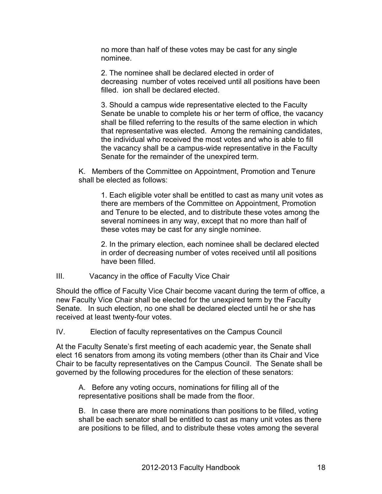no more than half of these votes may be cast for any single nominee.

2. The nominee shall be declared elected in order of decreasing number of votes received until all positions have been filled. ion shall be declared elected.

3. Should a campus wide representative elected to the Faculty Senate be unable to complete his or her term of office, the vacancy shall be filled referring to the results of the same election in which that representative was elected. Among the remaining candidates, the individual who received the most votes and who is able to fill the vacancy shall be a campus-wide representative in the Faculty Senate for the remainder of the unexpired term.

K. Members of the Committee on Appointment, Promotion and Tenure shall be elected as follows:

1. Each eligible voter shall be entitled to cast as many unit votes as there are members of the Committee on Appointment, Promotion and Tenure to be elected, and to distribute these votes among the several nominees in any way, except that no more than half of these votes may be cast for any single nominee.

2. In the primary election, each nominee shall be declared elected in order of decreasing number of votes received until all positions have been filled.

#### III. Vacancy in the office of Faculty Vice Chair

Should the office of Faculty Vice Chair become vacant during the term of office, a new Faculty Vice Chair shall be elected for the unexpired term by the Faculty Senate. In such election, no one shall be declared elected until he or she has received at least twenty-four votes.

IV. Election of faculty representatives on the Campus Council

At the Faculty Senate's first meeting of each academic year, the Senate shall elect 16 senators from among its voting members (other than its Chair and Vice Chair to be faculty representatives on the Campus Council. The Senate shall be governed by the following procedures for the election of these senators:

A. Before any voting occurs, nominations for filling all of the representative positions shall be made from the floor.

B. In case there are more nominations than positions to be filled, voting shall be each senator shall be entitled to cast as many unit votes as there are positions to be filled, and to distribute these votes among the several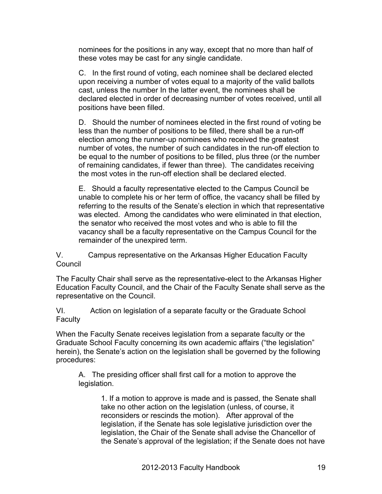nominees for the positions in any way, except that no more than half of these votes may be cast for any single candidate.

C. In the first round of voting, each nominee shall be declared elected upon receiving a number of votes equal to a majority of the valid ballots cast, unless the number In the latter event, the nominees shall be declared elected in order of decreasing number of votes received, until all positions have been filled.

D. Should the number of nominees elected in the first round of voting be less than the number of positions to be filled, there shall be a run-off election among the runner-up nominees who received the greatest number of votes, the number of such candidates in the run-off election to be equal to the number of positions to be filled, plus three (or the number of remaining candidates, if fewer than three). The candidates receiving the most votes in the run-off election shall be declared elected.

E. Should a faculty representative elected to the Campus Council be unable to complete his or her term of office, the vacancy shall be filled by referring to the results of the Senate's election in which that representative was elected. Among the candidates who were eliminated in that election, the senator who received the most votes and who is able to fill the vacancy shall be a faculty representative on the Campus Council for the remainder of the unexpired term.

V. Campus representative on the Arkansas Higher Education Faculty **Council** 

The Faculty Chair shall serve as the representative-elect to the Arkansas Higher Education Faculty Council, and the Chair of the Faculty Senate shall serve as the representative on the Council.

VI. Action on legislation of a separate faculty or the Graduate School Faculty

When the Faculty Senate receives legislation from a separate faculty or the Graduate School Faculty concerning its own academic affairs ("the legislation" herein), the Senate's action on the legislation shall be governed by the following procedures:

A. The presiding officer shall first call for a motion to approve the legislation.

> 1. If a motion to approve is made and is passed, the Senate shall take no other action on the legislation (unless, of course, it reconsiders or rescinds the motion). After approval of the legislation, if the Senate has sole legislative jurisdiction over the legislation, the Chair of the Senate shall advise the Chancellor of the Senate's approval of the legislation; if the Senate does not have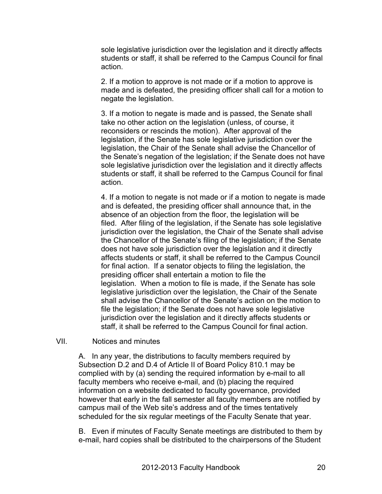sole legislative jurisdiction over the legislation and it directly affects students or staff, it shall be referred to the Campus Council for final action.

2. If a motion to approve is not made or if a motion to approve is made and is defeated, the presiding officer shall call for a motion to negate the legislation.

3. If a motion to negate is made and is passed, the Senate shall take no other action on the legislation (unless, of course, it reconsiders or rescinds the motion). After approval of the legislation, if the Senate has sole legislative jurisdiction over the legislation, the Chair of the Senate shall advise the Chancellor of the Senate's negation of the legislation; if the Senate does not have sole legislative jurisdiction over the legislation and it directly affects students or staff, it shall be referred to the Campus Council for final action.

4. If a motion to negate is not made or if a motion to negate is made and is defeated, the presiding officer shall announce that, in the absence of an objection from the floor, the legislation will be filed. After filing of the legislation, if the Senate has sole legislative jurisdiction over the legislation, the Chair of the Senate shall advise the Chancellor of the Senate's filing of the legislation; if the Senate does not have sole jurisdiction over the legislation and it directly affects students or staff, it shall be referred to the Campus Council for final action. If a senator objects to filing the legislation, the presiding officer shall entertain a motion to file the legislation. When a motion to file is made, if the Senate has sole legislative jurisdiction over the legislation, the Chair of the Senate shall advise the Chancellor of the Senate's action on the motion to file the legislation; if the Senate does not have sole legislative jurisdiction over the legislation and it directly affects students or staff, it shall be referred to the Campus Council for final action.

VII. Notices and minutes

A. In any year, the distributions to faculty members required by Subsection D.2 and D.4 of Article II of Board Policy 810.1 may be complied with by (a) sending the required information by e-mail to all faculty members who receive e-mail, and (b) placing the required information on a website dedicated to faculty governance, provided however that early in the fall semester all faculty members are notified by campus mail of the Web site's address and of the times tentatively scheduled for the six regular meetings of the Faculty Senate that year.

B. Even if minutes of Faculty Senate meetings are distributed to them by e-mail, hard copies shall be distributed to the chairpersons of the Student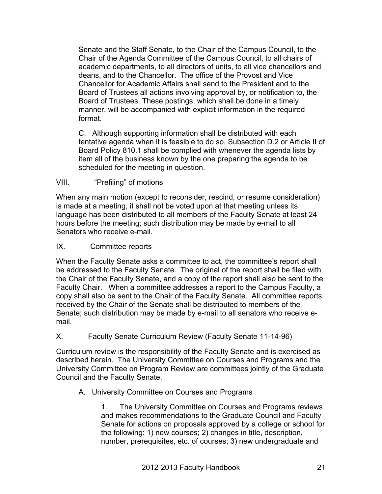Senate and the Staff Senate, to the Chair of the Campus Council, to the Chair of the Agenda Committee of the Campus Council, to all chairs of academic departments, to all directors of units, to all vice chancellors and deans, and to the Chancellor. The office of the Provost and Vice Chancellor for Academic Affairs shall send to the President and to the Board of Trustees all actions involving approval by, or notification to, the Board of Trustees. These postings, which shall be done in a timely manner, will be accompanied with explicit information in the required format.

C. Although supporting information shall be distributed with each tentative agenda when it is feasible to do so, Subsection D.2 or Article II of Board Policy 810.1 shall be complied with whenever the agenda lists by item all of the business known by the one preparing the agenda to be scheduled for the meeting in question.

## VIII. "Prefiling" of motions

When any main motion (except to reconsider, rescind, or resume consideration) is made at a meeting, it shall not be voted upon at that meeting unless its language has been distributed to all members of the Faculty Senate at least 24 hours before the meeting; such distribution may be made by e-mail to all Senators who receive e-mail.

## IX. Committee reports

When the Faculty Senate asks a committee to act, the committee's report shall be addressed to the Faculty Senate. The original of the report shall be filed with the Chair of the Faculty Senate, and a copy of the report shall also be sent to the Faculty Chair. When a committee addresses a report to the Campus Faculty, a copy shall also be sent to the Chair of the Faculty Senate. All committee reports received by the Chair of the Senate shall be distributed to members of the Senate; such distribution may be made by e-mail to all senators who receive email.

## X. Faculty Senate Curriculum Review (Faculty Senate 11-14-96)

Curriculum review is the responsibility of the Faculty Senate and is exercised as described herein. The University Committee on Courses and Programs and the University Committee on Program Review are committees jointly of the Graduate Council and the Faculty Senate.

## A. University Committee on Courses and Programs

1. The University Committee on Courses and Programs reviews and makes recommendations to the Graduate Council and Faculty Senate for actions on proposals approved by a college or school for the following: 1) new courses; 2) changes in title, description, number, prerequisites, etc. of courses; 3) new undergraduate and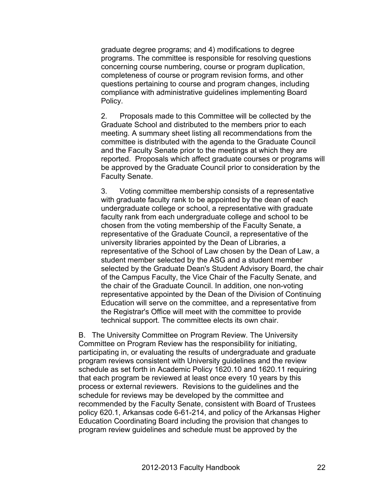graduate degree programs; and 4) modifications to degree programs. The committee is responsible for resolving questions concerning course numbering, course or program duplication, completeness of course or program revision forms, and other questions pertaining to course and program changes, including compliance with administrative guidelines implementing Board Policy.

2. Proposals made to this Committee will be collected by the Graduate School and distributed to the members prior to each meeting. A summary sheet listing all recommendations from the committee is distributed with the agenda to the Graduate Council and the Faculty Senate prior to the meetings at which they are reported. Proposals which affect graduate courses or programs will be approved by the Graduate Council prior to consideration by the Faculty Senate.

3. Voting committee membership consists of a representative with graduate faculty rank to be appointed by the dean of each undergraduate college or school, a representative with graduate faculty rank from each undergraduate college and school to be chosen from the voting membership of the Faculty Senate, a representative of the Graduate Council, a representative of the university libraries appointed by the Dean of Libraries, a representative of the School of Law chosen by the Dean of Law, a student member selected by the ASG and a student member selected by the Graduate Dean's Student Advisory Board, the chair of the Campus Faculty, the Vice Chair of the Faculty Senate, and the chair of the Graduate Council. In addition, one non-voting representative appointed by the Dean of the Division of Continuing Education will serve on the committee, and a representative from the Registrar's Office will meet with the committee to provide technical support. The committee elects its own chair.

B. The University Committee on Program Review. The University Committee on Program Review has the responsibility for initiating, participating in, or evaluating the results of undergraduate and graduate program reviews consistent with University guidelines and the review schedule as set forth in Academic Policy 1620.10 and 1620.11 requiring that each program be reviewed at least once every 10 years by this process or external reviewers. Revisions to the guidelines and the schedule for reviews may be developed by the committee and recommended by the Faculty Senate, consistent with Board of Trustees policy 620.1, Arkansas code 6-61-214, and policy of the Arkansas Higher Education Coordinating Board including the provision that changes to program review guidelines and schedule must be approved by the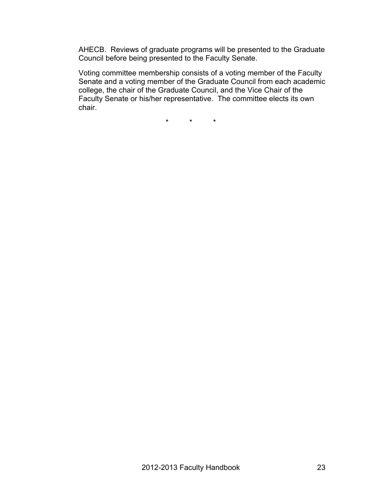AHECB. Reviews of graduate programs will be presented to the Graduate Council before being presented to the Faculty Senate.

Voting committee membership consists of a voting member of the Faculty Senate and a voting member of the Graduate Council from each academic college, the chair of the Graduate Council, and the Vice Chair of the Faculty Senate or his/her representative. The committee elects its own chair.

\* \* \*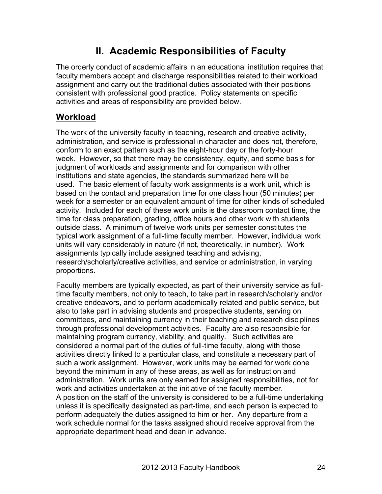## **II. Academic Responsibilities of Faculty**

The orderly conduct of academic affairs in an educational institution requires that faculty members accept and discharge responsibilities related to their workload assignment and carry out the traditional duties associated with their positions consistent with professional good practice. Policy statements on specific activities and areas of responsibility are provided below.

## **Workload**

The work of the university faculty in teaching, research and creative activity, administration, and service is professional in character and does not, therefore, conform to an exact pattern such as the eight-hour day or the forty-hour week. However, so that there may be consistency, equity, and some basis for judgment of workloads and assignments and for comparison with other institutions and state agencies, the standards summarized here will be used. The basic element of faculty work assignments is a work unit, which is based on the contact and preparation time for one class hour (50 minutes) per week for a semester or an equivalent amount of time for other kinds of scheduled activity. Included for each of these work units is the classroom contact time, the time for class preparation, grading, office hours and other work with students outside class. A minimum of twelve work units per semester constitutes the typical work assignment of a full-time faculty member. However, individual work units will vary considerably in nature (if not, theoretically, in number). Work assignments typically include assigned teaching and advising, research/scholarly/creative activities, and service or administration, in varying proportions.

Faculty members are typically expected, as part of their university service as fulltime faculty members, not only to teach, to take part in research/scholarly and/or creative endeavors, and to perform academically related and public service, but also to take part in advising students and prospective students, serving on committees, and maintaining currency in their teaching and research disciplines through professional development activities. Faculty are also responsible for maintaining program currency, viability, and quality. Such activities are considered a normal part of the duties of full-time faculty, along with those activities directly linked to a particular class, and constitute a necessary part of such a work assignment. However, work units may be earned for work done beyond the minimum in any of these areas, as well as for instruction and administration. Work units are only earned for assigned responsibilities, not for work and activities undertaken at the initiative of the faculty member. A position on the staff of the university is considered to be a full-time undertaking unless it is specifically designated as part-time, and each person is expected to perform adequately the duties assigned to him or her. Any departure from a work schedule normal for the tasks assigned should receive approval from the appropriate department head and dean in advance.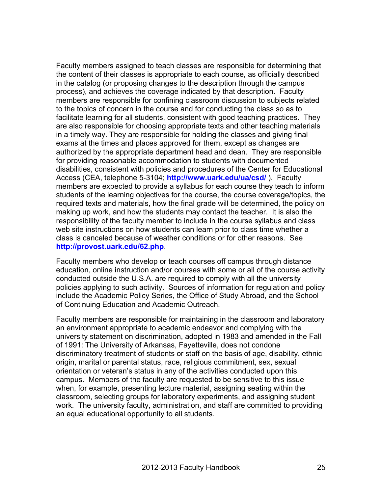Faculty members assigned to teach classes are responsible for determining that the content of their classes is appropriate to each course, as officially described in the catalog (or proposing changes to the description through the campus process), and achieves the coverage indicated by that description. Faculty members are responsible for confining classroom discussion to subjects related to the topics of concern in the course and for conducting the class so as to facilitate learning for all students, consistent with good teaching practices. They are also responsible for choosing appropriate texts and other teaching materials in a timely way. They are responsible for holding the classes and giving final exams at the times and places approved for them, except as changes are authorized by the appropriate department head and dean. They are responsible for providing reasonable accommodation to students with documented disabilities, consistent with policies and procedures of the Center for Educational Access (CEA, telephone 5-3104; **http://www.uark.edu/ua/csd/** ). Faculty members are expected to provide a syllabus for each course they teach to inform students of the learning objectives for the course, the course coverage/topics, the required texts and materials, how the final grade will be determined, the policy on making up work, and how the students may contact the teacher. It is also the responsibility of the faculty member to include in the course syllabus and class web site instructions on how students can learn prior to class time whether a class is canceled because of weather conditions or for other reasons. See **http://provost.uark.edu/62.php**.

Faculty members who develop or teach courses off campus through distance education, online instruction and/or courses with some or all of the course activity conducted outside the U.S.A. are required to comply with all the university policies applying to such activity. Sources of information for regulation and policy include the Academic Policy Series, the Office of Study Abroad, and the School of Continuing Education and Academic Outreach.

Faculty members are responsible for maintaining in the classroom and laboratory an environment appropriate to academic endeavor and complying with the university statement on discrimination, adopted in 1983 and amended in the Fall of 1991: The University of Arkansas, Fayetteville, does not condone discriminatory treatment of students or staff on the basis of age, disability, ethnic origin, marital or parental status, race, religious commitment, sex, sexual orientation or veteran's status in any of the activities conducted upon this campus. Members of the faculty are requested to be sensitive to this issue when, for example, presenting lecture material, assigning seating within the classroom, selecting groups for laboratory experiments, and assigning student work. The university faculty, administration, and staff are committed to providing an equal educational opportunity to all students.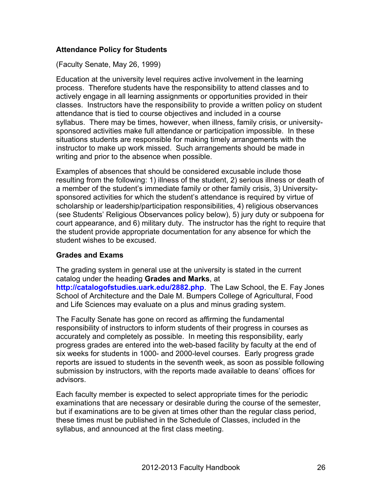## **Attendance Policy for Students**

(Faculty Senate, May 26, 1999)

Education at the university level requires active involvement in the learning process. Therefore students have the responsibility to attend classes and to actively engage in all learning assignments or opportunities provided in their classes. Instructors have the responsibility to provide a written policy on student attendance that is tied to course objectives and included in a course syllabus. There may be times, however, when illness, family crisis, or universitysponsored activities make full attendance or participation impossible. In these situations students are responsible for making timely arrangements with the instructor to make up work missed. Such arrangements should be made in writing and prior to the absence when possible.

Examples of absences that should be considered excusable include those resulting from the following: 1) illness of the student, 2) serious illness or death of a member of the student's immediate family or other family crisis, 3) Universitysponsored activities for which the student's attendance is required by virtue of scholarship or leadership/participation responsibilities, 4) religious observances (see Students' Religious Observances policy below), 5) jury duty or subpoena for court appearance, and 6) military duty. The instructor has the right to require that the student provide appropriate documentation for any absence for which the student wishes to be excused.

## **Grades and Exams**

The grading system in general use at the university is stated in the current catalog under the heading **Grades and Marks**, at **http://catalogofstudies.uark.edu/2882.php**. The Law School, the E. Fay Jones School of Architecture and the Dale M. Bumpers College of Agricultural, Food

and Life Sciences may evaluate on a plus and minus grading system.

The Faculty Senate has gone on record as affirming the fundamental responsibility of instructors to inform students of their progress in courses as accurately and completely as possible. In meeting this responsibility, early progress grades are entered into the web-based facility by faculty at the end of six weeks for students in 1000- and 2000-level courses. Early progress grade reports are issued to students in the seventh week, as soon as possible following submission by instructors, with the reports made available to deans' offices for advisors.

Each faculty member is expected to select appropriate times for the periodic examinations that are necessary or desirable during the course of the semester, but if examinations are to be given at times other than the regular class period, these times must be published in the Schedule of Classes, included in the syllabus, and announced at the first class meeting.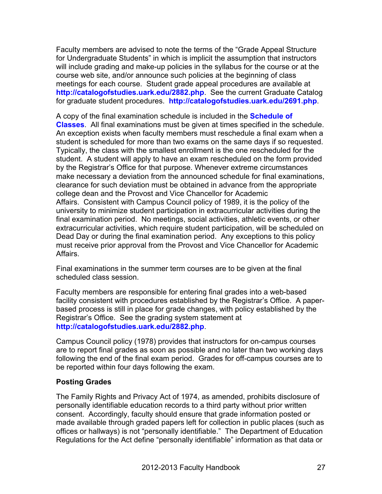Faculty members are advised to note the terms of the "Grade Appeal Structure for Undergraduate Students" in which is implicit the assumption that instructors will include grading and make-up policies in the syllabus for the course or at the course web site, and/or announce such policies at the beginning of class meetings for each course. Student grade appeal procedures are available at **http://catalogofstudies.uark.edu/2882.php**. See the current Graduate Catalog for graduate student procedures. **http://catalogofstudies.uark.edu/2691.php**.

A copy of the final examination schedule is included in the **Schedule of Classes**. All final examinations must be given at times specified in the schedule. An exception exists when faculty members must reschedule a final exam when a student is scheduled for more than two exams on the same days if so requested. Typically, the class with the smallest enrollment is the one rescheduled for the student. A student will apply to have an exam rescheduled on the form provided by the Registrar's Office for that purpose. Whenever extreme circumstances make necessary a deviation from the announced schedule for final examinations, clearance for such deviation must be obtained in advance from the appropriate college dean and the Provost and Vice Chancellor for Academic Affairs. Consistent with Campus Council policy of 1989, it is the policy of the university to minimize student participation in extracurricular activities during the final examination period. No meetings, social activities, athletic events, or other extracurricular activities, which require student participation, will be scheduled on Dead Day or during the final examination period. Any exceptions to this policy must receive prior approval from the Provost and Vice Chancellor for Academic Affairs.

Final examinations in the summer term courses are to be given at the final scheduled class session.

Faculty members are responsible for entering final grades into a web-based facility consistent with procedures established by the Registrar's Office. A paperbased process is still in place for grade changes, with policy established by the Registrar's Office. See the grading system statement at **http://catalogofstudies.uark.edu/2882.php**.

Campus Council policy (1978) provides that instructors for on-campus courses are to report final grades as soon as possible and no later than two working days following the end of the final exam period. Grades for off-campus courses are to be reported within four days following the exam.

## **Posting Grades**

The Family Rights and Privacy Act of 1974, as amended, prohibits disclosure of personally identifiable education records to a third party without prior written consent. Accordingly, faculty should ensure that grade information posted or made available through graded papers left for collection in public places (such as offices or hallways) is not "personally identifiable." The Department of Education Regulations for the Act define "personally identifiable" information as that data or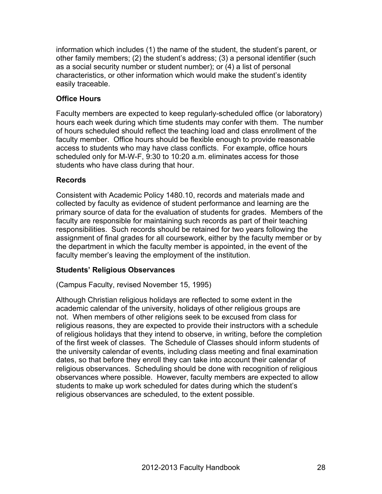information which includes (1) the name of the student, the student's parent, or other family members; (2) the student's address; (3) a personal identifier (such as a social security number or student number); or (4) a list of personal characteristics, or other information which would make the student's identity easily traceable.

## **Office Hours**

Faculty members are expected to keep regularly-scheduled office (or laboratory) hours each week during which time students may confer with them. The number of hours scheduled should reflect the teaching load and class enrollment of the faculty member. Office hours should be flexible enough to provide reasonable access to students who may have class conflicts. For example, office hours scheduled only for M-W-F, 9:30 to 10:20 a.m. eliminates access for those students who have class during that hour.

## **Records**

Consistent with Academic Policy 1480.10, records and materials made and collected by faculty as evidence of student performance and learning are the primary source of data for the evaluation of students for grades. Members of the faculty are responsible for maintaining such records as part of their teaching responsibilities. Such records should be retained for two years following the assignment of final grades for all coursework, either by the faculty member or by the department in which the faculty member is appointed, in the event of the faculty member's leaving the employment of the institution.

## **Students' Religious Observances**

(Campus Faculty, revised November 15, 1995)

Although Christian religious holidays are reflected to some extent in the academic calendar of the university, holidays of other religious groups are not. When members of other religions seek to be excused from class for religious reasons, they are expected to provide their instructors with a schedule of religious holidays that they intend to observe, in writing, before the completion of the first week of classes. The Schedule of Classes should inform students of the university calendar of events, including class meeting and final examination dates, so that before they enroll they can take into account their calendar of religious observances. Scheduling should be done with recognition of religious observances where possible. However, faculty members are expected to allow students to make up work scheduled for dates during which the student's religious observances are scheduled, to the extent possible.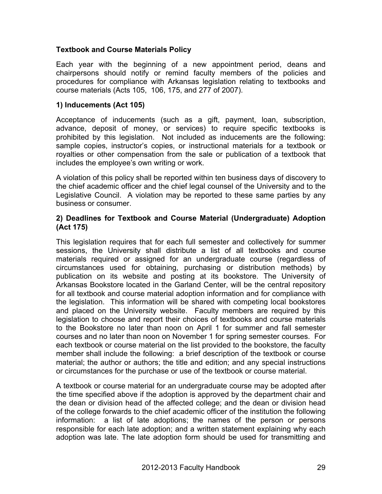## **Textbook and Course Materials Policy**

Each year with the beginning of a new appointment period, deans and chairpersons should notify or remind faculty members of the policies and procedures for compliance with Arkansas legislation relating to textbooks and course materials (Acts 105, 106, 175, and 277 of 2007).

## **1) Inducements (Act 105)**

Acceptance of inducements (such as a gift, payment, loan, subscription, advance, deposit of money, or services) to require specific textbooks is prohibited by this legislation. Not included as inducements are the following: sample copies, instructor's copies, or instructional materials for a textbook or royalties or other compensation from the sale or publication of a textbook that includes the employee's own writing or work.

A violation of this policy shall be reported within ten business days of discovery to the chief academic officer and the chief legal counsel of the University and to the Legislative Council. A violation may be reported to these same parties by any business or consumer.

## **2) Deadlines for Textbook and Course Material (Undergraduate) Adoption (Act 175)**

This legislation requires that for each full semester and collectively for summer sessions, the University shall distribute a list of all textbooks and course materials required or assigned for an undergraduate course (regardless of circumstances used for obtaining, purchasing or distribution methods) by publication on its website and posting at its bookstore. The University of Arkansas Bookstore located in the Garland Center, will be the central repository for all textbook and course material adoption information and for compliance with the legislation. This information will be shared with competing local bookstores and placed on the University website. Faculty members are required by this legislation to choose and report their choices of textbooks and course materials to the Bookstore no later than noon on April 1 for summer and fall semester courses and no later than noon on November 1 for spring semester courses. For each textbook or course material on the list provided to the bookstore, the faculty member shall include the following: a brief description of the textbook or course material; the author or authors; the title and edition; and any special instructions or circumstances for the purchase or use of the textbook or course material.

A textbook or course material for an undergraduate course may be adopted after the time specified above if the adoption is approved by the department chair and the dean or division head of the affected college; and the dean or division head of the college forwards to the chief academic officer of the institution the following information: a list of late adoptions; the names of the person or persons responsible for each late adoption; and a written statement explaining why each adoption was late. The late adoption form should be used for transmitting and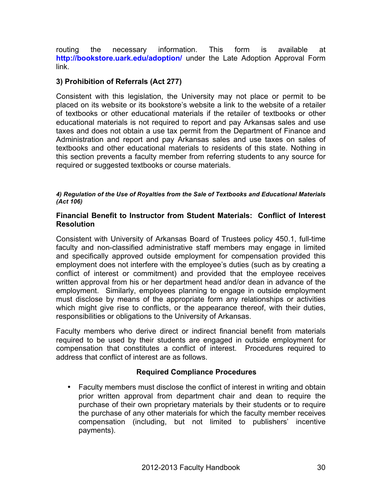routing the necessary information. This form is available at **http://bookstore.uark.edu/adoption/** under the Late Adoption Approval Form link.

## **3) Prohibition of Referrals (Act 277)**

Consistent with this legislation, the University may not place or permit to be placed on its website or its bookstore's website a link to the website of a retailer of textbooks or other educational materials if the retailer of textbooks or other educational materials is not required to report and pay Arkansas sales and use taxes and does not obtain a use tax permit from the Department of Finance and Administration and report and pay Arkansas sales and use taxes on sales of textbooks and other educational materials to residents of this state. Nothing in this section prevents a faculty member from referring students to any source for required or suggested textbooks or course materials.

#### *4) Regulation of the Use of Royalties from the Sale of Textbooks and Educational Materials (Act 106)*

## **Financial Benefit to Instructor from Student Materials: Conflict of Interest Resolution**

Consistent with University of Arkansas Board of Trustees policy 450.1, full-time faculty and non-classified administrative staff members may engage in limited and specifically approved outside employment for compensation provided this employment does not interfere with the employee's duties (such as by creating a conflict of interest or commitment) and provided that the employee receives written approval from his or her department head and/or dean in advance of the employment. Similarly, employees planning to engage in outside employment must disclose by means of the appropriate form any relationships or activities which might give rise to conflicts, or the appearance thereof, with their duties, responsibilities or obligations to the University of Arkansas.

Faculty members who derive direct or indirect financial benefit from materials required to be used by their students are engaged in outside employment for compensation that constitutes a conflict of interest. Procedures required to address that conflict of interest are as follows.

## **Required Compliance Procedures**

• Faculty members must disclose the conflict of interest in writing and obtain prior written approval from department chair and dean to require the purchase of their own proprietary materials by their students or to require the purchase of any other materials for which the faculty member receives compensation (including, but not limited to publishers' incentive payments).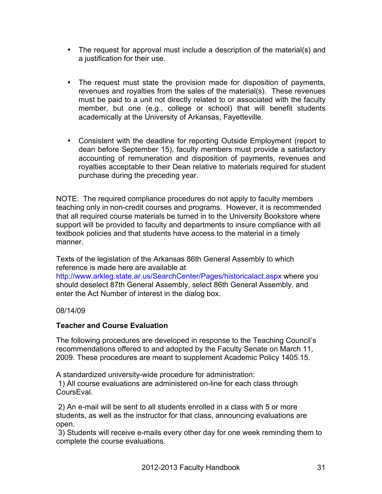- The request for approval must include a description of the material(s) and a justification for their use.
- The request must state the provision made for disposition of payments, revenues and royalties from the sales of the material(s). These revenues must be paid to a unit not directly related to or associated with the faculty member, but one (e.g., college or school) that will benefit students academically at the University of Arkansas, Fayetteville.
- Consistent with the deadline for reporting Outside Employment (report to dean before September 15), faculty members must provide a satisfactory accounting of remuneration and disposition of payments, revenues and royalties acceptable to their Dean relative to materials required for student purchase during the preceding year.

NOTE: The required compliance procedures do not apply to faculty members teaching only in non-credit courses and programs. However, it is recommended that all required course materials be turned in to the University Bookstore where support will be provided to faculty and departments to insure compliance with all textbook policies and that students have access to the material in a timely manner.

Texts of the legislation of the Arkansas 86th General Assembly to which reference is made here are available at http://www.arkleg.state.ar.us/SearchCenter/Pages/historicalact.aspx where you

should deselect 87th General Assembly, select 86th General Assembly, and enter the Act Number of interest in the dialog box.

08/14/09

## **Teacher and Course Evaluation**

The following procedures are developed in response to the Teaching Council's recommendations offered to and adopted by the Faculty Senate on March 11, 2009. These procedures are meant to supplement Academic Policy 1405.15.

A standardized university-wide procedure for administration:

1) All course evaluations are administered on-line for each class through CoursEval.

2) An e-mail will be sent to all students enrolled in a class with 5 or more students, as well as the instructor for that class, announcing evaluations are open.

3) Students will receive e-mails every other day for one week reminding them to complete the course evaluations.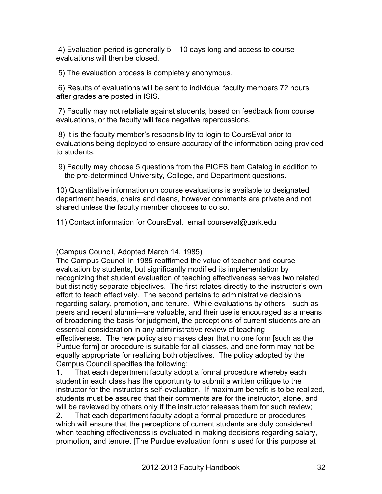4) Evaluation period is generally 5 – 10 days long and access to course evaluations will then be closed.

5) The evaluation process is completely anonymous.

6) Results of evaluations will be sent to individual faculty members 72 hours after grades are posted in ISIS.

7) Faculty may not retaliate against students, based on feedback from course evaluations, or the faculty will face negative repercussions.

8) It is the faculty member's responsibility to login to CoursEval prior to evaluations being deployed to ensure accuracy of the information being provided to students.

 9) Faculty may choose 5 questions from the PICES Item Catalog in addition to the pre-determined University, College, and Department questions.

10) Quantitative information on course evaluations is available to designated department heads, chairs and deans, however comments are private and not shared unless the faculty member chooses to do so.

11) Contact information for CoursEval. email courseval@uark.edu

(Campus Council, Adopted March 14, 1985)

The Campus Council in 1985 reaffirmed the value of teacher and course evaluation by students, but significantly modified its implementation by recognizing that student evaluation of teaching effectiveness serves two related but distinctly separate objectives. The first relates directly to the instructor's own effort to teach effectively. The second pertains to administrative decisions regarding salary, promotion, and tenure. While evaluations by others—such as peers and recent alumni—are valuable, and their use is encouraged as a means of broadening the basis for judgment, the perceptions of current students are an essential consideration in any administrative review of teaching effectiveness. The new policy also makes clear that no one form [such as the Purdue form] or procedure is suitable for all classes, and one form may not be equally appropriate for realizing both objectives. The policy adopted by the Campus Council specifies the following:

1. That each department faculty adopt a formal procedure whereby each student in each class has the opportunity to submit a written critique to the instructor for the instructor's self-evaluation. If maximum benefit is to be realized, students must be assured that their comments are for the instructor, alone, and will be reviewed by others only if the instructor releases them for such review;

2. That each department faculty adopt a formal procedure or procedures which will ensure that the perceptions of current students are duly considered when teaching effectiveness is evaluated in making decisions regarding salary, promotion, and tenure. [The Purdue evaluation form is used for this purpose at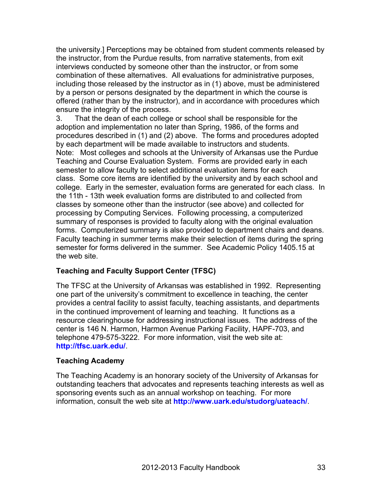the university.] Perceptions may be obtained from student comments released by the instructor, from the Purdue results, from narrative statements, from exit interviews conducted by someone other than the instructor, or from some combination of these alternatives. All evaluations for administrative purposes, including those released by the instructor as in (1) above, must be administered by a person or persons designated by the department in which the course is offered (rather than by the instructor), and in accordance with procedures which ensure the integrity of the process.

3. That the dean of each college or school shall be responsible for the adoption and implementation no later than Spring, 1986, of the forms and procedures described in (1) and (2) above. The forms and procedures adopted by each department will be made available to instructors and students. Note: Most colleges and schools at the University of Arkansas use the Purdue Teaching and Course Evaluation System. Forms are provided early in each semester to allow faculty to select additional evaluation items for each class. Some core items are identified by the university and by each school and college. Early in the semester, evaluation forms are generated for each class. In the 11th - 13th week evaluation forms are distributed to and collected from classes by someone other than the instructor (see above) and collected for processing by Computing Services. Following processing, a computerized summary of responses is provided to faculty along with the original evaluation forms. Computerized summary is also provided to department chairs and deans. Faculty teaching in summer terms make their selection of items during the spring semester for forms delivered in the summer. See Academic Policy 1405.15 at the web site.

## **Teaching and Faculty Support Center (TFSC)**

The TFSC at the University of Arkansas was established in 1992. Representing one part of the university's commitment to excellence in teaching, the center provides a central facility to assist faculty, teaching assistants, and departments in the continued improvement of learning and teaching. It functions as a resource clearinghouse for addressing instructional issues. The address of the center is 146 N. Harmon, Harmon Avenue Parking Facility, HAPF-703, and telephone 479-575-3222. For more information, visit the web site at: **http://tfsc.uark.edu/**.

## **Teaching Academy**

The Teaching Academy is an honorary society of the University of Arkansas for outstanding teachers that advocates and represents teaching interests as well as sponsoring events such as an annual workshop on teaching. For more information, consult the web site at **http://www.uark.edu/studorg/uateach/**.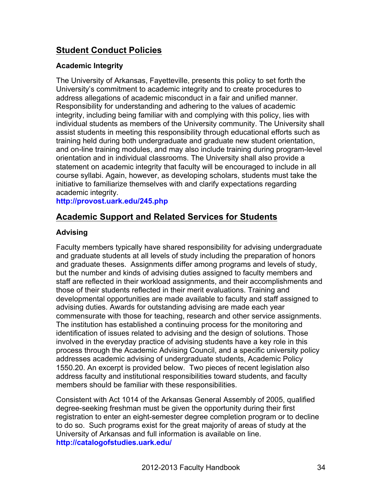## **Student Conduct Policies**

## **Academic Integrity**

The University of Arkansas, Fayetteville, presents this policy to set forth the University's commitment to academic integrity and to create procedures to address allegations of academic misconduct in a fair and unified manner. Responsibility for understanding and adhering to the values of academic integrity, including being familiar with and complying with this policy, lies with individual students as members of the University community. The University shall assist students in meeting this responsibility through educational efforts such as training held during both undergraduate and graduate new student orientation, and on-line training modules, and may also include training during program-level orientation and in individual classrooms. The University shall also provide a statement on academic integrity that faculty will be encouraged to include in all course syllabi. Again, however, as developing scholars, students must take the initiative to familiarize themselves with and clarify expectations regarding academic integrity.

## **http://provost.uark.edu/245.php**

## **Academic Support and Related Services for Students**

## **Advising**

Faculty members typically have shared responsibility for advising undergraduate and graduate students at all levels of study including the preparation of honors and graduate theses. Assignments differ among programs and levels of study, but the number and kinds of advising duties assigned to faculty members and staff are reflected in their workload assignments, and their accomplishments and those of their students reflected in their merit evaluations. Training and developmental opportunities are made available to faculty and staff assigned to advising duties. Awards for outstanding advising are made each year commensurate with those for teaching, research and other service assignments. The institution has established a continuing process for the monitoring and identification of issues related to advising and the design of solutions. Those involved in the everyday practice of advising students have a key role in this process through the Academic Advising Council, and a specific university policy addresses academic advising of undergraduate students, Academic Policy 1550.20. An excerpt is provided below. Two pieces of recent legislation also address faculty and institutional responsibilities toward students, and faculty members should be familiar with these responsibilities.

Consistent with Act 1014 of the Arkansas General Assembly of 2005, qualified degree-seeking freshman must be given the opportunity during their first registration to enter an eight-semester degree completion program or to decline to do so. Such programs exist for the great majority of areas of study at the University of Arkansas and full information is available on line. **http://catalogofstudies.uark.edu/**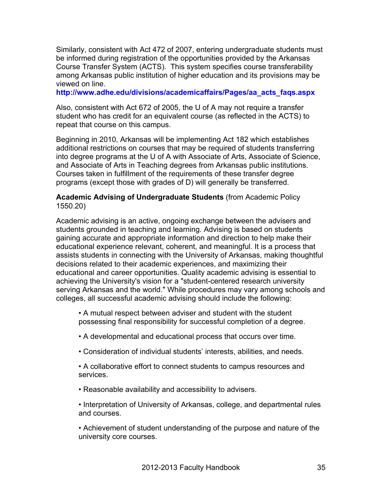Similarly, consistent with Act 472 of 2007, entering undergraduate students must be informed during registration of the opportunities provided by the Arkansas Course Transfer System (ACTS). This system specifies course transferability among Arkansas public institution of higher education and its provisions may be viewed on line.

**http://www.adhe.edu/divisions/academicaffairs/Pages/aa\_acts\_faqs.aspx**

Also, consistent with Act 672 of 2005, the U of A may not require a transfer student who has credit for an equivalent course (as reflected in the ACTS) to repeat that course on this campus.

Beginning in 2010, Arkansas will be implementing Act 182 which establishes additional restrictions on courses that may be required of students transferring into degree programs at the U of A with Associate of Arts, Associate of Science, and Associate of Arts in Teaching degrees from Arkansas public institutions. Courses taken in fulfillment of the requirements of these transfer degree programs (except those with grades of D) will generally be transferred.

#### **Academic Advising of Undergraduate Students** (from Academic Policy 1550.20)

Academic advising is an active, ongoing exchange between the advisers and students grounded in teaching and learning. Advising is based on students gaining accurate and appropriate information and direction to help make their educational experience relevant, coherent, and meaningful. It is a process that assists students in connecting with the University of Arkansas, making thoughtful decisions related to their academic experiences, and maximizing their educational and career opportunities. Quality academic advising is essential to achieving the University's vision for a "student-centered research university serving Arkansas and the world." While procedures may vary among schools and colleges, all successful academic advising should include the following:

• A mutual respect between adviser and student with the student possessing final responsibility for successful completion of a degree.

- A developmental and educational process that occurs over time.
- Consideration of individual students' interests, abilities, and needs.
- A collaborative effort to connect students to campus resources and services.
- Reasonable availability and accessibility to advisers.
- Interpretation of University of Arkansas, college, and departmental rules and courses.

• Achievement of student understanding of the purpose and nature of the university core courses.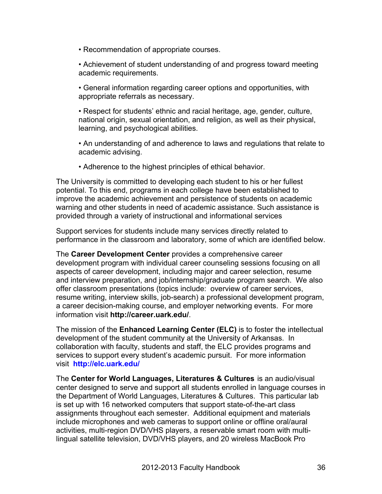- Recommendation of appropriate courses.
- Achievement of student understanding of and progress toward meeting academic requirements.
- General information regarding career options and opportunities, with appropriate referrals as necessary.
- Respect for students' ethnic and racial heritage, age, gender, culture, national origin, sexual orientation, and religion, as well as their physical, learning, and psychological abilities.
- An understanding of and adherence to laws and regulations that relate to academic advising.
- Adherence to the highest principles of ethical behavior.

The University is committed to developing each student to his or her fullest potential. To this end, programs in each college have been established to improve the academic achievement and persistence of students on academic warning and other students in need of academic assistance. Such assistance is provided through a variety of instructional and informational services

Support services for students include many services directly related to performance in the classroom and laboratory, some of which are identified below.

The **Career Development Center** provides a comprehensive career development program with individual career counseling sessions focusing on all aspects of career development, including major and career selection, resume and interview preparation, and job/internship/graduate program search. We also offer classroom presentations (topics include: overview of career services, resume writing, interview skills, job-search) a professional development program, a career decision-making course, and employer networking events. For more information visit **http://career.uark.edu/**.

The mission of the **Enhanced Learning Center (ELC)** is to foster the intellectual development of the student community at the University of Arkansas. In collaboration with faculty, students and staff, the ELC provides programs and services to support every student's academic pursuit. For more information visit **http://elc.uark.edu/**

The **Center for World Languages, Literatures & Cultures** is an audio/visual center designed to serve and support all students enrolled in language courses in the Department of World Languages, Literatures & Cultures. This particular lab is set up with 16 networked computers that support state-of-the-art class assignments throughout each semester. Additional equipment and materials include microphones and web cameras to support online or offline oral/aural activities, multi-region DVD/VHS players, a reservable smart room with multilingual satellite television, DVD/VHS players, and 20 wireless MacBook Pro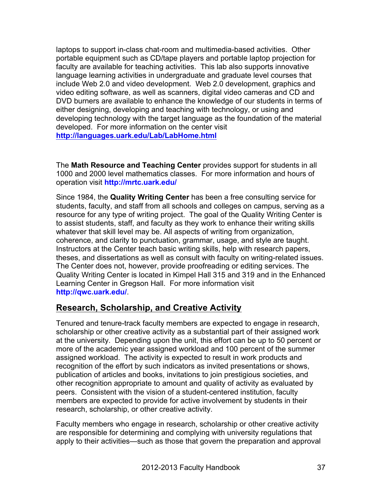laptops to support in-class chat-room and multimedia-based activities. Other portable equipment such as CD/tape players and portable laptop projection for faculty are available for teaching activities. This lab also supports innovative language learning activities in undergraduate and graduate level courses that include Web 2.0 and video development. Web 2.0 development, graphics and video editing software, as well as scanners, digital video cameras and CD and DVD burners are available to enhance the knowledge of our students in terms of either designing, developing and teaching with technology, or using and developing technology with the target language as the foundation of the material developed. For more information on the center visit **http://languages.uark.edu/Lab/LabHome.html**

The **Math Resource and Teaching Center** provides support for students in all 1000 and 2000 level mathematics classes. For more information and hours of operation visit **http://mrtc.uark.edu/**

Since 1984, the **Quality Writing Center** has been a free consulting service for students, faculty, and staff from all schools and colleges on campus, serving as a resource for any type of writing project. The goal of the Quality Writing Center is to assist students, staff, and faculty as they work to enhance their writing skills whatever that skill level may be. All aspects of writing from organization, coherence, and clarity to punctuation, grammar, usage, and style are taught. Instructors at the Center teach basic writing skills, help with research papers, theses, and dissertations as well as consult with faculty on writing-related issues. The Center does not, however, provide proofreading or editing services. The Quality Writing Center is located in Kimpel Hall 315 and 319 and in the Enhanced Learning Center in Gregson Hall. For more information visit **http://qwc.uark.edu/**.

# **Research, Scholarship, and Creative Activity**

Tenured and tenure-track faculty members are expected to engage in research, scholarship or other creative activity as a substantial part of their assigned work at the university. Depending upon the unit, this effort can be up to 50 percent or more of the academic year assigned workload and 100 percent of the summer assigned workload. The activity is expected to result in work products and recognition of the effort by such indicators as invited presentations or shows, publication of articles and books, invitations to join prestigious societies, and other recognition appropriate to amount and quality of activity as evaluated by peers. Consistent with the vision of a student-centered institution, faculty members are expected to provide for active involvement by students in their research, scholarship, or other creative activity.

Faculty members who engage in research, scholarship or other creative activity are responsible for determining and complying with university regulations that apply to their activities—such as those that govern the preparation and approval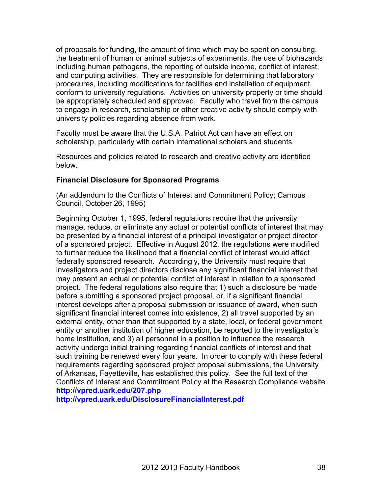of proposals for funding, the amount of time which may be spent on consulting, the treatment of human or animal subjects of experiments, the use of biohazards including human pathogens, the reporting of outside income, conflict of interest, and computing activities. They are responsible for determining that laboratory procedures, including modifications for facilities and installation of equipment, conform to university regulations. Activities on university property or time should be appropriately scheduled and approved. Faculty who travel from the campus to engage in research, scholarship or other creative activity should comply with university policies regarding absence from work.

Faculty must be aware that the U.S.A. Patriot Act can have an effect on scholarship, particularly with certain international scholars and students.

Resources and policies related to research and creative activity are identified below.

# **Financial Disclosure for Sponsored Programs**

(An addendum to the Conflicts of Interest and Commitment Policy; Campus Council, October 26, 1995)

Beginning October 1, 1995, federal regulations require that the university manage, reduce, or eliminate any actual or potential conflicts of interest that may be presented by a financial interest of a principal investigator or project director of a sponsored project. Effective in August 2012, the regulations were modified to further reduce the likelihood that a financial conflict of interest would affect federally sponsored research. Accordingly, the University must require that investigators and project directors disclose any significant financial interest that may present an actual or potential conflict of interest in relation to a sponsored project. The federal regulations also require that 1) such a disclosure be made before submitting a sponsored project proposal, or, if a significant financial interest develops after a proposal submission or issuance of award, when such significant financial interest comes into existence, 2) all travel supported by an external entity, other than that supported by a state, local, or federal government entity or another institution of higher education, be reported to the investigator's home institution, and 3) all personnel in a position to influence the research activity undergo initial training regarding financial conflicts of interest and that such training be renewed every four years. In order to comply with these federal requirements regarding sponsored project proposal submissions, the University of Arkansas, Fayetteville, has established this policy. See the full text of the Conflicts of Interest and Commitment Policy at the Research Compliance website **http://vpred.uark.edu/207.php**

**http://vpred.uark.edu/DisclosureFinancialInterest.pdf**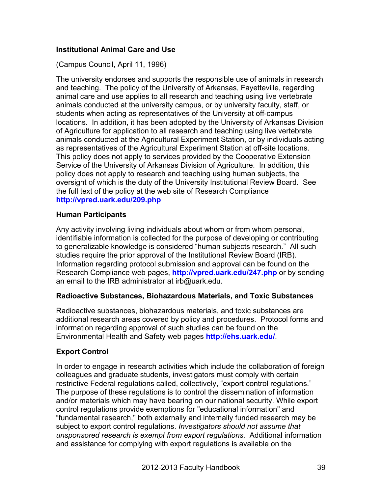# **Institutional Animal Care and Use**

(Campus Council, April 11, 1996)

The university endorses and supports the responsible use of animals in research and teaching. The policy of the University of Arkansas, Fayetteville, regarding animal care and use applies to all research and teaching using live vertebrate animals conducted at the university campus, or by university faculty, staff, or students when acting as representatives of the University at off-campus locations. In addition, it has been adopted by the University of Arkansas Division of Agriculture for application to all research and teaching using live vertebrate animals conducted at the Agricultural Experiment Station, or by individuals acting as representatives of the Agricultural Experiment Station at off-site locations. This policy does not apply to services provided by the Cooperative Extension Service of the University of Arkansas Division of Agriculture. In addition, this policy does not apply to research and teaching using human subjects, the oversight of which is the duty of the University Institutional Review Board. See the full text of the policy at the web site of Research Compliance **http://vpred.uark.edu/209.php**

## **Human Participants**

Any activity involving living individuals about whom or from whom personal, identifiable information is collected for the purpose of developing or contributing to generalizable knowledge is considered "human subjects research." All such studies require the prior approval of the Institutional Review Board (IRB). Information regarding protocol submission and approval can be found on the Research Compliance web pages, **http://vpred.uark.edu/247.php** or by sending an email to the IRB administrator at irb@uark.edu.

# **Radioactive Substances, Biohazardous Materials, and Toxic Substances**

Radioactive substances, biohazardous materials, and toxic substances are additional research areas covered by policy and procedures. Protocol forms and information regarding approval of such studies can be found on the Environmental Health and Safety web pages **http://ehs.uark.edu/**.

# **Export Control**

In order to engage in research activities which include the collaboration of foreign colleagues and graduate students, investigators must comply with certain restrictive Federal regulations called, collectively, "export control regulations." The purpose of these regulations is to control the dissemination of information and/or materials which may have bearing on our national security. While export control regulations provide exemptions for "educational information" and "fundamental research," both externally and internally funded research may be subject to export control regulations. *Investigators should not assume that unsponsored research is exempt from export regulations.* Additional information and assistance for complying with export regulations is available on the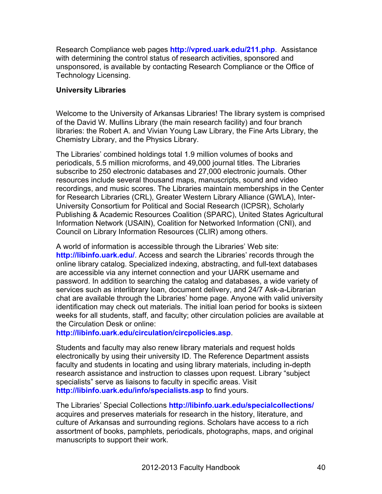Research Compliance web pages **http://vpred.uark.edu/211.php**. Assistance with determining the control status of research activities, sponsored and unsponsored, is available by contacting Research Compliance or the Office of Technology Licensing.

# **University Libraries**

Welcome to the University of Arkansas Libraries! The library system is comprised of the David W. Mullins Library (the main research facility) and four branch libraries: the Robert A. and Vivian Young Law Library, the Fine Arts Library, the Chemistry Library, and the Physics Library.

The Libraries' combined holdings total 1.9 million volumes of books and periodicals, 5.5 million microforms, and 49,000 journal titles. The Libraries subscribe to 250 electronic databases and 27,000 electronic journals. Other resources include several thousand maps, manuscripts, sound and video recordings, and music scores. The Libraries maintain memberships in the Center for Research Libraries (CRL), Greater Western Library Alliance (GWLA), Inter-University Consortium for Political and Social Research (ICPSR), Scholarly Publishing & Academic Resources Coalition (SPARC), United States Agricultural Information Network (USAIN), Coalition for Networked Information (CNI), and Council on Library Information Resources (CLIR) among others.

A world of information is accessible through the Libraries' Web site: **http://libinfo.uark.edu/**. Access and search the Libraries' records through the online library catalog. Specialized indexing, abstracting, and full-text databases are accessible via any internet connection and your UARK username and password. In addition to searching the catalog and databases, a wide variety of services such as interlibrary loan, document delivery, and 24/7 Ask-a-Librarian chat are available through the Libraries' home page. Anyone with valid university identification may check out materials. The initial loan period for books is sixteen weeks for all students, staff, and faculty; other circulation policies are available at the Circulation Desk or online:

**http://libinfo.uark.edu/circulation/circpolicies.asp**.

Students and faculty may also renew library materials and request holds electronically by using their university ID. The Reference Department assists faculty and students in locating and using library materials, including in-depth research assistance and instruction to classes upon request. Library "subject specialists" serve as liaisons to faculty in specific areas. Visit **http://libinfo.uark.edu/info/specialists.asp** to find yours.

The Libraries' Special Collections **http://libinfo.uark.edu/specialcollections/** acquires and preserves materials for research in the history, literature, and culture of Arkansas and surrounding regions. Scholars have access to a rich assortment of books, pamphlets, periodicals, photographs, maps, and original manuscripts to support their work.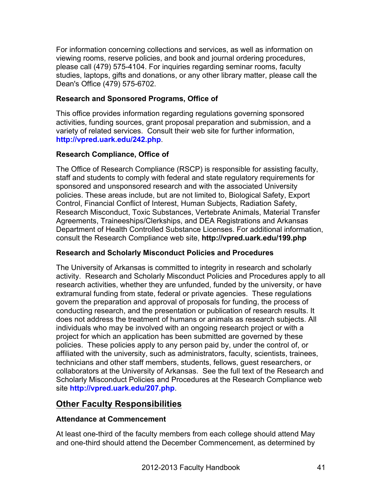For information concerning collections and services, as well as information on viewing rooms, reserve policies, and book and journal ordering procedures, please call (479) 575-4104. For inquiries regarding seminar rooms, faculty studies, laptops, gifts and donations, or any other library matter, please call the Dean's Office (479) 575-6702.

# **Research and Sponsored Programs, Office of**

This office provides information regarding regulations governing sponsored activities, funding sources, grant proposal preparation and submission, and a variety of related services. Consult their web site for further information, **http://vpred.uark.edu/242.php**.

# **Research Compliance, Office of**

The Office of Research Compliance (RSCP) is responsible for assisting faculty, staff and students to comply with federal and state regulatory requirements for sponsored and unsponsored research and with the associated University policies. These areas include, but are not limited to, Biological Safety, Export Control, Financial Conflict of Interest, Human Subjects, Radiation Safety, Research Misconduct, Toxic Substances, Vertebrate Animals, Material Transfer Agreements, Traineeships/Clerkships, and DEA Registrations and Arkansas Department of Health Controlled Substance Licenses. For additional information, consult the Research Compliance web site, **http://vpred.uark.edu/199.php**

## **Research and Scholarly Misconduct Policies and Procedures**

The University of Arkansas is committed to integrity in research and scholarly activity. Research and Scholarly Misconduct Policies and Procedures apply to all research activities, whether they are unfunded, funded by the university, or have extramural funding from state, federal or private agencies. These regulations govern the preparation and approval of proposals for funding, the process of conducting research, and the presentation or publication of research results. It does not address the treatment of humans or animals as research subjects. All individuals who may be involved with an ongoing research project or with a project for which an application has been submitted are governed by these policies. These policies apply to any person paid by, under the control of, or affiliated with the university, such as administrators, faculty, scientists, trainees, technicians and other staff members, students, fellows, guest researchers, or collaborators at the University of Arkansas. See the full text of the Research and Scholarly Misconduct Policies and Procedures at the Research Compliance web site **http://vpred.uark.edu/207.php**.

# **Other Faculty Responsibilities**

## **Attendance at Commencement**

At least one-third of the faculty members from each college should attend May and one-third should attend the December Commencement, as determined by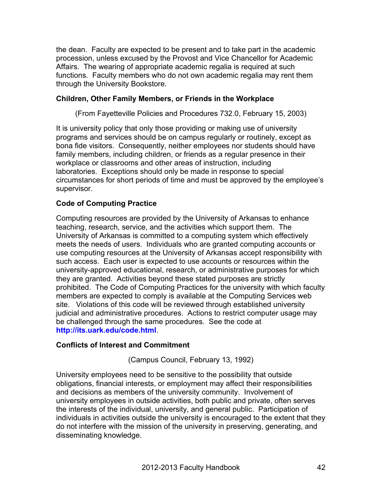the dean. Faculty are expected to be present and to take part in the academic procession, unless excused by the Provost and Vice Chancellor for Academic Affairs. The wearing of appropriate academic regalia is required at such functions. Faculty members who do not own academic regalia may rent them through the University Bookstore.

# **Children, Other Family Members, or Friends in the Workplace**

(From Fayetteville Policies and Procedures 732.0, February 15, 2003)

It is university policy that only those providing or making use of university programs and services should be on campus regularly or routinely, except as bona fide visitors. Consequently, neither employees nor students should have family members, including children, or friends as a regular presence in their workplace or classrooms and other areas of instruction, including laboratories. Exceptions should only be made in response to special circumstances for short periods of time and must be approved by the employee's supervisor.

# **Code of Computing Practice**

Computing resources are provided by the University of Arkansas to enhance teaching, research, service, and the activities which support them. The University of Arkansas is committed to a computing system which effectively meets the needs of users. Individuals who are granted computing accounts or use computing resources at the University of Arkansas accept responsibility with such access. Each user is expected to use accounts or resources within the university-approved educational, research, or administrative purposes for which they are granted. Activities beyond these stated purposes are strictly prohibited. The Code of Computing Practices for the university with which faculty members are expected to comply is available at the Computing Services web site. Violations of this code will be reviewed through established university judicial and administrative procedures. Actions to restrict computer usage may be challenged through the same procedures. See the code at **http://its.uark.edu/code.html**.

## **Conflicts of Interest and Commitment**

(Campus Council, February 13, 1992)

University employees need to be sensitive to the possibility that outside obligations, financial interests, or employment may affect their responsibilities and decisions as members of the university community. Involvement of university employees in outside activities, both public and private, often serves the interests of the individual, university, and general public. Participation of individuals in activities outside the university is encouraged to the extent that they do not interfere with the mission of the university in preserving, generating, and disseminating knowledge.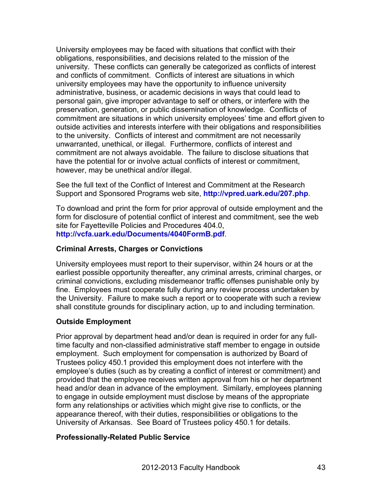University employees may be faced with situations that conflict with their obligations, responsibilities, and decisions related to the mission of the university. These conflicts can generally be categorized as conflicts of interest and conflicts of commitment. Conflicts of interest are situations in which university employees may have the opportunity to influence university administrative, business, or academic decisions in ways that could lead to personal gain, give improper advantage to self or others, or interfere with the preservation, generation, or public dissemination of knowledge. Conflicts of commitment are situations in which university employees' time and effort given to outside activities and interests interfere with their obligations and responsibilities to the university. Conflicts of interest and commitment are not necessarily unwarranted, unethical, or illegal. Furthermore, conflicts of interest and commitment are not always avoidable. The failure to disclose situations that have the potential for or involve actual conflicts of interest or commitment, however, may be unethical and/or illegal.

See the full text of the Conflict of Interest and Commitment at the Research Support and Sponsored Programs web site, **http://vpred.uark.edu/207.php**.

To download and print the form for prior approval of outside employment and the form for disclosure of potential conflict of interest and commitment, see the web site for Fayetteville Policies and Procedures 404.0, **http://vcfa.uark.edu/Documents/4040FormB.pdf**.

# **Criminal Arrests, Charges or Convictions**

University employees must report to their supervisor, within 24 hours or at the earliest possible opportunity thereafter, any criminal arrests, criminal charges, or criminal convictions, excluding misdemeanor traffic offenses punishable only by fine. Employees must cooperate fully during any review process undertaken by the University. Failure to make such a report or to cooperate with such a review shall constitute grounds for disciplinary action, up to and including termination.

# **Outside Employment**

Prior approval by department head and/or dean is required in order for any fulltime faculty and non-classified administrative staff member to engage in outside employment. Such employment for compensation is authorized by Board of Trustees policy 450.1 provided this employment does not interfere with the employee's duties (such as by creating a conflict of interest or commitment) and provided that the employee receives written approval from his or her department head and/or dean in advance of the employment. Similarly, employees planning to engage in outside employment must disclose by means of the appropriate form any relationships or activities which might give rise to conflicts, or the appearance thereof, with their duties, responsibilities or obligations to the University of Arkansas. See Board of Trustees policy 450.1 for details.

## **Professionally-Related Public Service**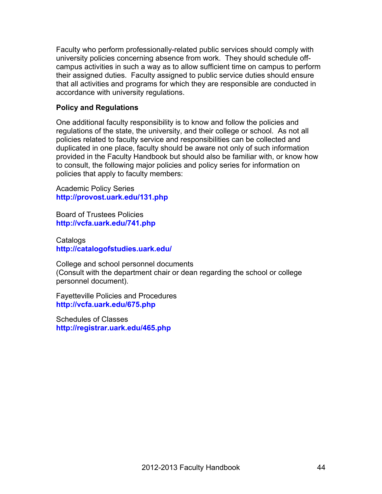Faculty who perform professionally-related public services should comply with university policies concerning absence from work. They should schedule offcampus activities in such a way as to allow sufficient time on campus to perform their assigned duties. Faculty assigned to public service duties should ensure that all activities and programs for which they are responsible are conducted in accordance with university regulations.

## **Policy and Regulations**

One additional faculty responsibility is to know and follow the policies and regulations of the state, the university, and their college or school. As not all policies related to faculty service and responsibilities can be collected and duplicated in one place, faculty should be aware not only of such information provided in the Faculty Handbook but should also be familiar with, or know how to consult, the following major policies and policy series for information on policies that apply to faculty members:

Academic Policy Series **http://provost.uark.edu/131.php**

Board of Trustees Policies **http://vcfa.uark.edu/741.php**

**Catalogs http://catalogofstudies.uark.edu/**

College and school personnel documents (Consult with the department chair or dean regarding the school or college personnel document).

Fayetteville Policies and Procedures **http://vcfa.uark.edu/675.php**

Schedules of Classes **http://registrar.uark.edu/465.php**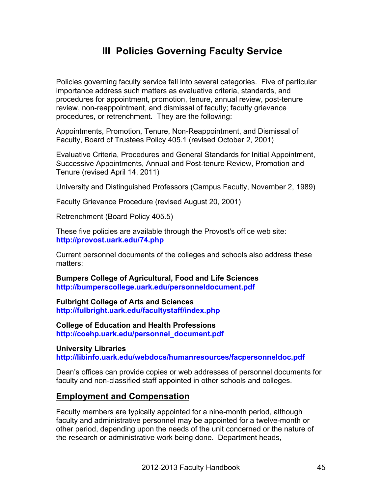# **III Policies Governing Faculty Service**

Policies governing faculty service fall into several categories. Five of particular importance address such matters as evaluative criteria, standards, and procedures for appointment, promotion, tenure, annual review, post-tenure review, non-reappointment, and dismissal of faculty; faculty grievance procedures, or retrenchment. They are the following:

Appointments, Promotion, Tenure, Non-Reappointment, and Dismissal of Faculty, Board of Trustees Policy 405.1 (revised October 2, 2001)

Evaluative Criteria, Procedures and General Standards for Initial Appointment, Successive Appointments, Annual and Post-tenure Review, Promotion and Tenure (revised April 14, 2011)

University and Distinguished Professors (Campus Faculty, November 2, 1989)

Faculty Grievance Procedure (revised August 20, 2001)

Retrenchment (Board Policy 405.5)

These five policies are available through the Provost's office web site: **http://provost.uark.edu/74.php**

Current personnel documents of the colleges and schools also address these matters:

**Bumpers College of Agricultural, Food and Life Sciences http://bumperscollege.uark.edu/personneldocument.pdf**

**Fulbright College of Arts and Sciences http://fulbright.uark.edu/facultystaff/index.php**

**College of Education and Health Professions http://coehp.uark.edu/personnel\_document.pdf**

**University Libraries http://libinfo.uark.edu/webdocs/humanresources/facpersonneldoc.pdf**

Dean's offices can provide copies or web addresses of personnel documents for faculty and non-classified staff appointed in other schools and colleges.

## **Employment and Compensation**

Faculty members are typically appointed for a nine-month period, although faculty and administrative personnel may be appointed for a twelve-month or other period, depending upon the needs of the unit concerned or the nature of the research or administrative work being done. Department heads,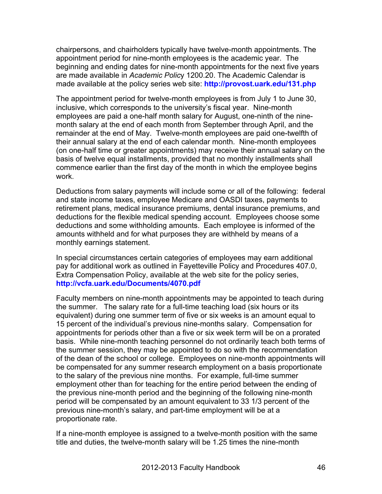chairpersons, and chairholders typically have twelve-month appointments. The appointment period for nine-month employees is the academic year. The beginning and ending dates for nine-month appointments for the next five years are made available in *Academic Polic*y 1200.20. The Academic Calendar is made available at the policy series web site: **http://provost.uark.edu/131.php**

The appointment period for twelve-month employees is from July 1 to June 30, inclusive, which corresponds to the university's fiscal year. Nine-month employees are paid a one-half month salary for August, one-ninth of the ninemonth salary at the end of each month from September through April, and the remainder at the end of May. Twelve-month employees are paid one-twelfth of their annual salary at the end of each calendar month. Nine-month employees (on one-half time or greater appointments) may receive their annual salary on the basis of twelve equal installments, provided that no monthly installments shall commence earlier than the first day of the month in which the employee begins work.

Deductions from salary payments will include some or all of the following: federal and state income taxes, employee Medicare and OASDI taxes, payments to retirement plans, medical insurance premiums, dental insurance premiums, and deductions for the flexible medical spending account. Employees choose some deductions and some withholding amounts. Each employee is informed of the amounts withheld and for what purposes they are withheld by means of a monthly earnings statement.

In special circumstances certain categories of employees may earn additional pay for additional work as outlined in Fayetteville Policy and Procedures 407.0, Extra Compensation Policy, available at the web site for the policy series, **http://vcfa.uark.edu/Documents/4070.pdf**

Faculty members on nine-month appointments may be appointed to teach during the summer. The salary rate for a full-time teaching load (six hours or its equivalent) during one summer term of five or six weeks is an amount equal to 15 percent of the individual's previous nine-months salary. Compensation for appointments for periods other than a five or six week term will be on a prorated basis. While nine-month teaching personnel do not ordinarily teach both terms of the summer session, they may be appointed to do so with the recommendation of the dean of the school or college. Employees on nine-month appointments will be compensated for any summer research employment on a basis proportionate to the salary of the previous nine months. For example, full-time summer employment other than for teaching for the entire period between the ending of the previous nine-month period and the beginning of the following nine-month period will be compensated by an amount equivalent to 33 1/3 percent of the previous nine-month's salary, and part-time employment will be at a proportionate rate.

If a nine-month employee is assigned to a twelve-month position with the same title and duties, the twelve-month salary will be 1.25 times the nine-month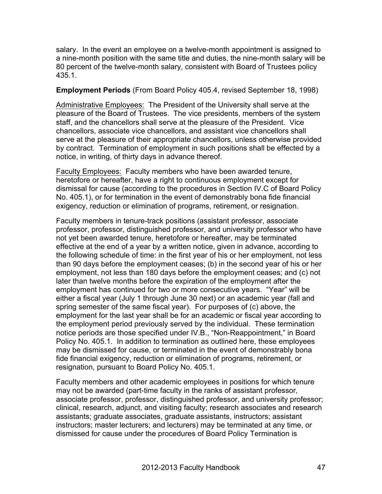salary. In the event an employee on a twelve-month appointment is assigned to a nine-month position with the same title and duties, the nine-month salary will be 80 percent of the twelve-month salary, consistent with Board of Trustees policy 435.1.

## **Employment Periods** (From Board Policy 405.4, revised September 18, 1998)

Administrative Employees: The President of the University shall serve at the pleasure of the Board of Trustees. The vice presidents, members of the system staff, and the chancellors shall serve at the pleasure of the President. Vice chancellors, associate vice chancellors, and assistant vice chancellors shall serve at the pleasure of their appropriate chancellors, unless otherwise provided by contract. Termination of employment in such positions shall be effected by a notice, in writing, of thirty days in advance thereof.

Faculty Employees: Faculty members who have been awarded tenure, heretofore or hereafter, have a right to continuous employment except for dismissal for cause (according to the procedures in Section IV.C of Board Policy No. 405.1), or for termination in the event of demonstrably bona fide financial exigency, reduction or elimination of programs, retirement, or resignation.

Faculty members in tenure-track positions (assistant professor, associate professor, professor, distinguished professor, and university professor who have not yet been awarded tenure, heretofore or hereafter, may be terminated effective at the end of a year by a written notice, given in advance, according to the following schedule of time: in the first year of his or her employment, not less than 90 days before the employment ceases; (b) in the second year of his or her employment, not less than 180 days before the employment ceases; and (c) not later than twelve months before the expiration of the employment after the employment has continued for two or more consecutive years. "Year" will be either a fiscal year (July 1 through June 30 next) or an academic year (fall and spring semester of the same fiscal year). For purposes of (c) above, the employment for the last year shall be for an academic or fiscal year according to the employment period previously served by the individual. These termination notice periods are those specified under IV.B., "Non-Reappointment," in Board Policy No. 405.1. In addition to termination as outlined here, these employees may be dismissed for cause, or terminated in the event of demonstrably bona fide financial exigency, reduction or elimination of programs, retirement, or resignation, pursuant to Board Policy No. 405.1.

Faculty members and other academic employees in positions for which tenure may not be awarded (part-time faculty in the ranks of assistant professor, associate professor, professor, distinguished professor, and university professor; clinical, research, adjunct, and visiting faculty; research associates and research assistants; graduate associates, graduate assistants, instructors; assistant instructors; master lecturers; and lecturers) may be terminated at any time, or dismissed for cause under the procedures of Board Policy Termination is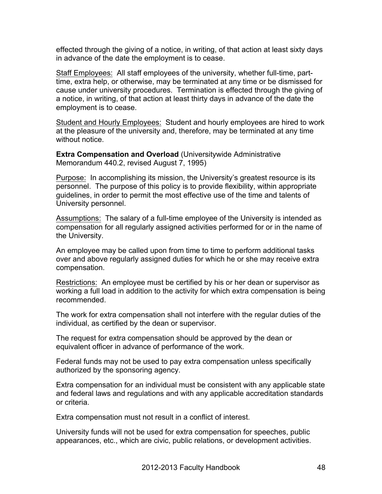effected through the giving of a notice, in writing, of that action at least sixty days in advance of the date the employment is to cease.

Staff Employees: All staff employees of the university, whether full-time, parttime, extra help, or otherwise, may be terminated at any time or be dismissed for cause under university procedures. Termination is effected through the giving of a notice, in writing, of that action at least thirty days in advance of the date the employment is to cease.

Student and Hourly Employees: Student and hourly employees are hired to work at the pleasure of the university and, therefore, may be terminated at any time without notice.

**Extra Compensation and Overload** (Universitywide Administrative Memorandum 440.2, revised August 7, 1995)

Purpose: In accomplishing its mission, the University's greatest resource is its personnel. The purpose of this policy is to provide flexibility, within appropriate guidelines, in order to permit the most effective use of the time and talents of University personnel.

Assumptions: The salary of a full-time employee of the University is intended as compensation for all regularly assigned activities performed for or in the name of the University.

An employee may be called upon from time to time to perform additional tasks over and above regularly assigned duties for which he or she may receive extra compensation.

Restrictions: An employee must be certified by his or her dean or supervisor as working a full load in addition to the activity for which extra compensation is being recommended.

The work for extra compensation shall not interfere with the regular duties of the individual, as certified by the dean or supervisor.

The request for extra compensation should be approved by the dean or equivalent officer in advance of performance of the work.

Federal funds may not be used to pay extra compensation unless specifically authorized by the sponsoring agency.

Extra compensation for an individual must be consistent with any applicable state and federal laws and regulations and with any applicable accreditation standards or criteria.

Extra compensation must not result in a conflict of interest.

University funds will not be used for extra compensation for speeches, public appearances, etc., which are civic, public relations, or development activities.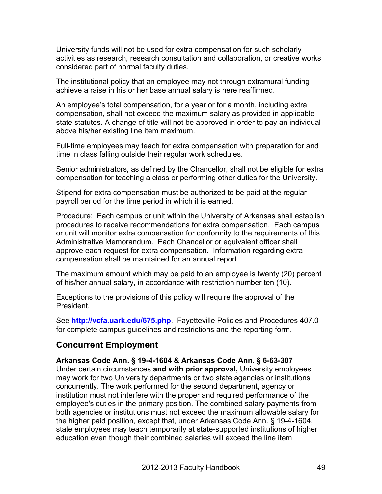University funds will not be used for extra compensation for such scholarly activities as research, research consultation and collaboration, or creative works considered part of normal faculty duties.

The institutional policy that an employee may not through extramural funding achieve a raise in his or her base annual salary is here reaffirmed.

An employee's total compensation, for a year or for a month, including extra compensation, shall not exceed the maximum salary as provided in applicable state statutes. A change of title will not be approved in order to pay an individual above his/her existing line item maximum.

Full-time employees may teach for extra compensation with preparation for and time in class falling outside their regular work schedules.

Senior administrators, as defined by the Chancellor, shall not be eligible for extra compensation for teaching a class or performing other duties for the University.

Stipend for extra compensation must be authorized to be paid at the regular payroll period for the time period in which it is earned.

Procedure: Each campus or unit within the University of Arkansas shall establish procedures to receive recommendations for extra compensation. Each campus or unit will monitor extra compensation for conformity to the requirements of this Administrative Memorandum. Each Chancellor or equivalent officer shall approve each request for extra compensation. Information regarding extra compensation shall be maintained for an annual report.

The maximum amount which may be paid to an employee is twenty (20) percent of his/her annual salary, in accordance with restriction number ten (10).

Exceptions to the provisions of this policy will require the approval of the President.

See **http://vcfa.uark.edu/675.php**. Fayetteville Policies and Procedures 407.0 for complete campus guidelines and restrictions and the reporting form.

# **Concurrent Employment**

# **Arkansas Code Ann. § 19-4-1604 & Arkansas Code Ann. § 6-63-307**

Under certain circumstances **and with prior approval,** University employees may work for two University departments or two state agencies or institutions concurrently. The work performed for the second department, agency or institution must not interfere with the proper and required performance of the employee's duties in the primary position. The combined salary payments from both agencies or institutions must not exceed the maximum allowable salary for the higher paid position, except that, under Arkansas Code Ann. § 19-4-1604, state employees may teach temporarily at state-supported institutions of higher education even though their combined salaries will exceed the line item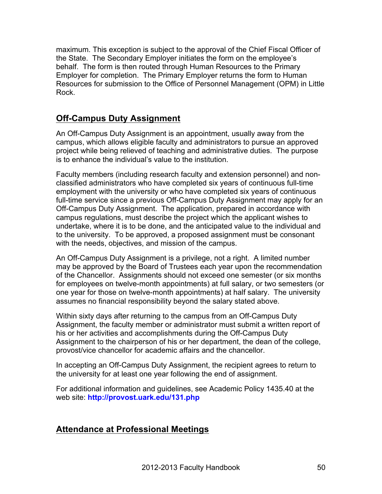maximum. This exception is subject to the approval of the Chief Fiscal Officer of the State. The Secondary Employer initiates the form on the employee's behalf. The form is then routed through Human Resources to the Primary Employer for completion. The Primary Employer returns the form to Human Resources for submission to the Office of Personnel Management (OPM) in Little Rock.

# **Off-Campus Duty Assignment**

An Off-Campus Duty Assignment is an appointment, usually away from the campus, which allows eligible faculty and administrators to pursue an approved project while being relieved of teaching and administrative duties. The purpose is to enhance the individual's value to the institution.

Faculty members (including research faculty and extension personnel) and nonclassified administrators who have completed six years of continuous full-time employment with the university or who have completed six years of continuous full-time service since a previous Off-Campus Duty Assignment may apply for an Off-Campus Duty Assignment. The application, prepared in accordance with campus regulations, must describe the project which the applicant wishes to undertake, where it is to be done, and the anticipated value to the individual and to the university. To be approved, a proposed assignment must be consonant with the needs, objectives, and mission of the campus.

An Off-Campus Duty Assignment is a privilege, not a right. A limited number may be approved by the Board of Trustees each year upon the recommendation of the Chancellor. Assignments should not exceed one semester (or six months for employees on twelve-month appointments) at full salary, or two semesters (or one year for those on twelve-month appointments) at half salary. The university assumes no financial responsibility beyond the salary stated above.

Within sixty days after returning to the campus from an Off-Campus Duty Assignment, the faculty member or administrator must submit a written report of his or her activities and accomplishments during the Off-Campus Duty Assignment to the chairperson of his or her department, the dean of the college, provost/vice chancellor for academic affairs and the chancellor.

In accepting an Off-Campus Duty Assignment, the recipient agrees to return to the university for at least one year following the end of assignment.

For additional information and guidelines, see Academic Policy 1435.40 at the web site: **http://provost.uark.edu/131.php**

# **Attendance at Professional Meetings**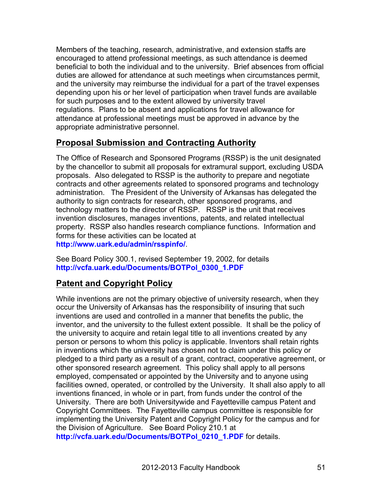Members of the teaching, research, administrative, and extension staffs are encouraged to attend professional meetings, as such attendance is deemed beneficial to both the individual and to the university. Brief absences from official duties are allowed for attendance at such meetings when circumstances permit, and the university may reimburse the individual for a part of the travel expenses depending upon his or her level of participation when travel funds are available for such purposes and to the extent allowed by university travel regulations. Plans to be absent and applications for travel allowance for attendance at professional meetings must be approved in advance by the appropriate administrative personnel.

# **Proposal Submission and Contracting Authority**

The Office of Research and Sponsored Programs (RSSP) is the unit designated by the chancellor to submit all proposals for extramural support, excluding USDA proposals. Also delegated to RSSP is the authority to prepare and negotiate contracts and other agreements related to sponsored programs and technology administration. The President of the University of Arkansas has delegated the authority to sign contracts for research, other sponsored programs, and technology matters to the director of RSSP. RSSP is the unit that receives invention disclosures, manages inventions, patents, and related intellectual property. RSSP also handles research compliance functions. Information and forms for these activities can be located at **http://www.uark.edu/admin/rsspinfo/**.

See Board Policy 300.1, revised September 19, 2002, for details **http://vcfa.uark.edu/Documents/BOTPol\_0300\_1.PDF**

# **Patent and Copyright Policy**

While inventions are not the primary objective of university research, when they occur the University of Arkansas has the responsibility of insuring that such inventions are used and controlled in a manner that benefits the public, the inventor, and the university to the fullest extent possible. It shall be the policy of the university to acquire and retain legal title to all inventions created by any person or persons to whom this policy is applicable. Inventors shall retain rights in inventions which the university has chosen not to claim under this policy or pledged to a third party as a result of a grant, contract, cooperative agreement, or other sponsored research agreement. This policy shall apply to all persons employed, compensated or appointed by the University and to anyone using facilities owned, operated, or controlled by the University. It shall also apply to all inventions financed, in whole or in part, from funds under the control of the University. There are both Universitywide and Fayetteville campus Patent and Copyright Committees. The Fayetteville campus committee is responsible for implementing the University Patent and Copyright Policy for the campus and for the Division of Agriculture. See Board Policy 210.1 at **http://vcfa.uark.edu/Documents/BOTPol\_0210\_1.PDF** for details.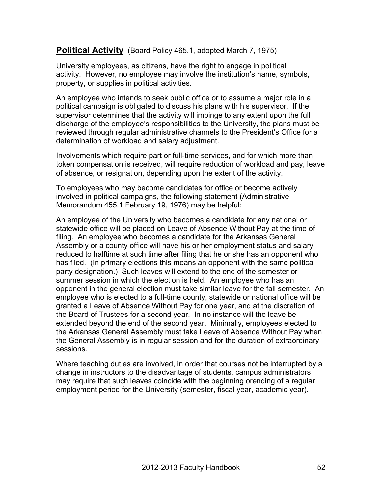# **Political Activity** (Board Policy 465.1, adopted March 7, 1975)

University employees, as citizens, have the right to engage in political activity. However, no employee may involve the institution's name, symbols, property, or supplies in political activities.

An employee who intends to seek public office or to assume a major role in a political campaign is obligated to discuss his plans with his supervisor. If the supervisor determines that the activity will impinge to any extent upon the full discharge of the employee's responsibilities to the University, the plans must be reviewed through regular administrative channels to the President's Office for a determination of workload and salary adjustment.

Involvements which require part or full-time services, and for which more than token compensation is received, will require reduction of workload and pay, leave of absence, or resignation, depending upon the extent of the activity.

To employees who may become candidates for office or become actively involved in political campaigns, the following statement (Administrative Memorandum 455.1 February 19, 1976) may be helpful:

An employee of the University who becomes a candidate for any national or statewide office will be placed on Leave of Absence Without Pay at the time of filing. An employee who becomes a candidate for the Arkansas General Assembly or a county office will have his or her employment status and salary reduced to halftime at such time after filing that he or she has an opponent who has filed. (In primary elections this means an opponent with the same political party designation.) Such leaves will extend to the end of the semester or summer session in which the election is held. An employee who has an opponent in the general election must take similar leave for the fall semester. An employee who is elected to a full-time county, statewide or national office will be granted a Leave of Absence Without Pay for one year, and at the discretion of the Board of Trustees for a second year. In no instance will the leave be extended beyond the end of the second year. Minimally, employees elected to the Arkansas General Assembly must take Leave of Absence Without Pay when the General Assembly is in regular session and for the duration of extraordinary sessions.

Where teaching duties are involved, in order that courses not be interrupted by a change in instructors to the disadvantage of students, campus administrators may require that such leaves coincide with the beginning orending of a regular employment period for the University (semester, fiscal year, academic year).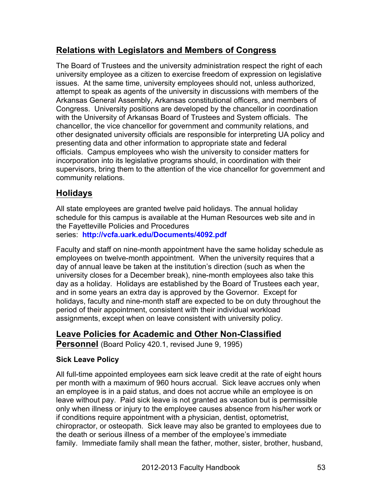# **Relations with Legislators and Members of Congress**

The Board of Trustees and the university administration respect the right of each university employee as a citizen to exercise freedom of expression on legislative issues. At the same time, university employees should not, unless authorized, attempt to speak as agents of the university in discussions with members of the Arkansas General Assembly, Arkansas constitutional officers, and members of Congress. University positions are developed by the chancellor in coordination with the University of Arkansas Board of Trustees and System officials. The chancellor, the vice chancellor for government and community relations, and other designated university officials are responsible for interpreting UA policy and presenting data and other information to appropriate state and federal officials. Campus employees who wish the university to consider matters for incorporation into its legislative programs should, in coordination with their supervisors, bring them to the attention of the vice chancellor for government and community relations.

# **Holidays**

All state employees are granted twelve paid holidays. The annual holiday schedule for this campus is available at the Human Resources web site and in the Fayetteville Policies and Procedures series: **http://vcfa.uark.edu/Documents/4092.pdf**

Faculty and staff on nine-month appointment have the same holiday schedule as employees on twelve-month appointment. When the university requires that a day of annual leave be taken at the institution's direction (such as when the university closes for a December break), nine-month employees also take this day as a holiday. Holidays are established by the Board of Trustees each year, and in some years an extra day is approved by the Governor. Except for holidays, faculty and nine-month staff are expected to be on duty throughout the period of their appointment, consistent with their individual workload assignments, except when on leave consistent with university policy.

# **Leave Policies for Academic and Other Non-Classified Personnel** (Board Policy 420.1, revised June 9, 1995)

# **Sick Leave Policy**

All full-time appointed employees earn sick leave credit at the rate of eight hours per month with a maximum of 960 hours accrual. Sick leave accrues only when an employee is in a paid status, and does not accrue while an employee is on leave without pay. Paid sick leave is not granted as vacation but is permissible only when illness or injury to the employee causes absence from his/her work or if conditions require appointment with a physician, dentist, optometrist, chiropractor, or osteopath. Sick leave may also be granted to employees due to the death or serious illness of a member of the employee's immediate family. Immediate family shall mean the father, mother, sister, brother, husband,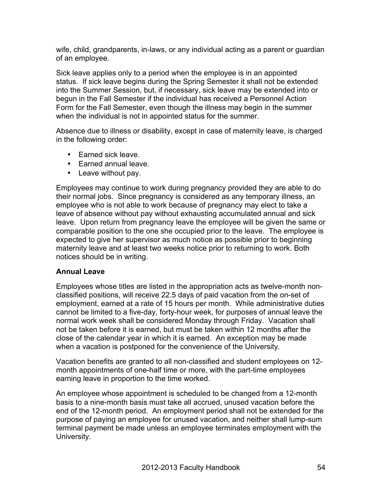wife, child, grandparents, in-laws, or any individual acting as a parent or guardian of an employee.

Sick leave applies only to a period when the employee is in an appointed status. If sick leave begins during the Spring Semester it shall not be extended into the Summer Session, but, if necessary, sick leave may be extended into or begun in the Fall Semester if the individual has received a Personnel Action Form for the Fall Semester, even though the illness may begin in the summer when the individual is not in appointed status for the summer.

Absence due to illness or disability, except in case of maternity leave, is charged in the following order:

- Earned sick leave.
- Earned annual leave.
- Leave without pay.

Employees may continue to work during pregnancy provided they are able to do their normal jobs. Since pregnancy is considered as any temporary illness, an employee who is not able to work because of pregnancy may elect to take a leave of absence without pay without exhausting accumulated annual and sick leave. Upon return from pregnancy leave the employee will be given the same or comparable position to the one she occupied prior to the leave. The employee is expected to give her supervisor as much notice as possible prior to beginning maternity leave and at least two weeks notice prior to returning to work. Both notices should be in writing.

## **Annual Leave**

Employees whose titles are listed in the appropriation acts as twelve-month nonclassified positions, will receive 22.5 days of paid vacation from the on-set of employment, earned at a rate of 15 hours per month. While administrative duties cannot be limited to a five-day, forty-hour week, for purposes of annual leave the normal work week shall be considered Monday through Friday. Vacation shall not be taken before it is earned, but must be taken within 12 months after the close of the calendar year in which it is earned. An exception may be made when a vacation is postponed for the convenience of the University.

Vacation benefits are granted to all non-classified and student employees on 12 month appointments of one-half time or more, with the part-time employees earning leave in proportion to the time worked.

An employee whose appointment is scheduled to be changed from a 12-month basis to a nine-month basis must take all accrued, unused vacation before the end of the 12-month period. An employment period shall not be extended for the purpose of paying an employee for unused vacation, and neither shall lump-sum terminal payment be made unless an employee terminates employment with the University.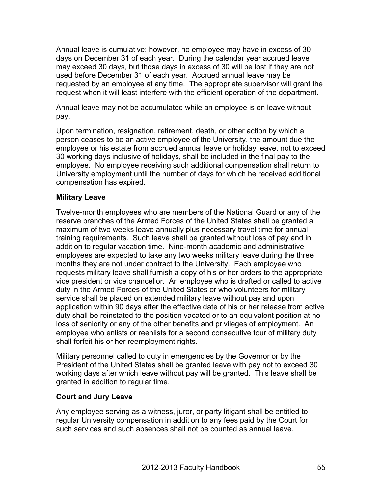Annual leave is cumulative; however, no employee may have in excess of 30 days on December 31 of each year. During the calendar year accrued leave may exceed 30 days, but those days in excess of 30 will be lost if they are not used before December 31 of each year. Accrued annual leave may be requested by an employee at any time. The appropriate supervisor will grant the request when it will least interfere with the efficient operation of the department.

Annual leave may not be accumulated while an employee is on leave without pay.

Upon termination, resignation, retirement, death, or other action by which a person ceases to be an active employee of the University, the amount due the employee or his estate from accrued annual leave or holiday leave, not to exceed 30 working days inclusive of holidays, shall be included in the final pay to the employee. No employee receiving such additional compensation shall return to University employment until the number of days for which he received additional compensation has expired.

# **Military Leave**

Twelve-month employees who are members of the National Guard or any of the reserve branches of the Armed Forces of the United States shall be granted a maximum of two weeks leave annually plus necessary travel time for annual training requirements. Such leave shall be granted without loss of pay and in addition to regular vacation time. Nine-month academic and administrative employees are expected to take any two weeks military leave during the three months they are not under contract to the University. Each employee who requests military leave shall furnish a copy of his or her orders to the appropriate vice president or vice chancellor. An employee who is drafted or called to active duty in the Armed Forces of the United States or who volunteers for military service shall be placed on extended military leave without pay and upon application within 90 days after the effective date of his or her release from active duty shall be reinstated to the position vacated or to an equivalent position at no loss of seniority or any of the other benefits and privileges of employment. An employee who enlists or reenlists for a second consecutive tour of military duty shall forfeit his or her reemployment rights.

Military personnel called to duty in emergencies by the Governor or by the President of the United States shall be granted leave with pay not to exceed 30 working days after which leave without pay will be granted. This leave shall be granted in addition to regular time.

## **Court and Jury Leave**

Any employee serving as a witness, juror, or party litigant shall be entitled to regular University compensation in addition to any fees paid by the Court for such services and such absences shall not be counted as annual leave.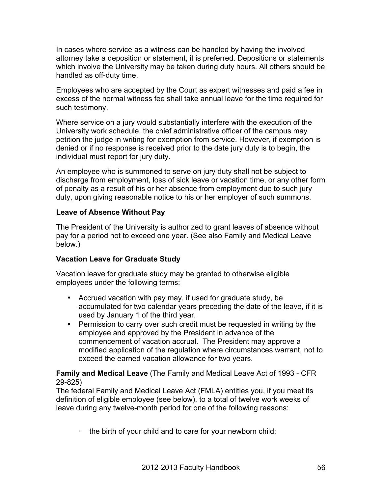In cases where service as a witness can be handled by having the involved attorney take a deposition or statement, it is preferred. Depositions or statements which involve the University may be taken during duty hours. All others should be handled as off-duty time.

Employees who are accepted by the Court as expert witnesses and paid a fee in excess of the normal witness fee shall take annual leave for the time required for such testimony.

Where service on a jury would substantially interfere with the execution of the University work schedule, the chief administrative officer of the campus may petition the judge in writing for exemption from service. However, if exemption is denied or if no response is received prior to the date jury duty is to begin, the individual must report for jury duty.

An employee who is summoned to serve on jury duty shall not be subject to discharge from employment, loss of sick leave or vacation time, or any other form of penalty as a result of his or her absence from employment due to such jury duty, upon giving reasonable notice to his or her employer of such summons.

# **Leave of Absence Without Pay**

The President of the University is authorized to grant leaves of absence without pay for a period not to exceed one year. (See also Family and Medical Leave below.)

# **Vacation Leave for Graduate Study**

Vacation leave for graduate study may be granted to otherwise eligible employees under the following terms:

- Accrued vacation with pay may, if used for graduate study, be accumulated for two calendar years preceding the date of the leave, if it is used by January 1 of the third year.
- Permission to carry over such credit must be requested in writing by the employee and approved by the President in advance of the commencement of vacation accrual. The President may approve a modified application of the regulation where circumstances warrant, not to exceed the earned vacation allowance for two years.

## **Family and Medical Leave** (The Family and Medical Leave Act of 1993 - CFR 29-825)

The federal Family and Medical Leave Act (FMLA) entitles you, if you meet its definition of eligible employee (see below), to a total of twelve work weeks of leave during any twelve-month period for one of the following reasons:

· the birth of your child and to care for your newborn child;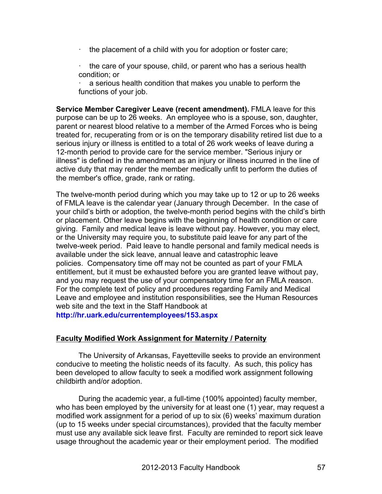- $\cdot$  the placement of a child with you for adoption or foster care;
- · the care of your spouse, child, or parent who has a serious health condition; or

a serious health condition that makes you unable to perform the functions of your job.

**Service Member Caregiver Leave (recent amendment).** FMLA leave for this purpose can be up to 26 weeks. An employee who is a spouse, son, daughter, parent or nearest blood relative to a member of the Armed Forces who is being treated for, recuperating from or is on the temporary disability retired list due to a serious injury or illness is entitled to a total of 26 work weeks of leave during a 12-month period to provide care for the service member. "Serious injury or illness" is defined in the amendment as an injury or illness incurred in the line of active duty that may render the member medically unfit to perform the duties of the member's office, grade, rank or rating.

The twelve-month period during which you may take up to 12 or up to 26 weeks of FMLA leave is the calendar year (January through December. In the case of your child's birth or adoption, the twelve-month period begins with the child's birth or placement. Other leave begins with the beginning of health condition or care giving. Family and medical leave is leave without pay. However, you may elect, or the University may require you, to substitute paid leave for any part of the twelve-week period. Paid leave to handle personal and family medical needs is available under the sick leave, annual leave and catastrophic leave policies. Compensatory time off may not be counted as part of your FMLA entitlement, but it must be exhausted before you are granted leave without pay, and you may request the use of your compensatory time for an FMLA reason. For the complete text of policy and procedures regarding Family and Medical Leave and employee and institution responsibilities, see the Human Resources web site and the text in the Staff Handbook at

**http://hr.uark.edu/currentemployees/153.aspx**

## **Faculty Modified Work Assignment for Maternity / Paternity**

The University of Arkansas, Fayetteville seeks to provide an environment conducive to meeting the holistic needs of its faculty. As such, this policy has been developed to allow faculty to seek a modified work assignment following childbirth and/or adoption.

During the academic year, a full-time (100% appointed) faculty member, who has been employed by the university for at least one (1) year, may request a modified work assignment for a period of up to six (6) weeks' maximum duration (up to 15 weeks under special circumstances), provided that the faculty member must use any available sick leave first. Faculty are reminded to report sick leave usage throughout the academic year or their employment period. The modified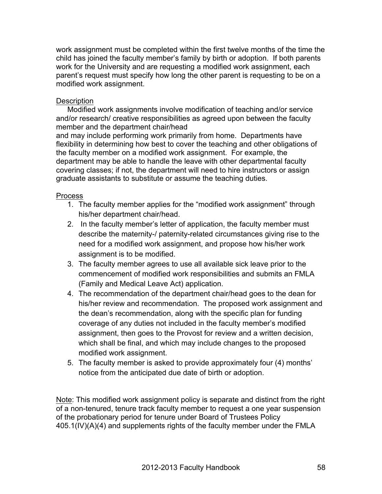work assignment must be completed within the first twelve months of the time the child has joined the faculty member's family by birth or adoption. If both parents work for the University and are requesting a modified work assignment, each parent's request must specify how long the other parent is requesting to be on a modified work assignment.

# **Description**

Modified work assignments involve modification of teaching and/or service and/or research/ creative responsibilities as agreed upon between the faculty member and the department chair/head

and may include performing work primarily from home. Departments have flexibility in determining how best to cover the teaching and other obligations of the faculty member on a modified work assignment. For example, the department may be able to handle the leave with other departmental faculty covering classes; if not, the department will need to hire instructors or assign graduate assistants to substitute or assume the teaching duties.

# **Process**

- 1. The faculty member applies for the "modified work assignment" through his/her department chair/head.
- 2. In the faculty member's letter of application, the faculty member must describe the maternity-/ paternity-related circumstances giving rise to the need for a modified work assignment, and propose how his/her work assignment is to be modified.
- 3. The faculty member agrees to use all available sick leave prior to the commencement of modified work responsibilities and submits an FMLA (Family and Medical Leave Act) application.
- 4. The recommendation of the department chair/head goes to the dean for his/her review and recommendation. The proposed work assignment and the dean's recommendation, along with the specific plan for funding coverage of any duties not included in the faculty member's modified assignment, then goes to the Provost for review and a written decision, which shall be final, and which may include changes to the proposed modified work assignment.
- 5. The faculty member is asked to provide approximately four (4) months' notice from the anticipated due date of birth or adoption.

Note: This modified work assignment policy is separate and distinct from the right of a non-tenured, tenure track faculty member to request a one year suspension of the probationary period for tenure under Board of Trustees Policy 405.1(IV)(A)(4) and supplements rights of the faculty member under the FMLA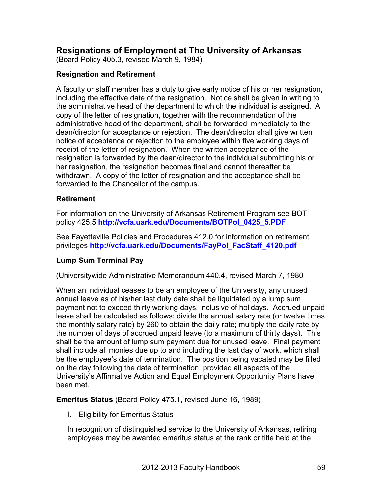# **Resignations of Employment at The University of Arkansas**

(Board Policy 405.3, revised March 9, 1984)

## **Resignation and Retirement**

A faculty or staff member has a duty to give early notice of his or her resignation, including the effective date of the resignation. Notice shall be given in writing to the administrative head of the department to which the individual is assigned. A copy of the letter of resignation, together with the recommendation of the administrative head of the department, shall be forwarded immediately to the dean/director for acceptance or rejection. The dean/director shall give written notice of acceptance or rejection to the employee within five working days of receipt of the letter of resignation. When the written acceptance of the resignation is forwarded by the dean/director to the individual submitting his or her resignation, the resignation becomes final and cannot thereafter be withdrawn. A copy of the letter of resignation and the acceptance shall be forwarded to the Chancellor of the campus.

## **Retirement**

For information on the University of Arkansas Retirement Program see BOT policy 425.5 **http://vcfa.uark.edu/Documents/BOTPol\_0425\_5.PDF**

See Fayetteville Policies and Procedures 412.0 for information on retirement privileges **http://vcfa.uark.edu/Documents/FayPol\_FacStaff\_4120.pdf**

# **Lump Sum Terminal Pay**

(Universitywide Administrative Memorandum 440.4, revised March 7, 1980

When an individual ceases to be an employee of the University, any unused annual leave as of his/her last duty date shall be liquidated by a lump sum payment not to exceed thirty working days, inclusive of holidays. Accrued unpaid leave shall be calculated as follows: divide the annual salary rate (or twelve times the monthly salary rate) by 260 to obtain the daily rate; multiply the daily rate by the number of days of accrued unpaid leave (to a maximum of thirty days). This shall be the amount of lump sum payment due for unused leave. Final payment shall include all monies due up to and including the last day of work, which shall be the employee's date of termination. The position being vacated may be filled on the day following the date of termination, provided all aspects of the University's Affirmative Action and Equal Employment Opportunity Plans have been met.

**Emeritus Status** (Board Policy 475.1, revised June 16, 1989)

I. Eligibility for Emeritus Status

In recognition of distinguished service to the University of Arkansas, retiring employees may be awarded emeritus status at the rank or title held at the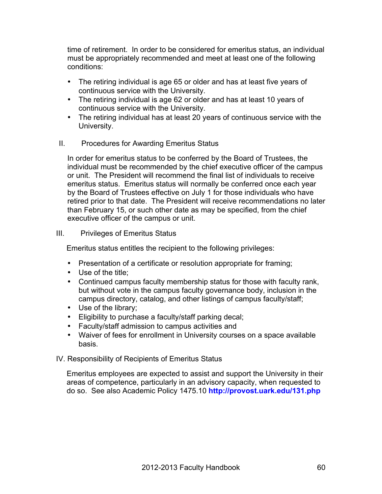time of retirement. In order to be considered for emeritus status, an individual must be appropriately recommended and meet at least one of the following conditions:

- The retiring individual is age 65 or older and has at least five years of continuous service with the University.
- The retiring individual is age 62 or older and has at least 10 years of continuous service with the University.
- The retiring individual has at least 20 years of continuous service with the University.

## II. Procedures for Awarding Emeritus Status

In order for emeritus status to be conferred by the Board of Trustees, the individual must be recommended by the chief executive officer of the campus or unit. The President will recommend the final list of individuals to receive emeritus status. Emeritus status will normally be conferred once each year by the Board of Trustees effective on July 1 for those individuals who have retired prior to that date. The President will receive recommendations no later than February 15, or such other date as may be specified, from the chief executive officer of the campus or unit.

#### III. Privileges of Emeritus Status

Emeritus status entitles the recipient to the following privileges:

- Presentation of a certificate or resolution appropriate for framing;
- Use of the title;
- Continued campus faculty membership status for those with faculty rank, but without vote in the campus faculty governance body, inclusion in the campus directory, catalog, and other listings of campus faculty/staff;
- Use of the library;
- Eligibility to purchase a faculty/staff parking decal;
- Faculty/staff admission to campus activities and
- Waiver of fees for enrollment in University courses on a space available basis.

#### IV. Responsibility of Recipients of Emeritus Status

Emeritus employees are expected to assist and support the University in their areas of competence, particularly in an advisory capacity, when requested to do so. See also Academic Policy 1475.10 **http://provost.uark.edu/131.php**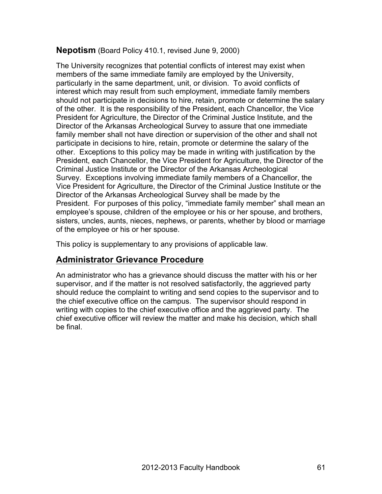# **Nepotism** (Board Policy 410.1, revised June 9, 2000)

The University recognizes that potential conflicts of interest may exist when members of the same immediate family are employed by the University, particularly in the same department, unit, or division. To avoid conflicts of interest which may result from such employment, immediate family members should not participate in decisions to hire, retain, promote or determine the salary of the other. It is the responsibility of the President, each Chancellor, the Vice President for Agriculture, the Director of the Criminal Justice Institute, and the Director of the Arkansas Archeological Survey to assure that one immediate family member shall not have direction or supervision of the other and shall not participate in decisions to hire, retain, promote or determine the salary of the other. Exceptions to this policy may be made in writing with justification by the President, each Chancellor, the Vice President for Agriculture, the Director of the Criminal Justice Institute or the Director of the Arkansas Archeological Survey. Exceptions involving immediate family members of a Chancellor, the Vice President for Agriculture, the Director of the Criminal Justice Institute or the Director of the Arkansas Archeological Survey shall be made by the President. For purposes of this policy, "immediate family member" shall mean an employee's spouse, children of the employee or his or her spouse, and brothers, sisters, uncles, aunts, nieces, nephews, or parents, whether by blood or marriage of the employee or his or her spouse.

This policy is supplementary to any provisions of applicable law.

# **Administrator Grievance Procedure**

An administrator who has a grievance should discuss the matter with his or her supervisor, and if the matter is not resolved satisfactorily, the aggrieved party should reduce the complaint to writing and send copies to the supervisor and to the chief executive office on the campus. The supervisor should respond in writing with copies to the chief executive office and the aggrieved party. The chief executive officer will review the matter and make his decision, which shall be final.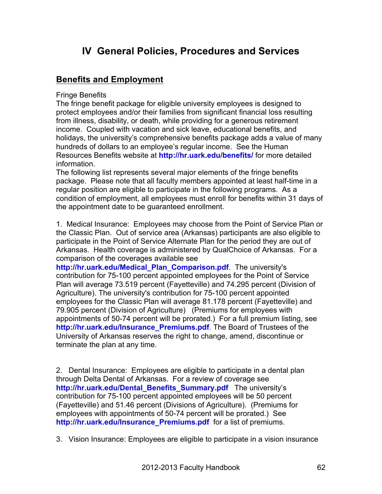# **IV General Policies, Procedures and Services**

# **Benefits and Employment**

Fringe Benefits

The fringe benefit package for eligible university employees is designed to protect employees and/or their families from significant financial loss resulting from illness, disability, or death, while providing for a generous retirement income. Coupled with vacation and sick leave, educational benefits, and holidays, the university's comprehensive benefits package adds a value of many hundreds of dollars to an employee's regular income. See the Human Resources Benefits website at **http://hr.uark.edu/benefits/** for more detailed information.

The following list represents several major elements of the fringe benefits package. Please note that all faculty members appointed at least half-time in a regular position are eligible to participate in the following programs. As a condition of employment, all employees must enroll for benefits within 31 days of the appointment date to be guaranteed enrollment.

1. Medical Insurance: Employees may choose from the Point of Service Plan or the Classic Plan. Out of service area (Arkansas) participants are also eligible to participate in the Point of Service Alternate Plan for the period they are out of Arkansas. Health coverage is administered by QualChoice of Arkansas. For a comparison of the coverages available see

**http://hr.uark.edu/Medical\_Plan\_Comparison.pdf**. The university's contribution for 75-100 percent appointed employees for the Point of Service Plan will average 73.519 percent (Fayetteville) and 74.295 percent (Division of Agriculture). The university's contribution for 75-100 percent appointed employees for the Classic Plan will average 81.178 percent (Fayetteville) and 79.905 percent (Division of Agriculture) (Premiums for employees with appointments of 50-74 percent will be prorated.) For a full premium listing, see **http://hr.uark.edu/Insurance\_Premiums.pdf**. The Board of Trustees of the University of Arkansas reserves the right to change, amend, discontinue or terminate the plan at any time.

2. Dental Insurance: Employees are eligible to participate in a dental plan through Delta Dental of Arkansas. For a review of coverage see **http://hr.uark.edu/Dental\_Benefits\_Summary.pdf** The university's contribution for 75-100 percent appointed employees will be 50 percent (Fayetteville) and 51.46 percent (Divisions of Agriculture). (Premiums for employees with appointments of 50-74 percent will be prorated.) See **http://hr.uark.edu/Insurance\_Premiums.pdf** for a list of premiums.

3. Vision Insurance: Employees are eligible to participate in a vision insurance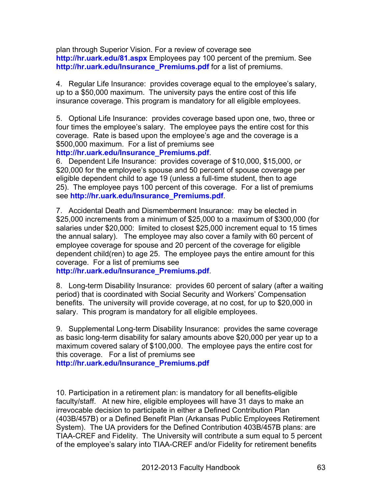plan through Superior Vision. For a review of coverage see **http://hr.uark.edu/81.aspx** Employees pay 100 percent of the premium. See **http://hr.uark.edu/Insurance\_Premiums.pdf** for a list of premiums.

4. Regular Life Insurance: provides coverage equal to the employee's salary, up to a \$50,000 maximum. The university pays the entire cost of this life insurance coverage. This program is mandatory for all eligible employees.

5. Optional Life Insurance: provides coverage based upon one, two, three or four times the employee's salary. The employee pays the entire cost for this coverage. Rate is based upon the employee's age and the coverage is a \$500,000 maximum. For a list of premiums see

## **http://hr.uark.edu/Insurance\_Premiums.pdf**.

6. Dependent Life Insurance: provides coverage of \$10,000, \$15,000, or \$20,000 for the employee's spouse and 50 percent of spouse coverage per eligible dependent child to age 19 (unless a full-time student, then to age 25). The employee pays 100 percent of this coverage. For a list of premiums see **http://hr.uark.edu/Insurance\_Premiums.pdf**.

7. Accidental Death and Dismemberment Insurance: may be elected in \$25,000 increments from a minimum of \$25,000 to a maximum of \$300,000 (for salaries under \$20,000: limited to closest \$25,000 increment equal to 15 times the annual salary). The employee may also cover a family with 60 percent of employee coverage for spouse and 20 percent of the coverage for eligible dependent child(ren) to age 25. The employee pays the entire amount for this coverage. For a list of premiums see

**http://hr.uark.edu/Insurance\_Premiums.pdf**.

8. Long-term Disability Insurance: provides 60 percent of salary (after a waiting period) that is coordinated with Social Security and Workers' Compensation benefits. The university will provide coverage, at no cost, for up to \$20,000 in salary. This program is mandatory for all eligible employees.

9. Supplemental Long-term Disability Insurance: provides the same coverage as basic long-term disability for salary amounts above \$20,000 per year up to a maximum covered salary of \$100,000. The employee pays the entire cost for this coverage. For a list of premiums see **http://hr.uark.edu/Insurance\_Premiums.pdf**

10. Participation in a retirement plan: is mandatory for all benefits-eligible faculty/staff. At new hire, eligible employees will have 31 days to make an irrevocable decision to participate in either a Defined Contribution Plan (403B/457B) or a Defined Benefit Plan (Arkansas Public Employees Retirement System). The UA providers for the Defined Contribution 403B/457B plans: are TIAA-CREF and Fidelity. The University will contribute a sum equal to 5 percent of the employee's salary into TIAA-CREF and/or Fidelity for retirement benefits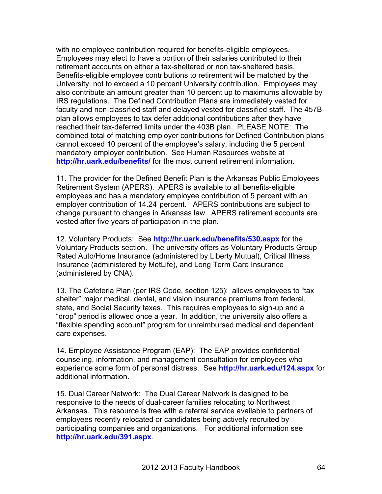with no employee contribution required for benefits-eligible employees. Employees may elect to have a portion of their salaries contributed to their retirement accounts on either a tax-sheltered or non tax-sheltered basis. Benefits-eligible employee contributions to retirement will be matched by the University, not to exceed a 10 percent University contribution. Employees may also contribute an amount greater than 10 percent up to maximums allowable by IRS regulations. The Defined Contribution Plans are immediately vested for faculty and non-classified staff and delayed vested for classified staff. The 457B plan allows employees to tax defer additional contributions after they have reached their tax-deferred limits under the 403B plan. PLEASE NOTE: The combined total of matching employer contributions for Defined Contribution plans cannot exceed 10 percent of the employee's salary, including the 5 percent mandatory employer contribution. See Human Resources website at **http://hr.uark.edu/benefits/** for the most current retirement information.

11. The provider for the Defined Benefit Plan is the Arkansas Public Employees Retirement System (APERS). APERS is available to all benefits-eligible employees and has a mandatory employee contribution of 5 percent with an employer contribution of 14.24 percent. APERS contributions are subject to change pursuant to changes in Arkansas law. APERS retirement accounts are vested after five years of participation in the plan.

12. Voluntary Products: See **http://hr.uark.edu/benefits/530.aspx** for the Voluntary Products section. The university offers as Voluntary Products Group Rated Auto/Home Insurance (administered by Liberty Mutual), Critical Illness Insurance (administered by MetLife), and Long Term Care Insurance (administered by CNA).

13. The Cafeteria Plan (per IRS Code, section 125): allows employees to "tax shelter" major medical, dental, and vision insurance premiums from federal, state, and Social Security taxes. This requires employees to sign-up and a "drop" period is allowed once a year. In addition, the university also offers a "flexible spending account" program for unreimbursed medical and dependent care expenses.

14. Employee Assistance Program (EAP): The EAP provides confidential counseling, information, and management consultation for employees who experience some form of personal distress. See **http://hr.uark.edu/124.aspx** for additional information.

15. Dual Career Network: The Dual Career Network is designed to be responsive to the needs of dual-career families relocating to Northwest Arkansas. This resource is free with a referral service available to partners of employees recently relocated or candidates being actively recruited by participating companies and organizations. For additional information see **http://hr.uark.edu/391.aspx**.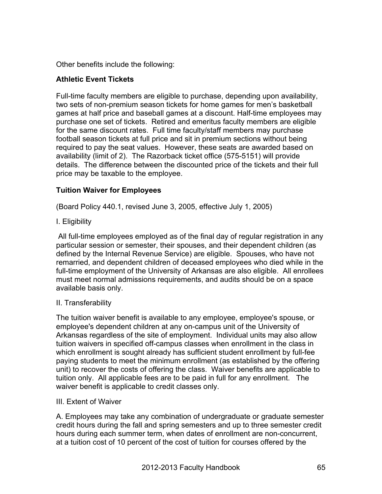Other benefits include the following:

# **Athletic Event Tickets**

Full-time faculty members are eligible to purchase, depending upon availability, two sets of non-premium season tickets for home games for men's basketball games at half price and baseball games at a discount. Half-time employees may purchase one set of tickets. Retired and emeritus faculty members are eligible for the same discount rates. Full time faculty/staff members may purchase football season tickets at full price and sit in premium sections without being required to pay the seat values. However, these seats are awarded based on availability (limit of 2). The Razorback ticket office (575-5151) will provide details. The difference between the discounted price of the tickets and their full price may be taxable to the employee.

# **Tuition Waiver for Employees**

(Board Policy 440.1, revised June 3, 2005, effective July 1, 2005)

I. Eligibility

All full-time employees employed as of the final day of regular registration in any particular session or semester, their spouses, and their dependent children (as defined by the Internal Revenue Service) are eligible. Spouses, who have not remarried, and dependent children of deceased employees who died while in the full-time employment of the University of Arkansas are also eligible. All enrollees must meet normal admissions requirements, and audits should be on a space available basis only.

## II. Transferability

The tuition waiver benefit is available to any employee, employee's spouse, or employee's dependent children at any on-campus unit of the University of Arkansas regardless of the site of employment. Individual units may also allow tuition waivers in specified off-campus classes when enrollment in the class in which enrollment is sought already has sufficient student enrollment by full-fee paying students to meet the minimum enrollment (as established by the offering unit) to recover the costs of offering the class. Waiver benefits are applicable to tuition only. All applicable fees are to be paid in full for any enrollment. The waiver benefit is applicable to credit classes only.

## III. Extent of Waiver

A. Employees may take any combination of undergraduate or graduate semester credit hours during the fall and spring semesters and up to three semester credit hours during each summer term, when dates of enrollment are non-concurrent, at a tuition cost of 10 percent of the cost of tuition for courses offered by the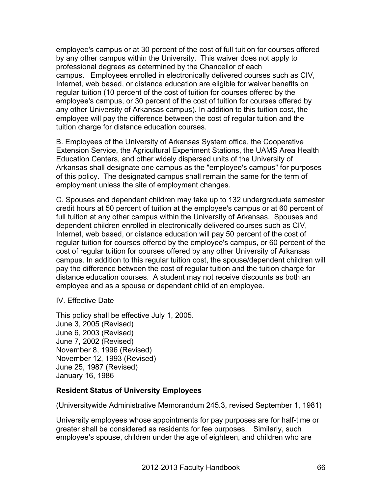employee's campus or at 30 percent of the cost of full tuition for courses offered by any other campus within the University. This waiver does not apply to professional degrees as determined by the Chancellor of each campus. Employees enrolled in electronically delivered courses such as CIV, Internet, web based, or distance education are eligible for waiver benefits on regular tuition (10 percent of the cost of tuition for courses offered by the employee's campus, or 30 percent of the cost of tuition for courses offered by any other University of Arkansas campus). In addition to this tuition cost, the employee will pay the difference between the cost of regular tuition and the tuition charge for distance education courses.

B. Employees of the University of Arkansas System office, the Cooperative Extension Service, the Agricultural Experiment Stations, the UAMS Area Health Education Centers, and other widely dispersed units of the University of Arkansas shall designate one campus as the "employee's campus" for purposes of this policy. The designated campus shall remain the same for the term of employment unless the site of employment changes.

C. Spouses and dependent children may take up to 132 undergraduate semester credit hours at 50 percent of tuition at the employee's campus or at 60 percent of full tuition at any other campus within the University of Arkansas. Spouses and dependent children enrolled in electronically delivered courses such as CIV, Internet, web based, or distance education will pay 50 percent of the cost of regular tuition for courses offered by the employee's campus, or 60 percent of the cost of regular tuition for courses offered by any other University of Arkansas campus. In addition to this regular tuition cost, the spouse/dependent children will pay the difference between the cost of regular tuition and the tuition charge for distance education courses. A student may not receive discounts as both an employee and as a spouse or dependent child of an employee.

IV. Effective Date

This policy shall be effective July 1, 2005. June 3, 2005 (Revised) June 6, 2003 (Revised) June 7, 2002 (Revised) November 8, 1996 (Revised) November 12, 1993 (Revised) June 25, 1987 (Revised) January 16, 1986

## **Resident Status of University Employees**

(Universitywide Administrative Memorandum 245.3, revised September 1, 1981)

University employees whose appointments for pay purposes are for half-time or greater shall be considered as residents for fee purposes. Similarly, such employee's spouse, children under the age of eighteen, and children who are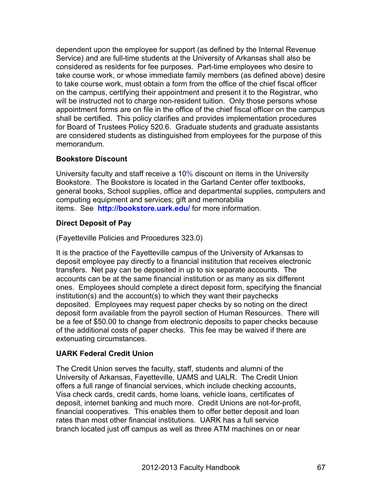dependent upon the employee for support (as defined by the Internal Revenue Service) and are full-time students at the University of Arkansas shall also be considered as residents for fee purposes. Part-time employees who desire to take course work, or whose immediate family members (as defined above) desire to take course work, must obtain a form from the office of the chief fiscal officer on the campus, certifying their appointment and present it to the Registrar, who will be instructed not to charge non-resident tuition. Only those persons whose appointment forms are on file in the office of the chief fiscal officer on the campus shall be certified. This policy clarifies and provides implementation procedures for Board of Trustees Policy 520.6. Graduate students and graduate assistants are considered students as distinguished from employees for the purpose of this memorandum.

# **Bookstore Discount**

University faculty and staff receive a 10% discount on items in the University Bookstore. The Bookstore is located in the Garland Center offer textbooks, general books, School supplies, office and departmental supplies, computers and computing equipment and services; gift and memorabilia items. See **http://bookstore.uark.edu/** for more information.

# **Direct Deposit of Pay**

(Fayetteville Policies and Procedures 323.0)

It is the practice of the Fayetteville campus of the University of Arkansas to deposit employee pay directly to a financial institution that receives electronic transfers. Net pay can be deposited in up to six separate accounts. The accounts can be at the same financial institution or as many as six different ones. Employees should complete a direct deposit form, specifying the financial institution(s) and the account(s) to which they want their paychecks deposited. Employees may request paper checks by so noting on the direct deposit form available from the payroll section of Human Resources. There will be a fee of \$50.00 to change from electronic deposits to paper checks because of the additional costs of paper checks. This fee may be waived if there are extenuating circumstances.

# **UARK Federal Credit Union**

The Credit Union serves the faculty, staff, students and alumni of the University of Arkansas, Fayetteville, UAMS and UALR. The Credit Union offers a full range of financial services, which include checking accounts, Visa check cards, credit cards, home loans, vehicle loans, certificates of deposit, internet banking and much more. Credit Unions are not-for-profit, financial cooperatives. This enables them to offer better deposit and loan rates than most other financial institutions. UARK has a full service branch located just off campus as well as three ATM machines on or near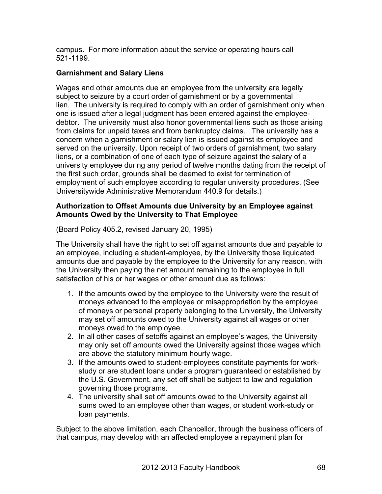campus. For more information about the service or operating hours call 521-1199.

# **Garnishment and Salary Liens**

Wages and other amounts due an employee from the university are legally subject to seizure by a court order of garnishment or by a governmental lien. The university is required to comply with an order of garnishment only when one is issued after a legal judgment has been entered against the employeedebtor. The university must also honor governmental liens such as those arising from claims for unpaid taxes and from bankruptcy claims. The university has a concern when a garnishment or salary lien is issued against its employee and served on the university. Upon receipt of two orders of garnishment, two salary liens, or a combination of one of each type of seizure against the salary of a university employee during any period of twelve months dating from the receipt of the first such order, grounds shall be deemed to exist for termination of employment of such employee according to regular university procedures. (See Universitywide Administrative Memorandum 440.9 for details.)

# **Authorization to Offset Amounts due University by an Employee against Amounts Owed by the University to That Employee**

(Board Policy 405.2, revised January 20, 1995)

The University shall have the right to set off against amounts due and payable to an employee, including a student-employee, by the University those liquidated amounts due and payable by the employee to the University for any reason, with the University then paying the net amount remaining to the employee in full satisfaction of his or her wages or other amount due as follows:

- 1. If the amounts owed by the employee to the University were the result of moneys advanced to the employee or misappropriation by the employee of moneys or personal property belonging to the University, the University may set off amounts owed to the University against all wages or other moneys owed to the employee.
- 2. In all other cases of setoffs against an employee's wages, the University may only set off amounts owed the University against those wages which are above the statutory minimum hourly wage.
- 3. If the amounts owed to student-employees constitute payments for workstudy or are student loans under a program guaranteed or established by the U.S. Government, any set off shall be subject to law and regulation governing those programs.
- 4. The university shall set off amounts owed to the University against all sums owed to an employee other than wages, or student work-study or loan payments.

Subject to the above limitation, each Chancellor, through the business officers of that campus, may develop with an affected employee a repayment plan for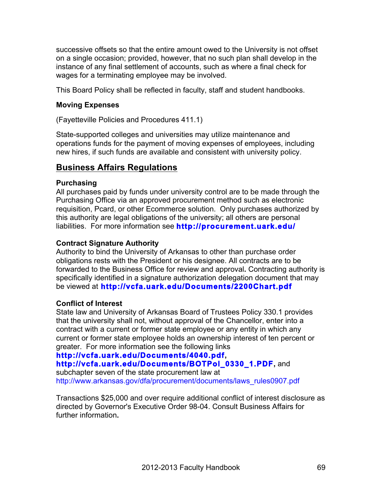successive offsets so that the entire amount owed to the University is not offset on a single occasion; provided, however, that no such plan shall develop in the instance of any final settlement of accounts, such as where a final check for wages for a terminating employee may be involved.

This Board Policy shall be reflected in faculty, staff and student handbooks.

# **Moving Expenses**

(Fayetteville Policies and Procedures 411.1)

State-supported colleges and universities may utilize maintenance and operations funds for the payment of moving expenses of employees, including new hires, if such funds are available and consistent with university policy.

# **Business Affairs Regulations**

# **Purchasing**

All purchases paid by funds under university control are to be made through the Purchasing Office via an approved procurement method such as electronic requisition, Pcard, or other Ecommerce solution. Only purchases authorized by this authority are legal obligations of the university; all others are personal liabilities. For more information see **http://procurement.uark.edu/**

# **Contract Signature Authority**

Authority to bind the University of Arkansas to other than purchase order obligations rests with the President or his designee. All contracts are to be forwarded to the Business Office for review and approval**.** Contracting authority is specifically identified in a signature authorization delegation document that may be viewed at **http://vcfa.uark.edu/Documents/2200Chart.pdf**

# **Conflict of Interest**

State law and University of Arkansas Board of Trustees Policy 330.1 provides that the university shall not, without approval of the Chancellor, enter into a contract with a current or former state employee or any entity in which any current or former state employee holds an ownership interest of ten percent or greater. For more information see the following links

# **http://vcfa.uark.edu/Documents/4040.pdf,**

# **http://vcfa.uark.edu/Documents/BOTPol\_0330\_1.PDF,** and

subchapter seven of the state procurement law at http://www.arkansas.gov/dfa/procurement/documents/laws\_rules0907.pdf

Transactions \$25,000 and over require additional conflict of interest disclosure as directed by Governor's Executive Order 98-04. Consult Business Affairs for further information**.**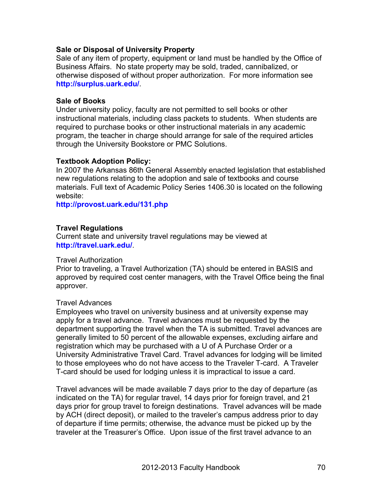## **Sale or Disposal of University Prop***e***rty**

Sale of any item of property, equipment or land must be handled by the Office of Business Affairs. No state property may be sold, traded, cannibalized, or otherwise disposed of without proper authorization. For more information see **http://surplus.uark.edu/**.

#### **Sale of Books**

Under university policy, faculty are not permitted to sell books or other instructional materials, including class packets to students. When students are required to purchase books or other instructional materials in any academic program, the teacher in charge should arrange for sale of the required articles through the University Bookstore or PMC Solutions.

#### **Textbook Adoption Policy:**

In 2007 the Arkansas 86th General Assembly enacted legislation that established new regulations relating to the adoption and sale of textbooks and course materials. Full text of Academic Policy Series 1406.30 is located on the following website:

**http://provost.uark.edu/131.php**

# **Travel Regulations**

Current state and university travel regulations may be viewed at **http://travel.uark.edu/**.

#### Travel Authorization

Prior to traveling, a Travel Authorization (TA) should be entered in BASIS and approved by required cost center managers, with the Travel Office being the final approver.

## Travel Advances

Employees who travel on university business and at university expense may apply for a travel advance. Travel advances must be requested by the department supporting the travel when the TA is submitted. Travel advances are generally limited to 50 percent of the allowable expenses, excluding airfare and registration which may be purchased with a U of A Purchase Order or a University Administrative Travel Card. Travel advances for lodging will be limited to those employees who do not have access to the Traveler T-card. A Traveler T-card should be used for lodging unless it is impractical to issue a card.

Travel advances will be made available 7 days prior to the day of departure (as indicated on the TA) for regular travel, 14 days prior for foreign travel, and 21 days prior for group travel to foreign destinations. Travel advances will be made by ACH (direct deposit), or mailed to the traveler's campus address prior to day of departure if time permits; otherwise, the advance must be picked up by the traveler at the Treasurer's Office. Upon issue of the first travel advance to an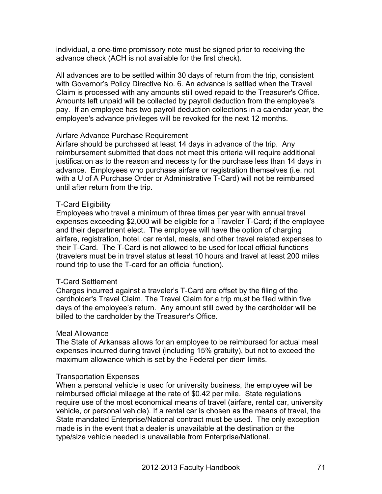individual, a one-time promissory note must be signed prior to receiving the advance check (ACH is not available for the first check).

All advances are to be settled within 30 days of return from the trip, consistent with Governor's Policy Directive No. 6. An advance is settled when the Travel Claim is processed with any amounts still owed repaid to the Treasurer's Office. Amounts left unpaid will be collected by payroll deduction from the employee's pay. If an employee has two payroll deduction collections in a calendar year, the employee's advance privileges will be revoked for the next 12 months.

#### Airfare Advance Purchase Requirement

Airfare should be purchased at least 14 days in advance of the trip. Any reimbursement submitted that does not meet this criteria will require additional justification as to the reason and necessity for the purchase less than 14 days in advance. Employees who purchase airfare or registration themselves (i.e. not with a U of A Purchase Order or Administrative T-Card) will not be reimbursed until after return from the trip.

#### T-Card Eligibility

Employees who travel a minimum of three times per year with annual travel expenses exceeding \$2,000 will be eligible for a Traveler T-Card; if the employee and their department elect. The employee will have the option of charging airfare, registration, hotel, car rental, meals, and other travel related expenses to their T-Card. The T-Card is not allowed to be used for local official functions (travelers must be in travel status at least 10 hours and travel at least 200 miles round trip to use the T-card for an official function).

#### T-Card Settlement

Charges incurred against a traveler's T-Card are offset by the filing of the cardholder's Travel Claim. The Travel Claim for a trip must be filed within five days of the employee's return. Any amount still owed by the cardholder will be billed to the cardholder by the Treasurer's Office.

#### Meal Allowance

The State of Arkansas allows for an employee to be reimbursed for actual meal expenses incurred during travel (including 15% gratuity), but not to exceed the maximum allowance which is set by the Federal per diem limits.

#### Transportation Expenses

When a personal vehicle is used for university business, the employee will be reimbursed official mileage at the rate of \$0.42 per mile. State regulations require use of the most economical means of travel (airfare, rental car, university vehicle, or personal vehicle). If a rental car is chosen as the means of travel, the State mandated Enterprise/National contract must be used. The only exception made is in the event that a dealer is unavailable at the destination or the type/size vehicle needed is unavailable from Enterprise/National.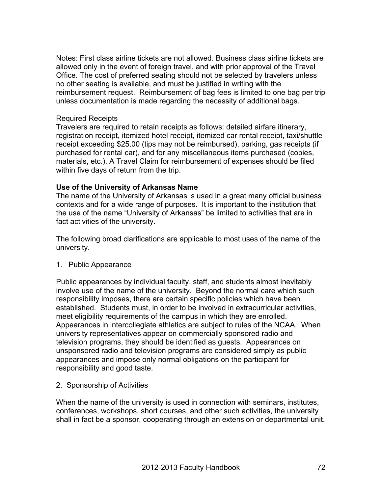Notes: First class airline tickets are not allowed. Business class airline tickets are allowed only in the event of foreign travel, and with prior approval of the Travel Office. The cost of preferred seating should not be selected by travelers unless no other seating is available, and must be justified in writing with the reimbursement request. Reimbursement of bag fees is limited to one bag per trip unless documentation is made regarding the necessity of additional bags.

#### Required Receipts

Travelers are required to retain receipts as follows: detailed airfare itinerary, registration receipt, itemized hotel receipt, itemized car rental receipt, taxi/shuttle receipt exceeding \$25.00 (tips may not be reimbursed), parking, gas receipts (if purchased for rental car), and for any miscellaneous items purchased (copies, materials, etc.). A Travel Claim for reimbursement of expenses should be filed within five days of return from the trip.

#### **Use of the University of Arkansas Name**

The name of the University of Arkansas is used in a great many official business contexts and for a wide range of purposes. It is important to the institution that the use of the name "University of Arkansas" be limited to activities that are in fact activities of the university.

The following broad clarifications are applicable to most uses of the name of the university.

#### 1. Public Appearance

Public appearances by individual faculty, staff, and students almost inevitably involve use of the name of the university. Beyond the normal care which such responsibility imposes, there are certain specific policies which have been established. Students must, in order to be involved in extracurricular activities, meet eligibility requirements of the campus in which they are enrolled. Appearances in intercollegiate athletics are subject to rules of the NCAA. When university representatives appear on commercially sponsored radio and television programs, they should be identified as guests. Appearances on unsponsored radio and television programs are considered simply as public appearances and impose only normal obligations on the participant for responsibility and good taste.

#### 2. Sponsorship of Activities

When the name of the university is used in connection with seminars, institutes, conferences, workshops, short courses, and other such activities, the university shall in fact be a sponsor, cooperating through an extension or departmental unit.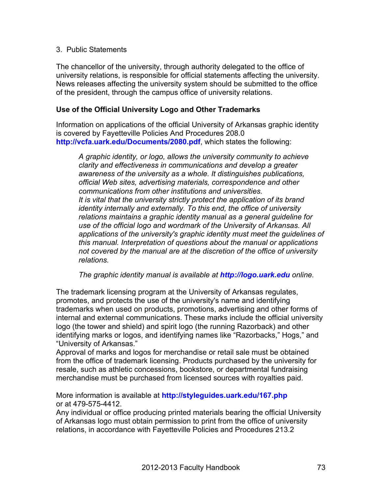### 3. Public Statements

The chancellor of the university, through authority delegated to the office of university relations, is responsible for official statements affecting the university. News releases affecting the university system should be submitted to the office of the president, through the campus office of university relations.

### **Use of the Official University Logo and Other Trademarks**

Information on applications of the official University of Arkansas graphic identity is covered by Fayetteville Policies And Procedures 208.0 **http://vcfa.uark.edu/Documents/2080.pdf**, which states the following:

*A graphic identity, or logo, allows the university community to achieve clarity and effectiveness in communications and develop a greater awareness of the university as a whole. It distinguishes publications, official Web sites, advertising materials, correspondence and other communications from other institutions and universities. It is vital that the university strictly protect the application of its brand identity internally and externally. To this end, the office of university relations maintains a graphic identity manual as a general guideline for use of the official logo and wordmark of the University of Arkansas. All applications of the university's graphic identity must meet the guidelines of this manual. Interpretation of questions about the manual or applications not covered by the manual are at the discretion of the office of university relations.*

*The graphic identity manual is available at http://logo.uark.edu online.*

The trademark licensing program at the University of Arkansas regulates, promotes, and protects the use of the university's name and identifying trademarks when used on products, promotions, advertising and other forms of internal and external communications. These marks include the official university logo (the tower and shield) and spirit logo (the running Razorback) and other identifying marks or logos, and identifying names like "Razorbacks," Hogs," and "University of Arkansas."

Approval of marks and logos for merchandise or retail sale must be obtained from the office of trademark licensing. Products purchased by the university for resale, such as athletic concessions, bookstore, or departmental fundraising merchandise must be purchased from licensed sources with royalties paid.

More information is available at **http://styleguides.uark.edu/167.php** or at 479-575-4412.

Any individual or office producing printed materials bearing the official University of Arkansas logo must obtain permission to print from the office of university relations, in accordance with Fayetteville Policies and Procedures 213.2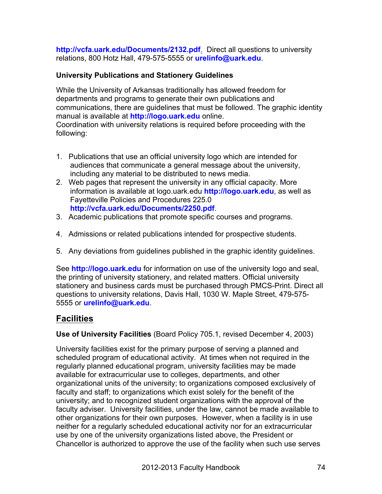**http://vcfa.uark.edu/Documents/2132.pdf**. Direct all questions to university relations, 800 Hotz Hall, 479-575-5555 or **urelinfo@uark.edu**.

# **University Publications and Stationery Guidelines**

While the University of Arkansas traditionally has allowed freedom for departments and programs to generate their own publications and communications, there are guidelines that must be followed. The graphic identity manual is available at **http://logo.uark.edu** online. Coordination with university relations is required before proceeding with the following:

- 1. Publications that use an official university logo which are intended for audiences that communicate a general message about the university, including any material to be distributed to news media.
- 2. Web pages that represent the university in any official capacity. More information is available at logo.uark.edu **http://logo.uark.edu**, as well as Fayetteville Policies and Procedures 225.0 **http://vcfa.uark.edu/Documents/2250.pdf**.
- 3. Academic publications that promote specific courses and programs.
- 4. Admissions or related publications intended for prospective students.
- 5. Any deviations from guidelines published in the graphic identity guidelines.

See **http://logo.uark.edu** for information on use of the university logo and seal, the printing of university stationery, and related matters. Official university stationery and business cards must be purchased through PMCS-Print. Direct all questions to university relations, Davis Hall, 1030 W. Maple Street, 479-575- 5555 or **urelinfo@uark.edu**.

# **Facilities**

**Use of University Facilities** (Board Policy 705.1, revised December 4, 2003)

University facilities exist for the primary purpose of serving a planned and scheduled program of educational activity. At times when not required in the regularly planned educational program, university facilities may be made available for extracurricular use to colleges, departments, and other organizational units of the university; to organizations composed exclusively of faculty and staff; to organizations which exist solely for the benefit of the university; and to recognized student organizations with the approval of the faculty adviser. University facilities, under the law, cannot be made available to other organizations for their own purposes. However, when a facility is in use neither for a regularly scheduled educational activity nor for an extracurricular use by one of the university organizations listed above, the President or Chancellor is authorized to approve the use of the facility when such use serves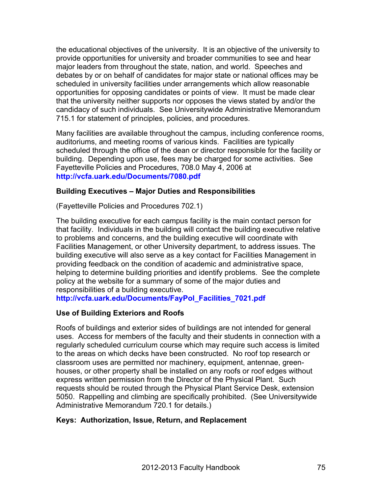the educational objectives of the university. It is an objective of the university to provide opportunities for university and broader communities to see and hear major leaders from throughout the state, nation, and world. Speeches and debates by or on behalf of candidates for major state or national offices may be scheduled in university facilities under arrangements which allow reasonable opportunities for opposing candidates or points of view. It must be made clear that the university neither supports nor opposes the views stated by and/or the candidacy of such individuals. See Universitywide Administrative Memorandum 715.1 for statement of principles, policies, and procedures.

Many facilities are available throughout the campus, including conference rooms, auditoriums, and meeting rooms of various kinds. Facilities are typically scheduled through the office of the dean or director responsible for the facility or building. Depending upon use, fees may be charged for some activities. See Fayetteville Policies and Procedures, 708.0 May 4, 2006 at **http://vcfa.uark.edu/Documents/7080.pdf**

### **Building Executives – Major Duties and Responsibilities**

(Fayetteville Policies and Procedures 702.1)

The building executive for each campus facility is the main contact person for that facility. Individuals in the building will contact the building executive relative to problems and concerns, and the building executive will coordinate with Facilities Management, or other University department, to address issues. The building executive will also serve as a key contact for Facilities Management in providing feedback on the condition of academic and administrative space, helping to determine building priorities and identify problems. See the complete policy at the website for a summary of some of the major duties and responsibilities of a building executive.

**http://vcfa.uark.edu/Documents/FayPol\_Facilities\_7021.pdf**

### **Use of Building Exteriors and Roofs**

Roofs of buildings and exterior sides of buildings are not intended for general uses. Access for members of the faculty and their students in connection with a regularly scheduled curriculum course which may require such access is limited to the areas on which decks have been constructed. No roof top research or classroom uses are permitted nor machinery, equipment, antennae, greenhouses, or other property shall be installed on any roofs or roof edges without express written permission from the Director of the Physical Plant. Such requests should be routed through the Physical Plant Service Desk, extension 5050. Rappelling and climbing are specifically prohibited. (See Universitywide Administrative Memorandum 720.1 for details.)

### **Keys: Authorization, Issue, Return, and Replacement**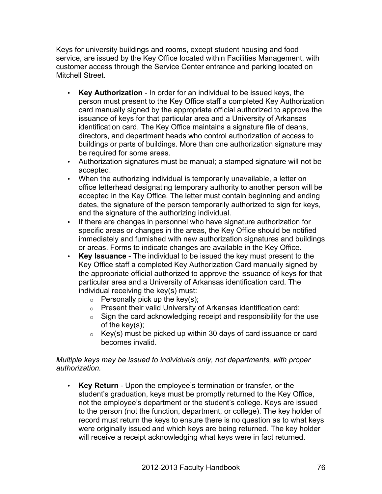Keys for university buildings and rooms, except student housing and food service, are issued by the Key Office located within Facilities Management, with customer access through the Service Center entrance and parking located on Mitchell Street.

- **Key Authorization** In order for an individual to be issued keys, the person must present to the Key Office staff a completed Key Authorization card manually signed by the appropriate official authorized to approve the issuance of keys for that particular area and a University of Arkansas identification card. The Key Office maintains a signature file of deans, directors, and department heads who control authorization of access to buildings or parts of buildings. More than one authorization signature may be required for some areas.
- Authorization signatures must be manual; a stamped signature will not be accepted.
- When the authorizing individual is temporarily unavailable, a letter on office letterhead designating temporary authority to another person will be accepted in the Key Office. The letter must contain beginning and ending dates, the signature of the person temporarily authorized to sign for keys, and the signature of the authorizing individual.
- If there are changes in personnel who have signature authorization for specific areas or changes in the areas, the Key Office should be notified immediately and furnished with new authorization signatures and buildings or areas. Forms to indicate changes are available in the Key Office.
- **Key Issuance** The individual to be issued the key must present to the Key Office staff a completed Key Authorization Card manually signed by the appropriate official authorized to approve the issuance of keys for that particular area and a University of Arkansas identification card. The individual receiving the key(s) must:
	- $\circ$  Personally pick up the key(s);
	- o Present their valid University of Arkansas identification card;
	- $\circ$  Sign the card acknowledging receipt and responsibility for the use of the key(s);
	- $\circ$  Key(s) must be picked up within 30 days of card issuance or card becomes invalid.

### *Multiple keys may be issued to individuals only, not departments, with proper authorization.*

• **Key Return** - Upon the employee's termination or transfer, or the student's graduation, keys must be promptly returned to the Key Office, not the employee's department or the student's college. Keys are issued to the person (not the function, department, or college). The key holder of record must return the keys to ensure there is no question as to what keys were originally issued and which keys are being returned. The key holder will receive a receipt acknowledging what keys were in fact returned.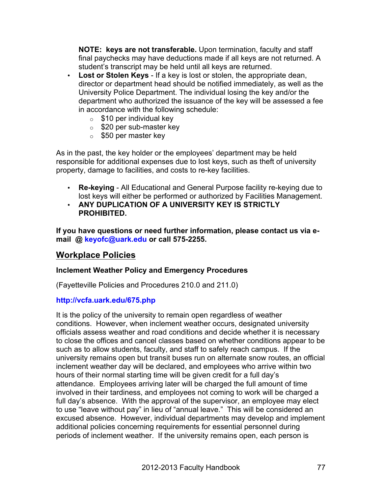**NOTE: keys are not transferable.** Upon termination, faculty and staff final paychecks may have deductions made if all keys are not returned. A student's transcript may be held until all keys are returned.

- **Lost or Stolen Keys** If a key is lost or stolen, the appropriate dean, director or department head should be notified immediately, as well as the University Police Department. The individual losing the key and/or the department who authorized the issuance of the key will be assessed a fee in accordance with the following schedule:
	- $\circ$  \$10 per individual key
	- o \$20 per sub-master key
	- $\circ$  \$50 per master key

As in the past, the key holder or the employees' department may be held responsible for additional expenses due to lost keys, such as theft of university property, damage to facilities, and costs to re-key facilities.

- **Re-keying** All Educational and General Purpose facility re-keying due to lost keys will either be performed or authorized by Facilities Management.
- **ANY DUPLICATION OF A UNIVERSITY KEY IS STRICTLY PROHIBITED.**

**If you have questions or need further information, please contact us via email @ keyofc@uark.edu or call 575-2255.**

# **Workplace Policies**

# **Inclement Weather Policy and Emergency Procedures**

(Fayetteville Policies and Procedures 210.0 and 211.0)

# **http://vcfa.uark.edu/675.php**

It is the policy of the university to remain open regardless of weather conditions. However, when inclement weather occurs, designated university officials assess weather and road conditions and decide whether it is necessary to close the offices and cancel classes based on whether conditions appear to be such as to allow students, faculty, and staff to safely reach campus. If the university remains open but transit buses run on alternate snow routes, an official inclement weather day will be declared, and employees who arrive within two hours of their normal starting time will be given credit for a full day's attendance. Employees arriving later will be charged the full amount of time involved in their tardiness, and employees not coming to work will be charged a full day's absence. With the approval of the supervisor, an employee may elect to use "leave without pay" in lieu of "annual leave." This will be considered an excused absence. However, individual departments may develop and implement additional policies concerning requirements for essential personnel during periods of inclement weather. If the university remains open, each person is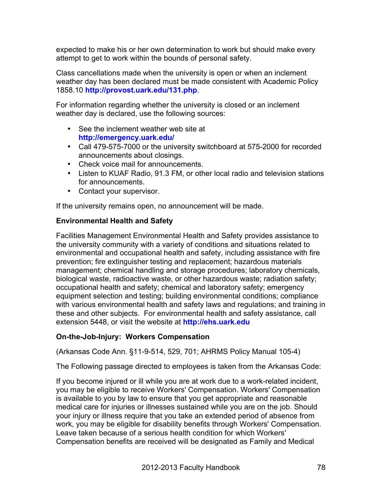expected to make his or her own determination to work but should make every attempt to get to work within the bounds of personal safety.

Class cancellations made when the university is open or when an inclement weather day has been declared must be made consistent with Academic Policy 1858.10 **http://provost.uark.edu/131.php**.

For information regarding whether the university is closed or an inclement weather day is declared, use the following sources:

- See the inclement weather web site at **http://emergency.uark.edu/**
- Call 479-575-7000 or the university switchboard at 575-2000 for recorded announcements about closings.
- Check voice mail for announcements.
- Listen to KUAF Radio, 91.3 FM, or other local radio and television stations for announcements.
- Contact your supervisor.

If the university remains open, no announcement will be made.

# **Environmental Health and Safety**

Facilities Management Environmental Health and Safety provides assistance to the university community with a variety of conditions and situations related to environmental and occupational health and safety, including assistance with fire prevention; fire extinguisher testing and replacement; hazardous materials management; chemical handling and storage procedures; laboratory chemicals, biological waste, radioactive waste, or other hazardous waste; radiation safety; occupational health and safety; chemical and laboratory safety; emergency equipment selection and testing; building environmental conditions; compliance with various environmental health and safety laws and regulations; and training in these and other subjects. For environmental health and safety assistance, call extension 5448, or visit the website at **http://ehs.uark.edu**

# **On-the-Job-Injury: Workers Compensation**

(Arkansas Code Ann. §11-9-514, 529, 701; AHRMS Policy Manual 105-4)

The Following passage directed to employees is taken from the Arkansas Code:

If you become injured or ill while you are at work due to a work-related incident, you may be eligible to receive Workers' Compensation. Workers' Compensation is available to you by law to ensure that you get appropriate and reasonable medical care for injuries or illnesses sustained while you are on the job. Should your injury or illness require that you take an extended period of absence from work, you may be eligible for disability benefits through Workers' Compensation. Leave taken because of a serious health condition for which Workers' Compensation benefits are received will be designated as Family and Medical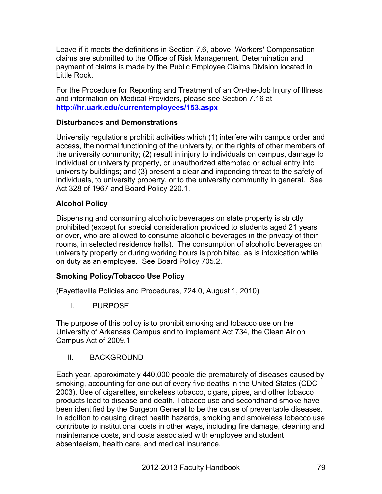Leave if it meets the definitions in Section 7.6, above. Workers' Compensation claims are submitted to the Office of Risk Management. Determination and payment of claims is made by the Public Employee Claims Division located in Little Rock.

For the Procedure for Reporting and Treatment of an On-the-Job Injury of Illness and information on Medical Providers, please see Section 7.16 at **http://hr.uark.edu/currentemployees/153.aspx**

### **Disturbances and Demonstrations**

University regulations prohibit activities which (1) interfere with campus order and access, the normal functioning of the university, or the rights of other members of the university community; (2) result in injury to individuals on campus, damage to individual or university property, or unauthorized attempted or actual entry into university buildings; and (3) present a clear and impending threat to the safety of individuals, to university property, or to the university community in general. See Act 328 of 1967 and Board Policy 220.1.

# **Alcohol Policy**

Dispensing and consuming alcoholic beverages on state property is strictly prohibited (except for special consideration provided to students aged 21 years or over, who are allowed to consume alcoholic beverages in the privacy of their rooms, in selected residence halls). The consumption of alcoholic beverages on university property or during working hours is prohibited, as is intoxication while on duty as an employee. See Board Policy 705.2.

# **Smoking Policy/Tobacco Use Policy**

(Fayetteville Policies and Procedures, 724.0, August 1, 2010)

I. PURPOSE

The purpose of this policy is to prohibit smoking and tobacco use on the University of Arkansas Campus and to implement Act 734, the Clean Air on Campus Act of 2009.1

II. BACKGROUND

Each year, approximately 440,000 people die prematurely of diseases caused by smoking, accounting for one out of every five deaths in the United States (CDC 2003). Use of cigarettes, smokeless tobacco, cigars, pipes, and other tobacco products lead to disease and death. Tobacco use and secondhand smoke have been identified by the Surgeon General to be the cause of preventable diseases. In addition to causing direct health hazards, smoking and smokeless tobacco use contribute to institutional costs in other ways, including fire damage, cleaning and maintenance costs, and costs associated with employee and student absenteeism, health care, and medical insurance.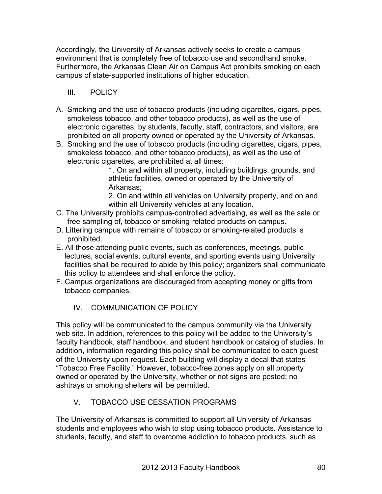Accordingly, the University of Arkansas actively seeks to create a campus environment that is completely free of tobacco use and secondhand smoke. Furthermore, the Arkansas Clean Air on Campus Act prohibits smoking on each campus of state-supported institutions of higher education.

# III. POLICY

- A. Smoking and the use of tobacco products (including cigarettes, cigars, pipes, smokeless tobacco, and other tobacco products), as well as the use of electronic cigarettes, by students, faculty, staff, contractors, and visitors, are prohibited on all property owned or operated by the University of Arkansas.
- B. Smoking and the use of tobacco products (including cigarettes, cigars, pipes, smokeless tobacco, and other tobacco products), as well as the use of electronic cigarettes, are prohibited at all times:

1. On and within all property, including buildings, grounds, and athletic facilities, owned or operated by the University of Arkansas;

2. On and within all vehicles on University property, and on and within all University vehicles at any location.

- C. The University prohibits campus-controlled advertising, as well as the sale or free sampling of, tobacco or smoking-related products on campus.
- D. Littering campus with remains of tobacco or smoking-related products is prohibited.
- E. All those attending public events, such as conferences, meetings, public lectures, social events, cultural events, and sporting events using University facilities shall be required to abide by this policy; organizers shall communicate this policy to attendees and shall enforce the policy.
- F. Campus organizations are discouraged from accepting money or gifts from tobacco companies.
	- IV. COMMUNICATION OF POLICY

This policy will be communicated to the campus community via the University web site. In addition, references to this policy will be added to the University's faculty handbook, staff handbook, and student handbook or catalog of studies. In addition, information regarding this policy shall be communicated to each guest of the University upon request. Each building will display a decal that states "Tobacco Free Facility." However, tobacco-free zones apply on all property owned or operated by the University, whether or not signs are posted; no ashtrays or smoking shelters will be permitted.

# V. TOBACCO USE CESSATION PROGRAMS

The University of Arkansas is committed to support all University of Arkansas students and employees who wish to stop using tobacco products. Assistance to students, faculty, and staff to overcome addiction to tobacco products, such as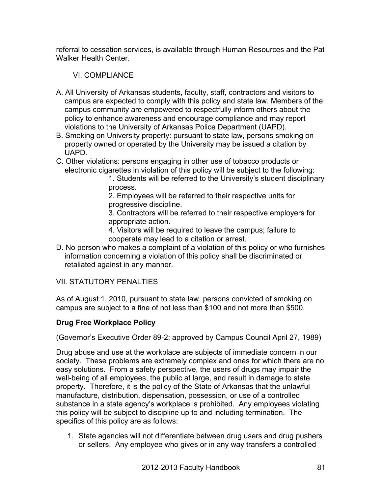referral to cessation services, is available through Human Resources and the Pat Walker Health Center.

# VI. COMPI IANCE

- A. All University of Arkansas students, faculty, staff, contractors and visitors to campus are expected to comply with this policy and state law. Members of the campus community are empowered to respectfully inform others about the policy to enhance awareness and encourage compliance and may report violations to the University of Arkansas Police Department (UAPD).
- B. Smoking on University property: pursuant to state law, persons smoking on property owned or operated by the University may be issued a citation by UAPD.
- C. Other violations: persons engaging in other use of tobacco products or electronic cigarettes in violation of this policy will be subject to the following:

1. Students will be referred to the University's student disciplinary process.

2. Employees will be referred to their respective units for progressive discipline.

3. Contractors will be referred to their respective employers for appropriate action.

4. Visitors will be required to leave the campus; failure to cooperate may lead to a citation or arrest.

D. No person who makes a complaint of a violation of this policy or who furnishes information concerning a violation of this policy shall be discriminated or retaliated against in any manner.

# VII. STATUTORY PENALTIES

As of August 1, 2010, pursuant to state law, persons convicted of smoking on campus are subject to a fine of not less than \$100 and not more than \$500.

# **Drug Free Workplace Policy**

(Governor's Executive Order 89-2; approved by Campus Council April 27, 1989)

Drug abuse and use at the workplace are subjects of immediate concern in our society. These problems are extremely complex and ones for which there are no easy solutions. From a safety perspective, the users of drugs may impair the well-being of all employees, the public at large, and result in damage to state property. Therefore, it is the policy of the State of Arkansas that the unlawful manufacture, distribution, dispensation, possession, or use of a controlled substance in a state agency's workplace is prohibited. Any employees violating this policy will be subject to discipline up to and including termination. The specifics of this policy are as follows:

1. State agencies will not differentiate between drug users and drug pushers or sellers. Any employee who gives or in any way transfers a controlled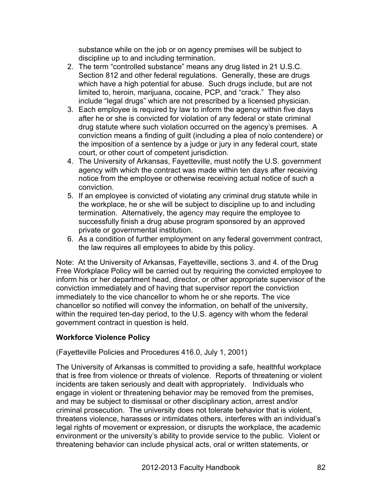substance while on the job or on agency premises will be subject to discipline up to and including termination.

- 2. The term "controlled substance" means any drug listed in 21 U.S.C. Section 812 and other federal regulations. Generally, these are drugs which have a high potential for abuse. Such drugs include, but are not limited to, heroin, marijuana, cocaine, PCP, and "crack." They also include "legal drugs" which are not prescribed by a licensed physician.
- 3. Each employee is required by law to inform the agency within five days after he or she is convicted for violation of any federal or state criminal drug statute where such violation occurred on the agency's premises. A conviction means a finding of guilt (including a plea of nolo contendere) or the imposition of a sentence by a judge or jury in any federal court, state court, or other court of competent jurisdiction.
- 4. The University of Arkansas, Fayetteville, must notify the U.S. government agency with which the contract was made within ten days after receiving notice from the employee or otherwise receiving actual notice of such a conviction.
- 5. If an employee is convicted of violating any criminal drug statute while in the workplace, he or she will be subject to discipline up to and including termination. Alternatively, the agency may require the employee to successfully finish a drug abuse program sponsored by an approved private or governmental institution.
- 6. As a condition of further employment on any federal government contract, the law requires all employees to abide by this policy.

Note: At the University of Arkansas, Fayetteville, sections 3. and 4. of the Drug Free Workplace Policy will be carried out by requiring the convicted employee to inform his or her department head, director, or other appropriate supervisor of the conviction immediately and of having that supervisor report the conviction immediately to the vice chancellor to whom he or she reports. The vice chancellor so notified will convey the information, on behalf of the university, within the required ten-day period, to the U.S. agency with whom the federal government contract in question is held.

# **Workforce Violence Policy**

(Fayetteville Policies and Procedures 416.0, July 1, 2001)

The University of Arkansas is committed to providing a safe, healthful workplace that is free from violence or threats of violence. Reports of threatening or violent incidents are taken seriously and dealt with appropriately. Individuals who engage in violent or threatening behavior may be removed from the premises, and may be subject to dismissal or other disciplinary action, arrest and/or criminal prosecution. The university does not tolerate behavior that is violent, threatens violence, harasses or intimidates others, interferes with an individual's legal rights of movement or expression, or disrupts the workplace, the academic environment or the university's ability to provide service to the public. Violent or threatening behavior can include physical acts, oral or written statements, or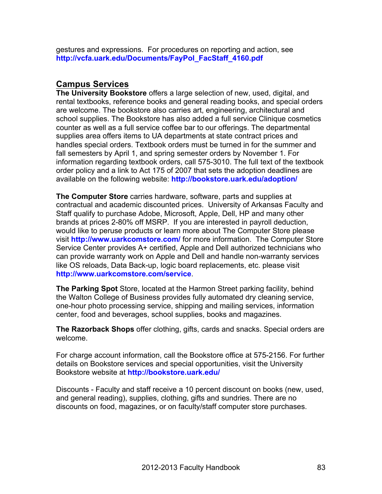gestures and expressions. For procedures on reporting and action, see **http://vcfa.uark.edu/Documents/FayPol\_FacStaff\_4160.pdf**

# **Campus Services**

**The University Bookstore** offers a large selection of new, used, digital, and rental textbooks, reference books and general reading books, and special orders are welcome. The bookstore also carries art, engineering, architectural and school supplies. The Bookstore has also added a full service Clinique cosmetics counter as well as a full service coffee bar to our offerings. The departmental supplies area offers items to UA departments at state contract prices and handles special orders. Textbook orders must be turned in for the summer and fall semesters by April 1, and spring semester orders by November 1. For information regarding textbook orders, call 575-3010. The full text of the textbook order policy and a link to Act 175 of 2007 that sets the adoption deadlines are available on the following website: **http://bookstore.uark.edu/adoption/**

**The Computer Store** carries hardware, software, parts and supplies at contractual and academic discounted prices. University of Arkansas Faculty and Staff qualify to purchase Adobe, Microsoft, Apple, Dell, HP and many other brands at prices 2-80% off MSRP. If you are interested in payroll deduction, would like to peruse products or learn more about The Computer Store please visit **http://www.uarkcomstore.com/** for more information. The Computer Store Service Center provides A+ certified, Apple and Dell authorized technicians who can provide warranty work on Apple and Dell and handle non-warranty services like OS reloads, Data Back-up, logic board replacements, etc. please visit **http://www.uarkcomstore.com/service**.

**The Parking Spot** Store, located at the Harmon Street parking facility, behind the Walton College of Business provides fully automated dry cleaning service, one-hour photo processing service, shipping and mailing services, information center, food and beverages, school supplies, books and magazines.

**The Razorback Shops** offer clothing, gifts, cards and snacks. Special orders are welcome.

For charge account information, call the Bookstore office at 575-2156. For further details on Bookstore services and special opportunities, visit the University Bookstore website at **http://bookstore.uark.edu/**

Discounts - Faculty and staff receive a 10 percent discount on books (new, used, and general reading), supplies, clothing, gifts and sundries. There are no discounts on food, magazines, or on faculty/staff computer store purchases.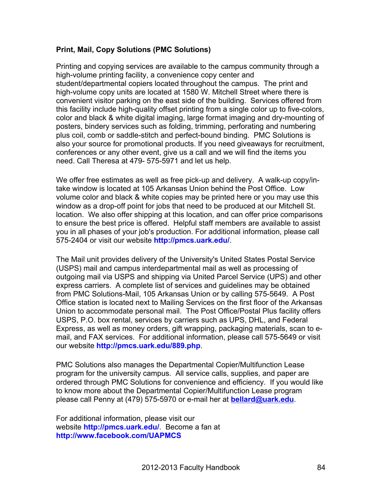### **Print, Mail, Copy Solutions (PMC Solutions)**

Printing and copying services are available to the campus community through a high-volume printing facility, a convenience copy center and student/departmental copiers located throughout the campus. The print and high-volume copy units are located at 1580 W. Mitchell Street where there is convenient visitor parking on the east side of the building. Services offered from this facility include high-quality offset printing from a single color up to five-colors, color and black & white digital imaging, large format imaging and dry-mounting of posters, bindery services such as folding, trimming, perforating and numbering plus coil, comb or saddle-stitch and perfect-bound binding. PMC Solutions is also your source for promotional products. If you need giveaways for recruitment, conferences or any other event, give us a call and we will find the items you need. Call Theresa at 479- 575-5971 and let us help.

We offer free estimates as well as free pick-up and delivery. A walk-up copy/intake window is located at 105 Arkansas Union behind the Post Office. Low volume color and black & white copies may be printed here or you may use this window as a drop-off point for jobs that need to be produced at our Mitchell St. location. We also offer shipping at this location, and can offer price comparisons to ensure the best price is offered. Helpful staff members are available to assist you in all phases of your job's production. For additional information, please call 575-2404 or visit our website **http://pmcs.uark.edu/**.

The Mail unit provides delivery of the University's United States Postal Service (USPS) mail and campus interdepartmental mail as well as processing of outgoing mail via USPS and shipping via United Parcel Service (UPS) and other express carriers. A complete list of services and guidelines may be obtained from PMC Solutions-Mail, 105 Arkansas Union or by calling 575-5649. A Post Office station is located next to Mailing Services on the first floor of the Arkansas Union to accommodate personal mail. The Post Office/Postal Plus facility offers USPS, P.O. box rental, services by carriers such as UPS, DHL, and Federal Express, as well as money orders, gift wrapping, packaging materials, scan to email, and FAX services. For additional information, please call 575-5649 or visit our website **http://pmcs.uark.edu/889.php**.

PMC Solutions also manages the Departmental Copier/Multifunction Lease program for the university campus. All service calls, supplies, and paper are ordered through PMC Solutions for convenience and efficiency. If you would like to know more about the Departmental Copier/Multifunction Lease program please call Penny at (479) 575-5970 or e-mail her at **bellard@uark.edu**.

For additional information, please visit our website **http://pmcs.uark.edu/**. Become a fan at **http://www.facebook.com/UAPMCS**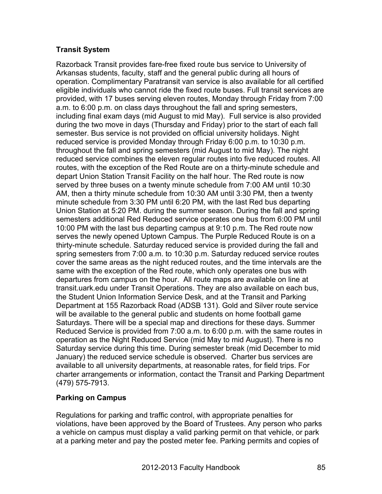### **Transit System**

Razorback Transit provides fare-free fixed route bus service to University of Arkansas students, faculty, staff and the general public during all hours of operation. Complimentary Paratransit van service is also available for all certified eligible individuals who cannot ride the fixed route buses. Full transit services are provided, with 17 buses serving eleven routes, Monday through Friday from 7:00 a.m. to 6:00 p.m. on class days throughout the fall and spring semesters, including final exam days (mid August to mid May). Full service is also provided during the two move in days (Thursday and Friday) prior to the start of each fall semester. Bus service is not provided on official university holidays. Night reduced service is provided Monday through Friday 6:00 p.m. to 10:30 p.m. throughout the fall and spring semesters (mid August to mid May). The night reduced service combines the eleven regular routes into five reduced routes. All routes, with the exception of the Red Route are on a thirty-minute schedule and depart Union Station Transit Facility on the half hour. The Red route is now served by three buses on a twenty minute schedule from 7:00 AM until 10:30 AM, then a thirty minute schedule from 10:30 AM until 3:30 PM, then a twenty minute schedule from 3:30 PM until 6:20 PM, with the last Red bus departing Union Station at 5:20 PM. during the summer season. During the fall and spring semesters additional Red Reduced service operates one bus from 6:00 PM until 10:00 PM with the last bus departing campus at 9:10 p.m. The Red route now serves the newly opened Uptown Campus. The Purple Reduced Route is on a thirty-minute schedule. Saturday reduced service is provided during the fall and spring semesters from 7:00 a.m. to 10:30 p.m. Saturday reduced service routes cover the same areas as the night reduced routes, and the time intervals are the same with the exception of the Red route, which only operates one bus with departures from campus on the hour. All route maps are available on line at transit.uark.edu under Transit Operations. They are also available on each bus, the Student Union Information Service Desk, and at the Transit and Parking Department at 155 Razorback Road (ADSB 131). Gold and Silver route service will be available to the general public and students on home football game Saturdays. There will be a special map and directions for these days. Summer Reduced Service is provided from 7:00 a.m. to 6:00 p.m. with the same routes in operation as the Night Reduced Service (mid May to mid August). There is no Saturday service during this time. During semester break (mid December to mid January) the reduced service schedule is observed. Charter bus services are available to all university departments, at reasonable rates, for field trips. For charter arrangements or information, contact the Transit and Parking Department (479) 575-7913.

# **Parking on Campus**

Regulations for parking and traffic control, with appropriate penalties for violations, have been approved by the Board of Trustees. Any person who parks a vehicle on campus must display a valid parking permit on that vehicle, or park at a parking meter and pay the posted meter fee. Parking permits and copies of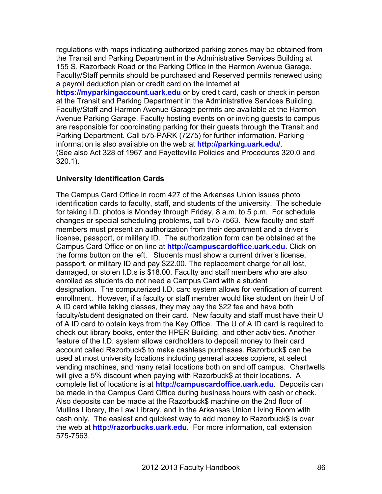regulations with maps indicating authorized parking zones may be obtained from the Transit and Parking Department in the Administrative Services Building at 155 S. Razorback Road or the Parking Office in the Harmon Avenue Garage. Faculty/Staff permits should be purchased and Reserved permits renewed using a payroll deduction plan or credit card on the Internet at

**https://myparkingaccount.uark.edu** or by credit card, cash or check in person at the Transit and Parking Department in the Administrative Services Building. Faculty/Staff and Harmon Avenue Garage permits are available at the Harmon Avenue Parking Garage. Faculty hosting events on or inviting guests to campus are responsible for coordinating parking for their guests through the Transit and Parking Department. Call 575-PARK (7275) for further information. Parking information is also available on the web at **http://parking.uark.edu/**. (See also Act 328 of 1967 and Fayetteville Policies and Procedures 320.0 and 320.1).

### **University Identification Cards**

The Campus Card Office in room 427 of the Arkansas Union issues photo identification cards to faculty, staff, and students of the university. The schedule for taking I.D. photos is Monday through Friday, 8 a.m. to 5 p.m. For schedule changes or special scheduling problems, call 575-7563. New faculty and staff members must present an authorization from their department and a driver's license, passport, or military ID. The authorization form can be obtained at the Campus Card Office or on line at **http://campuscardoffice.uark.edu**. Click on the forms button on the left. Students must show a current driver's license, passport, or military ID and pay \$22.00. The replacement charge for all lost, damaged, or stolen I.D.s is \$18.00. Faculty and staff members who are also enrolled as students do not need a Campus Card with a student designation. The computerized I.D. card system allows for verification of current enrollment. However, if a faculty or staff member would like student on their U of A ID card while taking classes, they may pay the \$22 fee and have both faculty/student designated on their card. New faculty and staff must have their U of A ID card to obtain keys from the Key Office. The U of A ID card is required to check out library books, enter the HPER Building, and other activities. Another feature of the I.D. system allows cardholders to deposit money to their card account called Razorbuck\$ to make cashless purchases. Razorbuck\$ can be used at most university locations including general access copiers, at select vending machines, and many retail locations both on and off campus. Chartwells will give a 5% discount when paying with Razorbuck\$ at their locations. A complete list of locations is at **http://campuscardoffice.uark.edu**. Deposits can be made in the Campus Card Office during business hours with cash or check. Also deposits can be made at the Razorbuck\$ machine on the 2nd floor of Mullins Library, the Law Library, and in the Arkansas Union Living Room with cash only. The easiest and quickest way to add money to Razorbuck\$ is over the web at **http://razorbucks.uark.edu**. For more information, call extension 575-7563.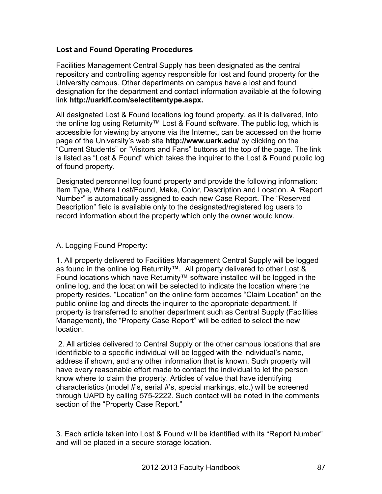### **Lost and Found Operating Procedures**

Facilities Management Central Supply has been designated as the central repository and controlling agency responsible for lost and found property for the University campus. Other departments on campus have a lost and found designation for the department and contact information available at the following link **http://uarklf.com/selectitemtype.aspx.**

All designated Lost & Found locations log found property, as it is delivered, into the online log using Returnity™ Lost & Found software. The public log, which is accessible for viewing by anyone via the Internet**,** can be accessed on the home page of the University's web site **http://www.uark.edu/** by clicking on the "Current Students" or "Visitors and Fans" buttons at the top of the page. The link is listed as "Lost & Found" which takes the inquirer to the Lost & Found public log of found property.

Designated personnel log found property and provide the following information: Item Type, Where Lost/Found, Make, Color, Description and Location. A "Report Number" is automatically assigned to each new Case Report. The "Reserved Description" field is available only to the designated/registered log users to record information about the property which only the owner would know.

### A. Logging Found Property:

1. All property delivered to Facilities Management Central Supply will be logged as found in the online log Returnity™. All property delivered to other Lost & Found locations which have Returnity™ software installed will be logged in the online log, and the location will be selected to indicate the location where the property resides. "Location" on the online form becomes "Claim Location" on the public online log and directs the inquirer to the appropriate department. If property is transferred to another department such as Central Supply (Facilities Management), the "Property Case Report" will be edited to select the new location.

2. All articles delivered to Central Supply or the other campus locations that are identifiable to a specific individual will be logged with the individual's name, address if shown, and any other information that is known. Such property will have every reasonable effort made to contact the individual to let the person know where to claim the property. Articles of value that have identifying characteristics (model #'s, serial #'s, special markings, etc.) will be screened through UAPD by calling 575-2222. Such contact will be noted in the comments section of the "Property Case Report."

3. Each article taken into Lost & Found will be identified with its "Report Number" and will be placed in a secure storage location.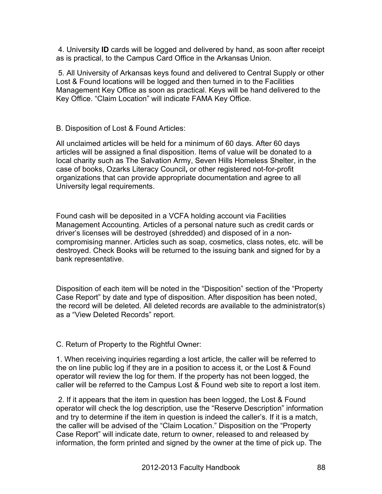4. University **ID** cards will be logged and delivered by hand, as soon after receipt as is practical, to the Campus Card Office in the Arkansas Union.

5. All University of Arkansas keys found and delivered to Central Supply or other Lost & Found locations will be logged and then turned in to the Facilities Management Key Office as soon as practical. Keys will be hand delivered to the Key Office. "Claim Location" will indicate FAMA Key Office.

B. Disposition of Lost & Found Articles:

All unclaimed articles will be held for a minimum of 60 days. After 60 days articles will be assigned a final disposition. Items of value will be donated to a local charity such as The Salvation Army, Seven Hills Homeless Shelter, in the case of books, Ozarks Literacy Council**,** or other registered not-for-profit organizations that can provide appropriate documentation and agree to all University legal requirements.

Found cash will be deposited in a VCFA holding account via Facilities Management Accounting. Articles of a personal nature such as credit cards or driver's licenses will be destroyed (shredded) and disposed of in a noncompromising manner. Articles such as soap, cosmetics, class notes, etc. will be destroyed. Check Books will be returned to the issuing bank and signed for by a bank representative.

Disposition of each item will be noted in the "Disposition" section of the "Property Case Report" by date and type of disposition. After disposition has been noted, the record will be deleted. All deleted records are available to the administrator(s) as a "View Deleted Records" report.

C. Return of Property to the Rightful Owner:

1. When receiving inquiries regarding a lost article, the caller will be referred to the on line public log if they are in a position to access it, or the Lost & Found operator will review the log for them. If the property has not been logged, the caller will be referred to the Campus Lost & Found web site to report a lost item.

2. If it appears that the item in question has been logged, the Lost & Found operator will check the log description, use the "Reserve Description" information and try to determine if the item in question is indeed the caller's. If it is a match, the caller will be advised of the "Claim Location." Disposition on the "Property Case Report" will indicate date, return to owner, released to and released by information, the form printed and signed by the owner at the time of pick up. The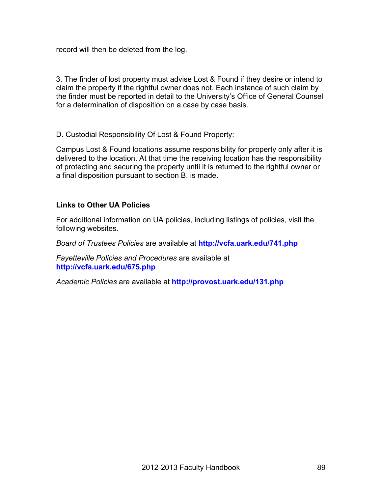record will then be deleted from the log.

3. The finder of lost property must advise Lost & Found if they desire or intend to claim the property if the rightful owner does not. Each instance of such claim by the finder must be reported in detail to the University's Office of General Counsel for a determination of disposition on a case by case basis.

D. Custodial Responsibility Of Lost & Found Property:

Campus Lost & Found locations assume responsibility for property only after it is delivered to the location. At that time the receiving location has the responsibility of protecting and securing the property until it is returned to the rightful owner or a final disposition pursuant to section B. is made.

### **Links to Other UA Policies**

For additional information on UA policies, including listings of policies, visit the following websites.

*Board of Trustees Policies* are available at **http://vcfa.uark.edu/741.php**

*Fayetteville Policies and Procedures* are available at **http://vcfa.uark.edu/675.php**

*Academic Policies* are available at **http://provost.uark.edu/131.php**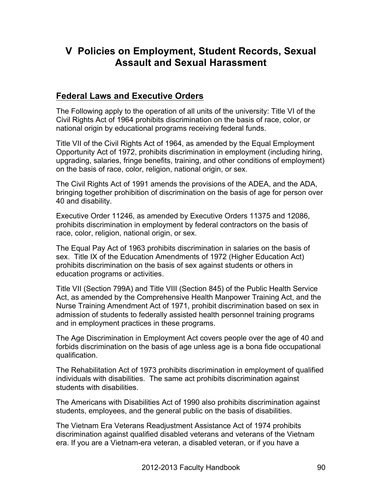# **V Policies on Employment, Student Records, Sexual Assault and Sexual Harassment**

# **Federal Laws and Executive Orders**

The Following apply to the operation of all units of the university: Title VI of the Civil Rights Act of 1964 prohibits discrimination on the basis of race, color, or national origin by educational programs receiving federal funds.

Title VII of the Civil Rights Act of 1964, as amended by the Equal Employment Opportunity Act of 1972, prohibits discrimination in employment (including hiring, upgrading, salaries, fringe benefits, training, and other conditions of employment) on the basis of race, color, religion, national origin, or sex.

The Civil Rights Act of 1991 amends the provisions of the ADEA, and the ADA, bringing together prohibition of discrimination on the basis of age for person over 40 and disability.

Executive Order 11246, as amended by Executive Orders 11375 and 12086, prohibits discrimination in employment by federal contractors on the basis of race, color, religion, national origin, or sex.

The Equal Pay Act of 1963 prohibits discrimination in salaries on the basis of sex. Title IX of the Education Amendments of 1972 (Higher Education Act) prohibits discrimination on the basis of sex against students or others in education programs or activities.

Title VII (Section 799A) and Title VIII (Section 845) of the Public Health Service Act, as amended by the Comprehensive Health Manpower Training Act, and the Nurse Training Amendment Act of 1971, prohibit discrimination based on sex in admission of students to federally assisted health personnel training programs and in employment practices in these programs.

The Age Discrimination in Employment Act covers people over the age of 40 and forbids discrimination on the basis of age unless age is a bona fide occupational qualification.

The Rehabilitation Act of 1973 prohibits discrimination in employment of qualified individuals with disabilities. The same act prohibits discrimination against students with disabilities.

The Americans with Disabilities Act of 1990 also prohibits discrimination against students, employees, and the general public on the basis of disabilities.

The Vietnam Era Veterans Readjustment Assistance Act of 1974 prohibits discrimination against qualified disabled veterans and veterans of the Vietnam era. If you are a Vietnam-era veteran, a disabled veteran, or if you have a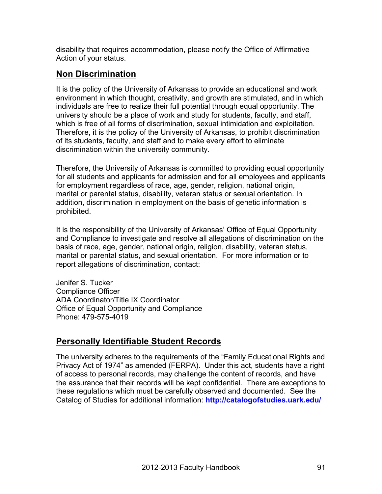disability that requires accommodation, please notify the Office of Affirmative Action of your status.

# **Non Discrimination**

It is the policy of the University of Arkansas to provide an educational and work environment in which thought, creativity, and growth are stimulated, and in which individuals are free to realize their full potential through equal opportunity. The university should be a place of work and study for students, faculty, and staff, which is free of all forms of discrimination, sexual intimidation and exploitation. Therefore, it is the policy of the University of Arkansas, to prohibit discrimination of its students, faculty, and staff and to make every effort to eliminate discrimination within the university community.

Therefore, the University of Arkansas is committed to providing equal opportunity for all students and applicants for admission and for all employees and applicants for employment regardless of race, age, gender, religion, national origin, marital or parental status, disability, veteran status or sexual orientation. In addition, discrimination in employment on the basis of genetic information is prohibited.

It is the responsibility of the University of Arkansas' Office of Equal Opportunity and Compliance to investigate and resolve all allegations of discrimination on the basis of race, age, gender, national origin, religion, disability, veteran status, marital or parental status, and sexual orientation. For more information or to report allegations of discrimination, contact:

Jenifer S. Tucker Compliance Officer ADA Coordinator/Title IX Coordinator Office of Equal Opportunity and Compliance Phone: 479-575-4019

# **Personally Identifiable Student Records**

The university adheres to the requirements of the "Family Educational Rights and Privacy Act of 1974" as amended (FERPA). Under this act, students have a right of access to personal records, may challenge the content of records, and have the assurance that their records will be kept confidential. There are exceptions to these regulations which must be carefully observed and documented. See the Catalog of Studies for additional information: **http://catalogofstudies.uark.edu/**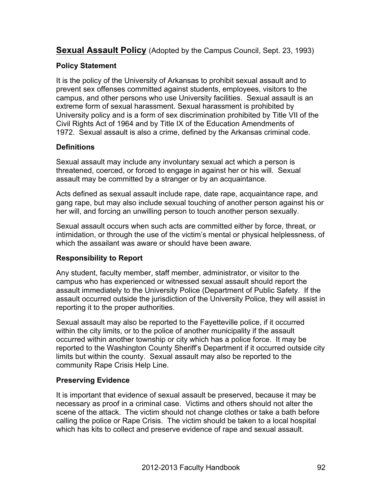**Sexual Assault Policy** (Adopted by the Campus Council, Sept. 23, 1993)

# **Policy Statement**

It is the policy of the University of Arkansas to prohibit sexual assault and to prevent sex offenses committed against students, employees, visitors to the campus, and other persons who use University facilities. Sexual assault is an extreme form of sexual harassment. Sexual harassment is prohibited by University policy and is a form of sex discrimination prohibited by Title VII of the Civil Rights Act of 1964 and by Title IX of the Education Amendments of 1972. Sexual assault is also a crime, defined by the Arkansas criminal code.

# **Definitions**

Sexual assault may include any involuntary sexual act which a person is threatened, coerced, or forced to engage in against her or his will. Sexual assault may be committed by a stranger or by an acquaintance.

Acts defined as sexual assault include rape, date rape, acquaintance rape, and gang rape, but may also include sexual touching of another person against his or her will, and forcing an unwilling person to touch another person sexually.

Sexual assault occurs when such acts are committed either by force, threat, or intimidation, or through the use of the victim's mental or physical helplessness, of which the assailant was aware or should have been aware.

# **Responsibility to Report**

Any student, faculty member, staff member, administrator, or visitor to the campus who has experienced or witnessed sexual assault should report the assault immediately to the University Police (Department of Public Safety. If the assault occurred outside the jurisdiction of the University Police, they will assist in reporting it to the proper authorities.

Sexual assault may also be reported to the Fayetteville police, if it occurred within the city limits, or to the police of another municipality if the assault occurred within another township or city which has a police force. It may be reported to the Washington County Sheriff's Department if it occurred outside city limits but within the county. Sexual assault may also be reported to the community Rape Crisis Help Line.

# **Preserving Evidence**

It is important that evidence of sexual assault be preserved, because it may be necessary as proof in a criminal case. Victims and others should not alter the scene of the attack. The victim should not change clothes or take a bath before calling the police or Rape Crisis. The victim should be taken to a local hospital which has kits to collect and preserve evidence of rape and sexual assault.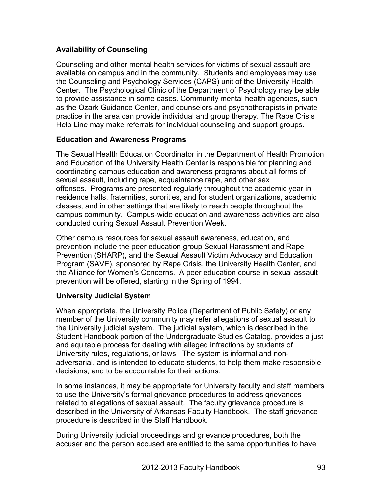# **Availability of Counseling**

Counseling and other mental health services for victims of sexual assault are available on campus and in the community. Students and employees may use the Counseling and Psychology Services (CAPS) unit of the University Health Center. The Psychological Clinic of the Department of Psychology may be able to provide assistance in some cases. Community mental health agencies, such as the Ozark Guidance Center, and counselors and psychotherapists in private practice in the area can provide individual and group therapy. The Rape Crisis Help Line may make referrals for individual counseling and support groups.

### **Education and Awareness Programs**

The Sexual Health Education Coordinator in the Department of Health Promotion and Education of the University Health Center is responsible for planning and coordinating campus education and awareness programs about all forms of sexual assault, including rape, acquaintance rape, and other sex offenses. Programs are presented regularly throughout the academic year in residence halls, fraternities, sororities, and for student organizations, academic classes, and in other settings that are likely to reach people throughout the campus community. Campus-wide education and awareness activities are also conducted during Sexual Assault Prevention Week.

Other campus resources for sexual assault awareness, education, and prevention include the peer education group Sexual Harassment and Rape Prevention (SHARP), and the Sexual Assault Victim Advocacy and Education Program (SAVE), sponsored by Rape Crisis, the University Health Center, and the Alliance for Women's Concerns. A peer education course in sexual assault prevention will be offered, starting in the Spring of 1994.

# **University Judicial System**

When appropriate, the University Police (Department of Public Safety) or any member of the University community may refer allegations of sexual assault to the University judicial system. The judicial system, which is described in the Student Handbook portion of the Undergraduate Studies Catalog, provides a just and equitable process for dealing with alleged infractions by students of University rules, regulations, or laws. The system is informal and nonadversarial, and is intended to educate students, to help them make responsible decisions, and to be accountable for their actions.

In some instances, it may be appropriate for University faculty and staff members to use the University's formal grievance procedures to address grievances related to allegations of sexual assault. The faculty grievance procedure is described in the University of Arkansas Faculty Handbook. The staff grievance procedure is described in the Staff Handbook.

During University judicial proceedings and grievance procedures, both the accuser and the person accused are entitled to the same opportunities to have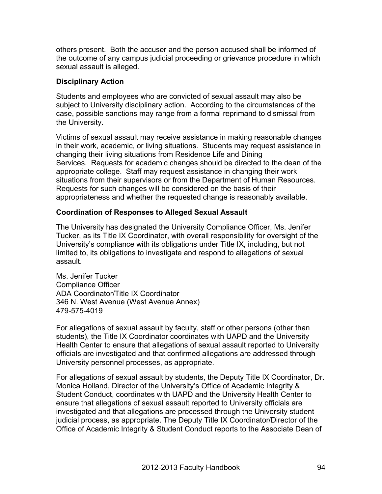others present. Both the accuser and the person accused shall be informed of the outcome of any campus judicial proceeding or grievance procedure in which sexual assault is alleged.

### **Disciplinary Action**

Students and employees who are convicted of sexual assault may also be subject to University disciplinary action. According to the circumstances of the case, possible sanctions may range from a formal reprimand to dismissal from the University.

Victims of sexual assault may receive assistance in making reasonable changes in their work, academic, or living situations. Students may request assistance in changing their living situations from Residence Life and Dining Services. Requests for academic changes should be directed to the dean of the appropriate college. Staff may request assistance in changing their work situations from their supervisors or from the Department of Human Resources. Requests for such changes will be considered on the basis of their appropriateness and whether the requested change is reasonably available.

### **Coordination of Responses to Alleged Sexual Assault**

The University has designated the University Compliance Officer, Ms. Jenifer Tucker, as its Title IX Coordinator, with overall responsibility for oversight of the University's compliance with its obligations under Title IX, including, but not limited to, its obligations to investigate and respond to allegations of sexual assault.

Ms. Jenifer Tucker Compliance Officer ADA Coordinator/Title IX Coordinator 346 N. West Avenue (West Avenue Annex) 479-575-4019

For allegations of sexual assault by faculty, staff or other persons (other than students), the Title IX Coordinator coordinates with UAPD and the University Health Center to ensure that allegations of sexual assault reported to University officials are investigated and that confirmed allegations are addressed through University personnel processes, as appropriate.

For allegations of sexual assault by students, the Deputy Title IX Coordinator, Dr. Monica Holland, Director of the University's Office of Academic Integrity & Student Conduct, coordinates with UAPD and the University Health Center to ensure that allegations of sexual assault reported to University officials are investigated and that allegations are processed through the University student judicial process, as appropriate. The Deputy Title IX Coordinator/Director of the Office of Academic Integrity & Student Conduct reports to the Associate Dean of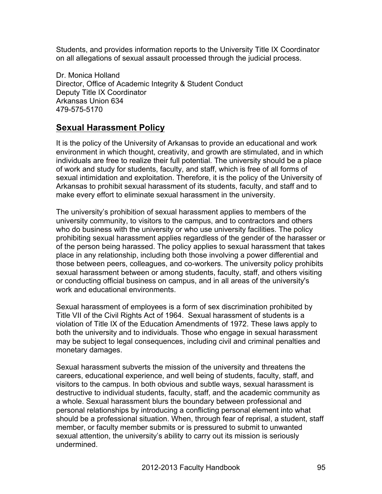Students, and provides information reports to the University Title IX Coordinator on all allegations of sexual assault processed through the judicial process.

Dr. Monica Holland Director, Office of Academic Integrity & Student Conduct Deputy Title IX Coordinator Arkansas Union 634 479-575-5170

# **Sexual Harassment Policy**

It is the policy of the University of Arkansas to provide an educational and work environment in which thought, creativity, and growth are stimulated, and in which individuals are free to realize their full potential. The university should be a place of work and study for students, faculty, and staff, which is free of all forms of sexual intimidation and exploitation. Therefore, it is the policy of the University of Arkansas to prohibit sexual harassment of its students, faculty, and staff and to make every effort to eliminate sexual harassment in the university.

The university's prohibition of sexual harassment applies to members of the university community, to visitors to the campus, and to contractors and others who do business with the university or who use university facilities. The policy prohibiting sexual harassment applies regardless of the gender of the harasser or of the person being harassed. The policy applies to sexual harassment that takes place in any relationship, including both those involving a power differential and those between peers, colleagues, and co-workers. The university policy prohibits sexual harassment between or among students, faculty, staff, and others visiting or conducting official business on campus, and in all areas of the university's work and educational environments.

Sexual harassment of employees is a form of sex discrimination prohibited by Title VII of the Civil Rights Act of 1964. Sexual harassment of students is a violation of Title IX of the Education Amendments of 1972. These laws apply to both the university and to individuals. Those who engage in sexual harassment may be subject to legal consequences, including civil and criminal penalties and monetary damages.

Sexual harassment subverts the mission of the university and threatens the careers, educational experience, and well being of students, faculty, staff, and visitors to the campus. In both obvious and subtle ways, sexual harassment is destructive to individual students, faculty, staff, and the academic community as a whole. Sexual harassment blurs the boundary between professional and personal relationships by introducing a conflicting personal element into what should be a professional situation. When, through fear of reprisal, a student, staff member, or faculty member submits or is pressured to submit to unwanted sexual attention, the university's ability to carry out its mission is seriously undermined.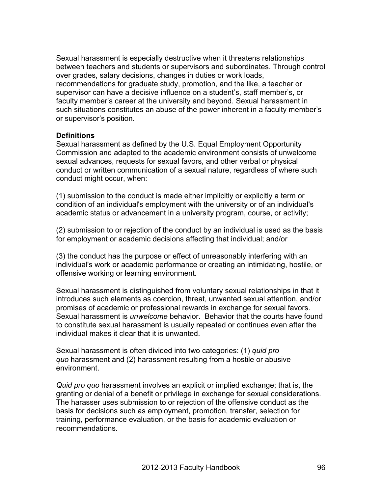Sexual harassment is especially destructive when it threatens relationships between teachers and students or supervisors and subordinates. Through control over grades, salary decisions, changes in duties or work loads, recommendations for graduate study, promotion, and the like, a teacher or supervisor can have a decisive influence on a student's, staff member's, or faculty member's career at the university and beyond. Sexual harassment in such situations constitutes an abuse of the power inherent in a faculty member's or supervisor's position.

#### **Definitions**

Sexual harassment as defined by the U.S. Equal Employment Opportunity Commission and adapted to the academic environment consists of unwelcome sexual advances, requests for sexual favors, and other verbal or physical conduct or written communication of a sexual nature, regardless of where such conduct might occur, when:

(1) submission to the conduct is made either implicitly or explicitly a term or condition of an individual's employment with the university or of an individual's academic status or advancement in a university program, course, or activity;

(2) submission to or rejection of the conduct by an individual is used as the basis for employment or academic decisions affecting that individual; and/or

(3) the conduct has the purpose or effect of unreasonably interfering with an individual's work or academic performance or creating an intimidating, hostile, or offensive working or learning environment.

Sexual harassment is distinguished from voluntary sexual relationships in that it introduces such elements as coercion, threat, unwanted sexual attention, and/or promises of academic or professional rewards in exchange for sexual favors. Sexual harassment is *unwelcome* behavior. Behavior that the courts have found to constitute sexual harassment is usually repeated or continues even after the individual makes it clear that it is unwanted.

Sexual harassment is often divided into two categories: (1) *quid pro quo* harassment and (2) harassment resulting from a hostile or abusive environment.

*Quid pro quo* harassment involves an explicit or implied exchange; that is, the granting or denial of a benefit or privilege in exchange for sexual considerations. The harasser uses submission to or rejection of the offensive conduct as the basis for decisions such as employment, promotion, transfer, selection for training, performance evaluation, or the basis for academic evaluation or recommendations.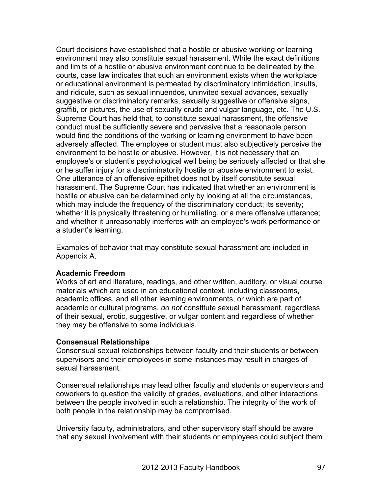Court decisions have established that a hostile or abusive working or learning environment may also constitute sexual harassment. While the exact definitions and limits of a hostile or abusive environment continue to be delineated by the courts, case law indicates that such an environment exists when the workplace or educational environment is permeated by discriminatory intimidation, insults, and ridicule, such as sexual innuendos, uninvited sexual advances, sexually suggestive or discriminatory remarks, sexually suggestive or offensive signs, graffiti, or pictures, the use of sexually crude and vulgar language, etc. The U.S. Supreme Court has held that, to constitute sexual harassment, the offensive conduct must be sufficiently severe and pervasive that a reasonable person would find the conditions of the working or learning environment to have been adversely affected. The employee or student must also subjectively perceive the environment to be hostile or abusive. However, it is not necessary that an employee's or student's psychological well being be seriously affected or that she or he suffer injury for a discriminatorily hostile or abusive environment to exist. One utterance of an offensive epithet does not by itself constitute sexual harassment. The Supreme Court has indicated that whether an environment is hostile or abusive can be determined only by looking at all the circumstances, which may include the frequency of the discriminatory conduct; its severity; whether it is physically threatening or humiliating, or a mere offensive utterance; and whether it unreasonably interferes with an employee's work performance or a student's learning.

Examples of behavior that may constitute sexual harassment are included in Appendix A.

### **Academic Freedom**

Works of art and literature, readings, and other written, auditory, or visual course materials which are used in an educational context, including classrooms, academic offices, and all other learning environments, or which are part of academic or cultural programs, *do not* constitute sexual harassment, regardless of their sexual, erotic, suggestive, or vulgar content and regardless of whether they may be offensive to some individuals.

### **Consensual Relationships**

Consensual sexual relationships between faculty and their students or between supervisors and their employees in some instances may result in charges of sexual harassment.

Consensual relationships may lead other faculty and students or supervisors and coworkers to question the validity of grades, evaluations, and other interactions between the people involved in such a relationship. The integrity of the work of both people in the relationship may be compromised.

University faculty, administrators, and other supervisory staff should be aware that any sexual involvement with their students or employees could subject them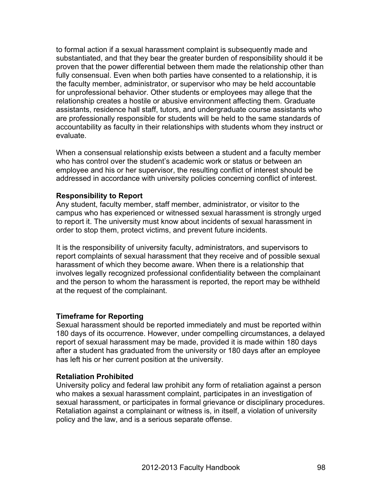to formal action if a sexual harassment complaint is subsequently made and substantiated, and that they bear the greater burden of responsibility should it be proven that the power differential between them made the relationship other than fully consensual. Even when both parties have consented to a relationship, it is the faculty member, administrator, or supervisor who may be held accountable for unprofessional behavior. Other students or employees may allege that the relationship creates a hostile or abusive environment affecting them. Graduate assistants, residence hall staff, tutors, and undergraduate course assistants who are professionally responsible for students will be held to the same standards of accountability as faculty in their relationships with students whom they instruct or evaluate.

When a consensual relationship exists between a student and a faculty member who has control over the student's academic work or status or between an employee and his or her supervisor, the resulting conflict of interest should be addressed in accordance with university policies concerning conflict of interest.

### **Responsibility to Report**

Any student, faculty member, staff member, administrator, or visitor to the campus who has experienced or witnessed sexual harassment is strongly urged to report it. The university must know about incidents of sexual harassment in order to stop them, protect victims, and prevent future incidents.

It is the responsibility of university faculty, administrators, and supervisors to report complaints of sexual harassment that they receive and of possible sexual harassment of which they become aware. When there is a relationship that involves legally recognized professional confidentiality between the complainant and the person to whom the harassment is reported, the report may be withheld at the request of the complainant.

### **Timeframe for Reporting**

Sexual harassment should be reported immediately and must be reported within 180 days of its occurrence. However, under compelling circumstances, a delayed report of sexual harassment may be made, provided it is made within 180 days after a student has graduated from the university or 180 days after an employee has left his or her current position at the university.

#### **Retaliation Prohibited**

University policy and federal law prohibit any form of retaliation against a person who makes a sexual harassment complaint, participates in an investigation of sexual harassment, or participates in formal grievance or disciplinary procedures. Retaliation against a complainant or witness is, in itself, a violation of university policy and the law, and is a serious separate offense.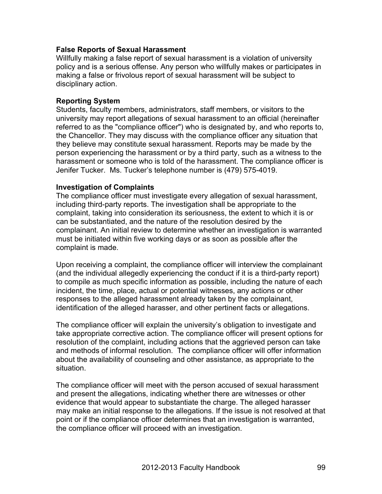### **False Reports of Sexual Harassment**

Willfully making a false report of sexual harassment is a violation of university policy and is a serious offense. Any person who willfully makes or participates in making a false or frivolous report of sexual harassment will be subject to disciplinary action.

### **Reporting System**

Students, faculty members, administrators, staff members, or visitors to the university may report allegations of sexual harassment to an official (hereinafter referred to as the "compliance officer") who is designated by, and who reports to, the Chancellor. They may discuss with the compliance officer any situation that they believe may constitute sexual harassment. Reports may be made by the person experiencing the harassment or by a third party, such as a witness to the harassment or someone who is told of the harassment. The compliance officer is Jenifer Tucker. Ms. Tucker's telephone number is (479) 575-4019.

### **Investigation of Complaints**

The compliance officer must investigate every allegation of sexual harassment, including third-party reports. The investigation shall be appropriate to the complaint, taking into consideration its seriousness, the extent to which it is or can be substantiated, and the nature of the resolution desired by the complainant. An initial review to determine whether an investigation is warranted must be initiated within five working days or as soon as possible after the complaint is made.

Upon receiving a complaint, the compliance officer will interview the complainant (and the individual allegedly experiencing the conduct if it is a third-party report) to compile as much specific information as possible, including the nature of each incident, the time, place, actual or potential witnesses, any actions or other responses to the alleged harassment already taken by the complainant, identification of the alleged harasser, and other pertinent facts or allegations.

The compliance officer will explain the university's obligation to investigate and take appropriate corrective action. The compliance officer will present options for resolution of the complaint, including actions that the aggrieved person can take and methods of informal resolution. The compliance officer will offer information about the availability of counseling and other assistance, as appropriate to the situation.

The compliance officer will meet with the person accused of sexual harassment and present the allegations, indicating whether there are witnesses or other evidence that would appear to substantiate the charge. The alleged harasser may make an initial response to the allegations. If the issue is not resolved at that point or if the compliance officer determines that an investigation is warranted, the compliance officer will proceed with an investigation.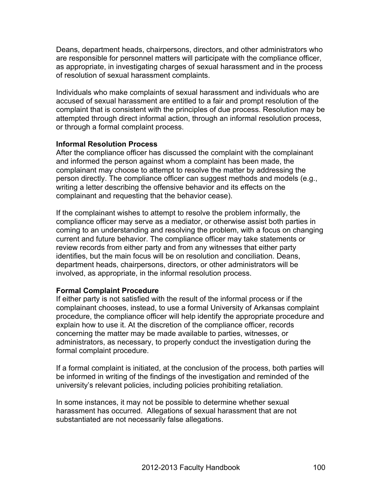Deans, department heads, chairpersons, directors, and other administrators who are responsible for personnel matters will participate with the compliance officer, as appropriate, in investigating charges of sexual harassment and in the process of resolution of sexual harassment complaints.

Individuals who make complaints of sexual harassment and individuals who are accused of sexual harassment are entitled to a fair and prompt resolution of the complaint that is consistent with the principles of due process. Resolution may be attempted through direct informal action, through an informal resolution process, or through a formal complaint process.

### **Informal Resolution Process**

After the compliance officer has discussed the complaint with the complainant and informed the person against whom a complaint has been made, the complainant may choose to attempt to resolve the matter by addressing the person directly. The compliance officer can suggest methods and models (e.g., writing a letter describing the offensive behavior and its effects on the complainant and requesting that the behavior cease).

If the complainant wishes to attempt to resolve the problem informally, the compliance officer may serve as a mediator, or otherwise assist both parties in coming to an understanding and resolving the problem, with a focus on changing current and future behavior. The compliance officer may take statements or review records from either party and from any witnesses that either party identifies, but the main focus will be on resolution and conciliation. Deans, department heads, chairpersons, directors, or other administrators will be involved, as appropriate, in the informal resolution process.

### **Formal Complaint Procedure**

If either party is not satisfied with the result of the informal process or if the complainant chooses, instead, to use a formal University of Arkansas complaint procedure, the compliance officer will help identify the appropriate procedure and explain how to use it. At the discretion of the compliance officer, records concerning the matter may be made available to parties, witnesses, or administrators, as necessary, to properly conduct the investigation during the formal complaint procedure.

If a formal complaint is initiated, at the conclusion of the process, both parties will be informed in writing of the findings of the investigation and reminded of the university's relevant policies, including policies prohibiting retaliation.

In some instances, it may not be possible to determine whether sexual harassment has occurred. Allegations of sexual harassment that are not substantiated are not necessarily false allegations.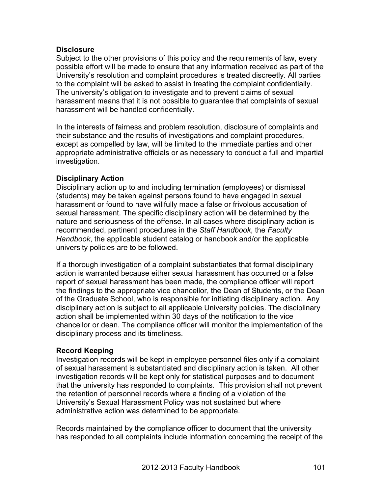### **Disclosure**

Subject to the other provisions of this policy and the requirements of law, every possible effort will be made to ensure that any information received as part of the University's resolution and complaint procedures is treated discreetly. All parties to the complaint will be asked to assist in treating the complaint confidentially. The university's obligation to investigate and to prevent claims of sexual harassment means that it is not possible to guarantee that complaints of sexual harassment will be handled confidentially.

In the interests of fairness and problem resolution, disclosure of complaints and their substance and the results of investigations and complaint procedures, except as compelled by law, will be limited to the immediate parties and other appropriate administrative officials or as necessary to conduct a full and impartial investigation.

### **Disciplinary Action**

Disciplinary action up to and including termination (employees) or dismissal (students) may be taken against persons found to have engaged in sexual harassment or found to have willfully made a false or frivolous accusation of sexual harassment. The specific disciplinary action will be determined by the nature and seriousness of the offense. In all cases where disciplinary action is recommended, pertinent procedures in the *Staff Handbook*, the *Faculty Handbook*, the applicable student catalog or handbook and/or the applicable university policies are to be followed.

If a thorough investigation of a complaint substantiates that formal disciplinary action is warranted because either sexual harassment has occurred or a false report of sexual harassment has been made, the compliance officer will report the findings to the appropriate vice chancellor, the Dean of Students, or the Dean of the Graduate School, who is responsible for initiating disciplinary action. Any disciplinary action is subject to all applicable University policies. The disciplinary action shall be implemented within 30 days of the notification to the vice chancellor or dean. The compliance officer will monitor the implementation of the disciplinary process and its timeliness.

#### **Record Keeping**

Investigation records will be kept in employee personnel files only if a complaint of sexual harassment is substantiated and disciplinary action is taken. All other investigation records will be kept only for statistical purposes and to document that the university has responded to complaints. This provision shall not prevent the retention of personnel records where a finding of a violation of the University's Sexual Harassment Policy was not sustained but where administrative action was determined to be appropriate.

Records maintained by the compliance officer to document that the university has responded to all complaints include information concerning the receipt of the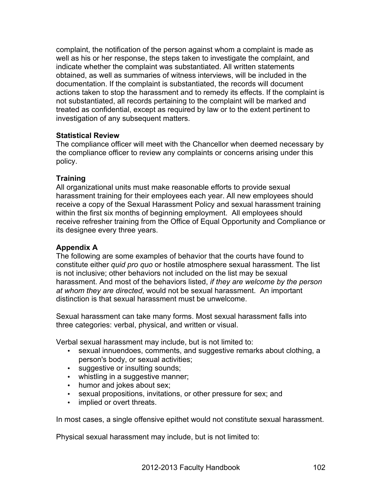complaint, the notification of the person against whom a complaint is made as well as his or her response, the steps taken to investigate the complaint, and indicate whether the complaint was substantiated. All written statements obtained, as well as summaries of witness interviews, will be included in the documentation. If the complaint is substantiated, the records will document actions taken to stop the harassment and to remedy its effects. If the complaint is not substantiated, all records pertaining to the complaint will be marked and treated as confidential, except as required by law or to the extent pertinent to investigation of any subsequent matters.

### **Statistical Review**

The compliance officer will meet with the Chancellor when deemed necessary by the compliance officer to review any complaints or concerns arising under this policy.

### **Training**

All organizational units must make reasonable efforts to provide sexual harassment training for their employees each year. All new employees should receive a copy of the Sexual Harassment Policy and sexual harassment training within the first six months of beginning employment. All employees should receive refresher training from the Office of Equal Opportunity and Compliance or its designee every three years.

# **Appendix A**

The following are some examples of behavior that the courts have found to constitute either *quid pro quo* or hostile atmosphere sexual harassment. The list is not inclusive; other behaviors not included on the list may be sexual harassment. And most of the behaviors listed, *if they are welcome by the person at whom they are directed*, would not be sexual harassment. An important distinction is that sexual harassment must be unwelcome.

Sexual harassment can take many forms. Most sexual harassment falls into three categories: verbal, physical, and written or visual.

Verbal sexual harassment may include, but is not limited to:

- sexual innuendoes, comments, and suggestive remarks about clothing, a person's body, or sexual activities;
- suggestive or insulting sounds;
- whistling in a suggestive manner;
- humor and jokes about sex;
- sexual propositions, invitations, or other pressure for sex; and
- implied or overt threats.

In most cases, a single offensive epithet would not constitute sexual harassment.

Physical sexual harassment may include, but is not limited to: